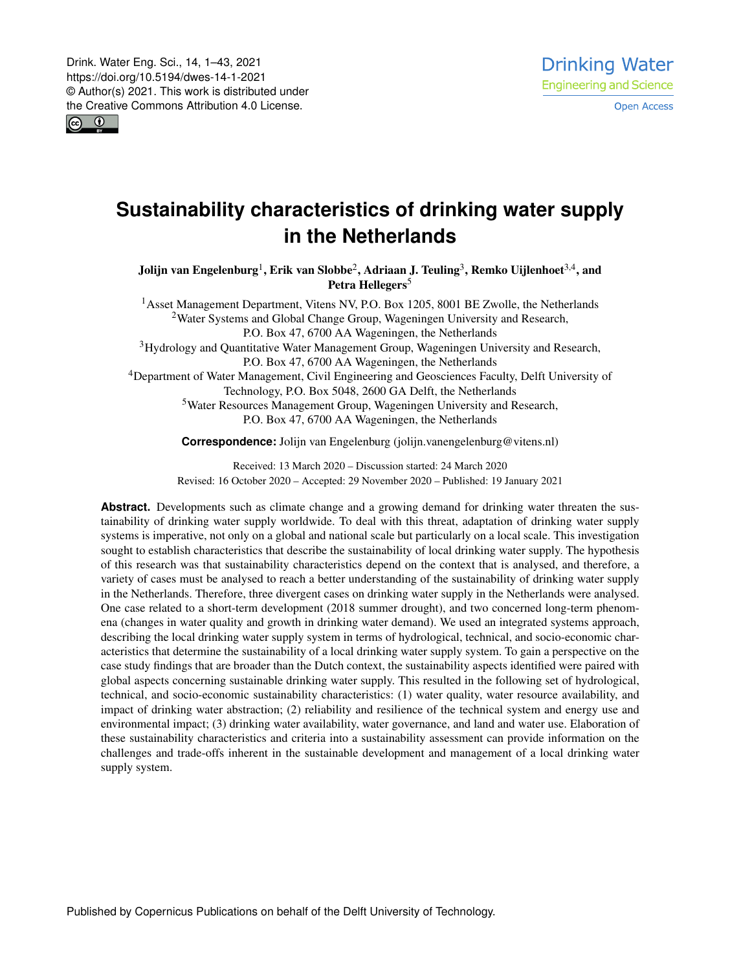$\boxed{6}$   $\boxed{0}$ 

# **Sustainability characteristics of drinking water supply in the Netherlands**

Jolijn van Engelenburg $^1$  $^1$ , Erik van Slobbe $^2$  $^2$ , Adriaan J. Teuling $^3$  $^3$ , Remko Uijlenhoet $^{3,4}$  $^{3,4}$  $^{3,4}$ , and Petra Hellegers<sup>[5](#page-0-0)</sup>

<sup>1</sup> Asset Management Department, Vitens NV, P.O. Box 1205, 8001 BE Zwolle, the Netherlands <sup>2</sup>Water Systems and Global Change Group, Wageningen University and Research, P.O. Box 47, 6700 AA Wageningen, the Netherlands

<sup>3</sup>Hydrology and Quantitative Water Management Group, Wageningen University and Research, P.O. Box 47, 6700 AA Wageningen, the Netherlands

<sup>4</sup>Department of Water Management, Civil Engineering and Geosciences Faculty, Delft University of Technology, P.O. Box 5048, 2600 GA Delft, the Netherlands

<sup>5</sup>Water Resources Management Group, Wageningen University and Research, P.O. Box 47, 6700 AA Wageningen, the Netherlands

**Correspondence:** Jolijn van Engelenburg (jolijn.vanengelenburg@vitens.nl)

Received: 13 March 2020 – Discussion started: 24 March 2020 Revised: 16 October 2020 – Accepted: 29 November 2020 – Published: 19 January 2021

<span id="page-0-0"></span>Abstract. Developments such as climate change and a growing demand for drinking water threaten the sustainability of drinking water supply worldwide. To deal with this threat, adaptation of drinking water supply systems is imperative, not only on a global and national scale but particularly on a local scale. This investigation sought to establish characteristics that describe the sustainability of local drinking water supply. The hypothesis of this research was that sustainability characteristics depend on the context that is analysed, and therefore, a variety of cases must be analysed to reach a better understanding of the sustainability of drinking water supply in the Netherlands. Therefore, three divergent cases on drinking water supply in the Netherlands were analysed. One case related to a short-term development (2018 summer drought), and two concerned long-term phenomena (changes in water quality and growth in drinking water demand). We used an integrated systems approach, describing the local drinking water supply system in terms of hydrological, technical, and socio-economic characteristics that determine the sustainability of a local drinking water supply system. To gain a perspective on the case study findings that are broader than the Dutch context, the sustainability aspects identified were paired with global aspects concerning sustainable drinking water supply. This resulted in the following set of hydrological, technical, and socio-economic sustainability characteristics: (1) water quality, water resource availability, and impact of drinking water abstraction; (2) reliability and resilience of the technical system and energy use and environmental impact; (3) drinking water availability, water governance, and land and water use. Elaboration of these sustainability characteristics and criteria into a sustainability assessment can provide information on the challenges and trade-offs inherent in the sustainable development and management of a local drinking water supply system.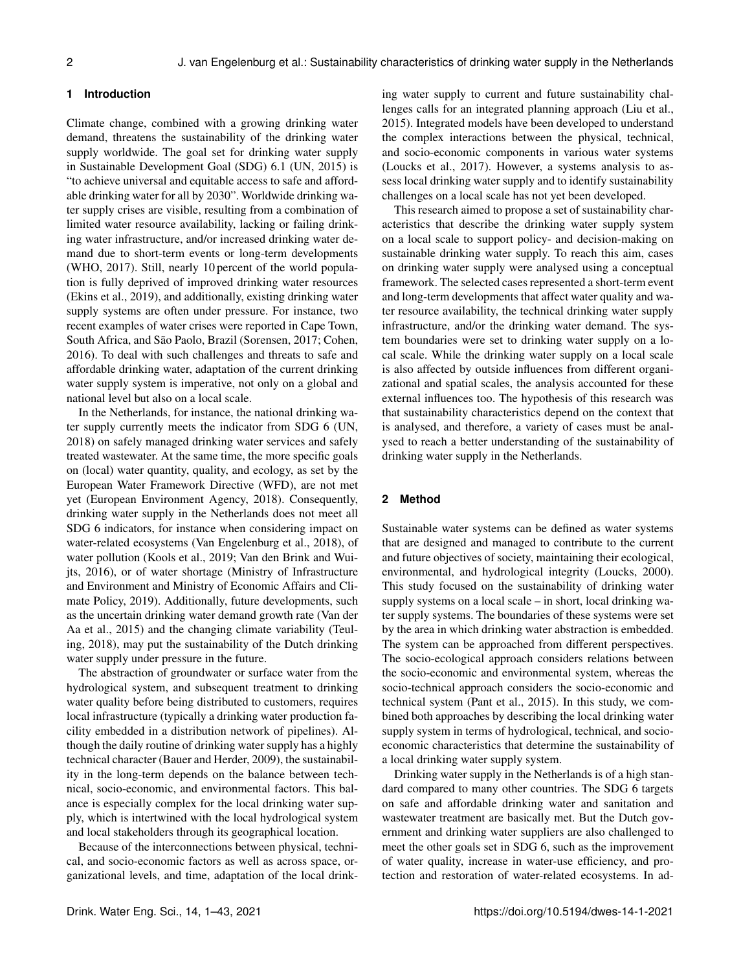## **1 Introduction**

Climate change, combined with a growing drinking water demand, threatens the sustainability of the drinking water supply worldwide. The goal set for drinking water supply in Sustainable Development Goal (SDG) 6.1 (UN, 2015) is "to achieve universal and equitable access to safe and affordable drinking water for all by 2030". Worldwide drinking water supply crises are visible, resulting from a combination of limited water resource availability, lacking or failing drinking water infrastructure, and/or increased drinking water demand due to short-term events or long-term developments (WHO, 2017). Still, nearly 10 percent of the world population is fully deprived of improved drinking water resources (Ekins et al., 2019), and additionally, existing drinking water supply systems are often under pressure. For instance, two recent examples of water crises were reported in Cape Town, South Africa, and São Paolo, Brazil (Sorensen, 2017; Cohen, 2016). To deal with such challenges and threats to safe and affordable drinking water, adaptation of the current drinking water supply system is imperative, not only on a global and national level but also on a local scale.

In the Netherlands, for instance, the national drinking water supply currently meets the indicator from SDG 6 (UN, 2018) on safely managed drinking water services and safely treated wastewater. At the same time, the more specific goals on (local) water quantity, quality, and ecology, as set by the European Water Framework Directive (WFD), are not met yet (European Environment Agency, 2018). Consequently, drinking water supply in the Netherlands does not meet all SDG 6 indicators, for instance when considering impact on water-related ecosystems (Van Engelenburg et al., 2018), of water pollution (Kools et al., 2019; Van den Brink and Wuijts, 2016), or of water shortage (Ministry of Infrastructure and Environment and Ministry of Economic Affairs and Climate Policy, 2019). Additionally, future developments, such as the uncertain drinking water demand growth rate (Van der Aa et al., 2015) and the changing climate variability (Teuling, 2018), may put the sustainability of the Dutch drinking water supply under pressure in the future.

The abstraction of groundwater or surface water from the hydrological system, and subsequent treatment to drinking water quality before being distributed to customers, requires local infrastructure (typically a drinking water production facility embedded in a distribution network of pipelines). Although the daily routine of drinking water supply has a highly technical character (Bauer and Herder, 2009), the sustainability in the long-term depends on the balance between technical, socio-economic, and environmental factors. This balance is especially complex for the local drinking water supply, which is intertwined with the local hydrological system and local stakeholders through its geographical location.

Because of the interconnections between physical, technical, and socio-economic factors as well as across space, organizational levels, and time, adaptation of the local drinking water supply to current and future sustainability challenges calls for an integrated planning approach (Liu et al., 2015). Integrated models have been developed to understand the complex interactions between the physical, technical, and socio-economic components in various water systems (Loucks et al., 2017). However, a systems analysis to assess local drinking water supply and to identify sustainability challenges on a local scale has not yet been developed.

This research aimed to propose a set of sustainability characteristics that describe the drinking water supply system on a local scale to support policy- and decision-making on sustainable drinking water supply. To reach this aim, cases on drinking water supply were analysed using a conceptual framework. The selected cases represented a short-term event and long-term developments that affect water quality and water resource availability, the technical drinking water supply infrastructure, and/or the drinking water demand. The system boundaries were set to drinking water supply on a local scale. While the drinking water supply on a local scale is also affected by outside influences from different organizational and spatial scales, the analysis accounted for these external influences too. The hypothesis of this research was that sustainability characteristics depend on the context that is analysed, and therefore, a variety of cases must be analysed to reach a better understanding of the sustainability of drinking water supply in the Netherlands.

## **2 Method**

Sustainable water systems can be defined as water systems that are designed and managed to contribute to the current and future objectives of society, maintaining their ecological, environmental, and hydrological integrity (Loucks, 2000). This study focused on the sustainability of drinking water supply systems on a local scale – in short, local drinking water supply systems. The boundaries of these systems were set by the area in which drinking water abstraction is embedded. The system can be approached from different perspectives. The socio-ecological approach considers relations between the socio-economic and environmental system, whereas the socio-technical approach considers the socio-economic and technical system (Pant et al., 2015). In this study, we combined both approaches by describing the local drinking water supply system in terms of hydrological, technical, and socioeconomic characteristics that determine the sustainability of a local drinking water supply system.

Drinking water supply in the Netherlands is of a high standard compared to many other countries. The SDG 6 targets on safe and affordable drinking water and sanitation and wastewater treatment are basically met. But the Dutch government and drinking water suppliers are also challenged to meet the other goals set in SDG 6, such as the improvement of water quality, increase in water-use efficiency, and protection and restoration of water-related ecosystems. In ad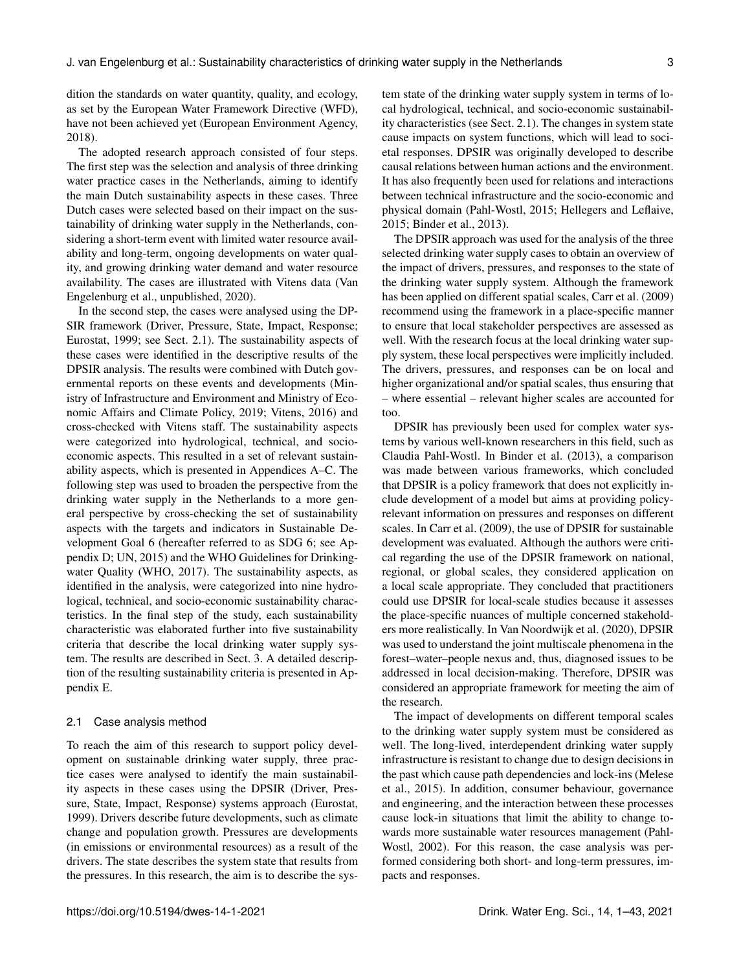dition the standards on water quantity, quality, and ecology, as set by the European Water Framework Directive (WFD), have not been achieved yet (European Environment Agency, 2018).

The adopted research approach consisted of four steps. The first step was the selection and analysis of three drinking water practice cases in the Netherlands, aiming to identify the main Dutch sustainability aspects in these cases. Three Dutch cases were selected based on their impact on the sustainability of drinking water supply in the Netherlands, considering a short-term event with limited water resource availability and long-term, ongoing developments on water quality, and growing drinking water demand and water resource availability. The cases are illustrated with Vitens data (Van Engelenburg et al., unpublished, 2020).

In the second step, the cases were analysed using the DP-SIR framework (Driver, Pressure, State, Impact, Response; Eurostat, 1999; see Sect. 2.1). The sustainability aspects of these cases were identified in the descriptive results of the DPSIR analysis. The results were combined with Dutch governmental reports on these events and developments (Ministry of Infrastructure and Environment and Ministry of Economic Affairs and Climate Policy, 2019; Vitens, 2016) and cross-checked with Vitens staff. The sustainability aspects were categorized into hydrological, technical, and socioeconomic aspects. This resulted in a set of relevant sustainability aspects, which is presented in Appendices A–C. The following step was used to broaden the perspective from the drinking water supply in the Netherlands to a more general perspective by cross-checking the set of sustainability aspects with the targets and indicators in Sustainable Development Goal 6 (hereafter referred to as SDG 6; see Appendix D; UN, 2015) and the WHO Guidelines for Drinkingwater Quality (WHO, 2017). The sustainability aspects, as identified in the analysis, were categorized into nine hydrological, technical, and socio-economic sustainability characteristics. In the final step of the study, each sustainability characteristic was elaborated further into five sustainability criteria that describe the local drinking water supply system. The results are described in Sect. 3. A detailed description of the resulting sustainability criteria is presented in Appendix E.

#### 2.1 Case analysis method

To reach the aim of this research to support policy development on sustainable drinking water supply, three practice cases were analysed to identify the main sustainability aspects in these cases using the DPSIR (Driver, Pressure, State, Impact, Response) systems approach (Eurostat, 1999). Drivers describe future developments, such as climate change and population growth. Pressures are developments (in emissions or environmental resources) as a result of the drivers. The state describes the system state that results from the pressures. In this research, the aim is to describe the system state of the drinking water supply system in terms of local hydrological, technical, and socio-economic sustainability characteristics (see Sect. 2.1). The changes in system state cause impacts on system functions, which will lead to societal responses. DPSIR was originally developed to describe causal relations between human actions and the environment. It has also frequently been used for relations and interactions between technical infrastructure and the socio-economic and physical domain (Pahl-Wostl, 2015; Hellegers and Leflaive, 2015; Binder et al., 2013).

The DPSIR approach was used for the analysis of the three selected drinking water supply cases to obtain an overview of the impact of drivers, pressures, and responses to the state of the drinking water supply system. Although the framework has been applied on different spatial scales, Carr et al. (2009) recommend using the framework in a place-specific manner to ensure that local stakeholder perspectives are assessed as well. With the research focus at the local drinking water supply system, these local perspectives were implicitly included. The drivers, pressures, and responses can be on local and higher organizational and/or spatial scales, thus ensuring that – where essential – relevant higher scales are accounted for too.

DPSIR has previously been used for complex water systems by various well-known researchers in this field, such as Claudia Pahl-Wostl. In Binder et al. (2013), a comparison was made between various frameworks, which concluded that DPSIR is a policy framework that does not explicitly include development of a model but aims at providing policyrelevant information on pressures and responses on different scales. In Carr et al. (2009), the use of DPSIR for sustainable development was evaluated. Although the authors were critical regarding the use of the DPSIR framework on national, regional, or global scales, they considered application on a local scale appropriate. They concluded that practitioners could use DPSIR for local-scale studies because it assesses the place-specific nuances of multiple concerned stakeholders more realistically. In Van Noordwijk et al. (2020), DPSIR was used to understand the joint multiscale phenomena in the forest–water–people nexus and, thus, diagnosed issues to be addressed in local decision-making. Therefore, DPSIR was considered an appropriate framework for meeting the aim of the research.

The impact of developments on different temporal scales to the drinking water supply system must be considered as well. The long-lived, interdependent drinking water supply infrastructure is resistant to change due to design decisions in the past which cause path dependencies and lock-ins (Melese et al., 2015). In addition, consumer behaviour, governance and engineering, and the interaction between these processes cause lock-in situations that limit the ability to change towards more sustainable water resources management (Pahl-Wostl, 2002). For this reason, the case analysis was performed considering both short- and long-term pressures, impacts and responses.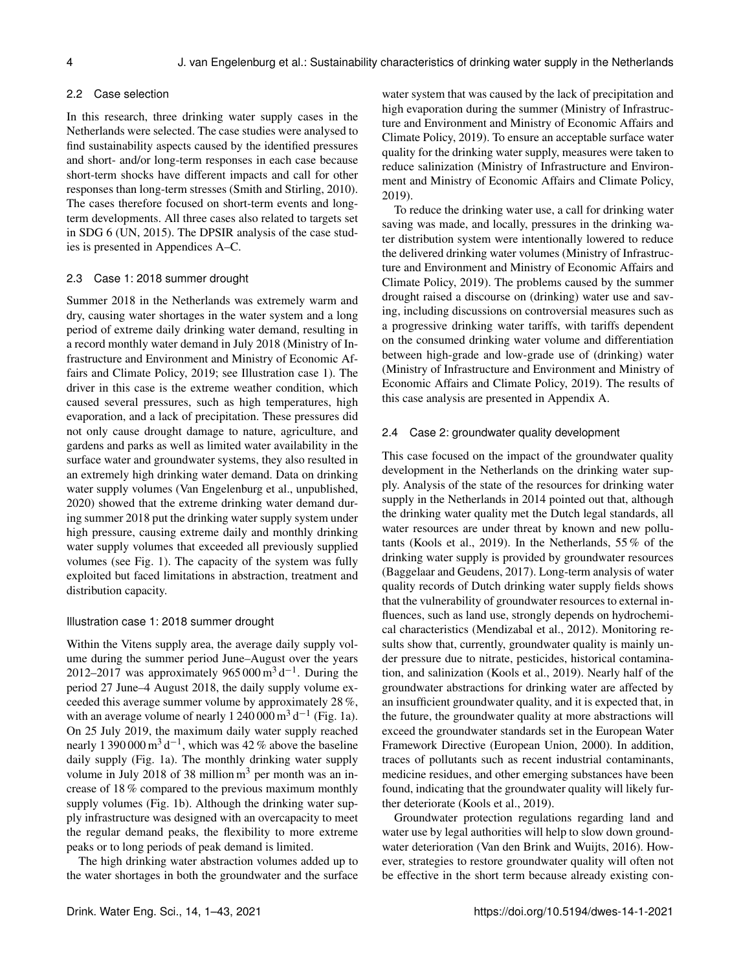#### 2.2 Case selection

In this research, three drinking water supply cases in the Netherlands were selected. The case studies were analysed to find sustainability aspects caused by the identified pressures and short- and/or long-term responses in each case because short-term shocks have different impacts and call for other responses than long-term stresses (Smith and Stirling, 2010). The cases therefore focused on short-term events and longterm developments. All three cases also related to targets set in SDG 6 (UN, 2015). The DPSIR analysis of the case studies is presented in Appendices A–C.

#### 2.3 Case 1: 2018 summer drought

Summer 2018 in the Netherlands was extremely warm and dry, causing water shortages in the water system and a long period of extreme daily drinking water demand, resulting in a record monthly water demand in July 2018 (Ministry of Infrastructure and Environment and Ministry of Economic Affairs and Climate Policy, 2019; see Illustration case 1). The driver in this case is the extreme weather condition, which caused several pressures, such as high temperatures, high evaporation, and a lack of precipitation. These pressures did not only cause drought damage to nature, agriculture, and gardens and parks as well as limited water availability in the surface water and groundwater systems, they also resulted in an extremely high drinking water demand. Data on drinking water supply volumes (Van Engelenburg et al., unpublished, 2020) showed that the extreme drinking water demand during summer 2018 put the drinking water supply system under high pressure, causing extreme daily and monthly drinking water supply volumes that exceeded all previously supplied volumes (see Fig. 1). The capacity of the system was fully exploited but faced limitations in abstraction, treatment and distribution capacity.

#### Illustration case 1: 2018 summer drought

Within the Vitens supply area, the average daily supply volume during the summer period June–August over the years 2012–2017 was approximately  $965\,000\,\mathrm{m}^3\,\mathrm{d}^{-1}$ . During the period 27 June–4 August 2018, the daily supply volume exceeded this average summer volume by approximately 28 %, with an average volume of nearly  $1240000 \text{ m}^3 \text{ d}^{-1}$  (Fig. 1a). On 25 July 2019, the maximum daily water supply reached nearly 1 390 000 m<sup>3</sup> d<sup>-1</sup>, which was 42 % above the baseline daily supply (Fig. 1a). The monthly drinking water supply volume in July 2018 of 38 million  $m<sup>3</sup>$  per month was an increase of 18 % compared to the previous maximum monthly supply volumes (Fig. 1b). Although the drinking water supply infrastructure was designed with an overcapacity to meet the regular demand peaks, the flexibility to more extreme peaks or to long periods of peak demand is limited.

The high drinking water abstraction volumes added up to the water shortages in both the groundwater and the surface water system that was caused by the lack of precipitation and high evaporation during the summer (Ministry of Infrastructure and Environment and Ministry of Economic Affairs and Climate Policy, 2019). To ensure an acceptable surface water quality for the drinking water supply, measures were taken to reduce salinization (Ministry of Infrastructure and Environment and Ministry of Economic Affairs and Climate Policy, 2019).

To reduce the drinking water use, a call for drinking water saving was made, and locally, pressures in the drinking water distribution system were intentionally lowered to reduce the delivered drinking water volumes (Ministry of Infrastructure and Environment and Ministry of Economic Affairs and Climate Policy, 2019). The problems caused by the summer drought raised a discourse on (drinking) water use and saving, including discussions on controversial measures such as a progressive drinking water tariffs, with tariffs dependent on the consumed drinking water volume and differentiation between high-grade and low-grade use of (drinking) water (Ministry of Infrastructure and Environment and Ministry of Economic Affairs and Climate Policy, 2019). The results of this case analysis are presented in Appendix A.

#### 2.4 Case 2: groundwater quality development

This case focused on the impact of the groundwater quality development in the Netherlands on the drinking water supply. Analysis of the state of the resources for drinking water supply in the Netherlands in 2014 pointed out that, although the drinking water quality met the Dutch legal standards, all water resources are under threat by known and new pollutants (Kools et al., 2019). In the Netherlands, 55 % of the drinking water supply is provided by groundwater resources (Baggelaar and Geudens, 2017). Long-term analysis of water quality records of Dutch drinking water supply fields shows that the vulnerability of groundwater resources to external influences, such as land use, strongly depends on hydrochemical characteristics (Mendizabal et al., 2012). Monitoring results show that, currently, groundwater quality is mainly under pressure due to nitrate, pesticides, historical contamination, and salinization (Kools et al., 2019). Nearly half of the groundwater abstractions for drinking water are affected by an insufficient groundwater quality, and it is expected that, in the future, the groundwater quality at more abstractions will exceed the groundwater standards set in the European Water Framework Directive (European Union, 2000). In addition, traces of pollutants such as recent industrial contaminants, medicine residues, and other emerging substances have been found, indicating that the groundwater quality will likely further deteriorate (Kools et al., 2019).

Groundwater protection regulations regarding land and water use by legal authorities will help to slow down groundwater deterioration (Van den Brink and Wuijts, 2016). However, strategies to restore groundwater quality will often not be effective in the short term because already existing con-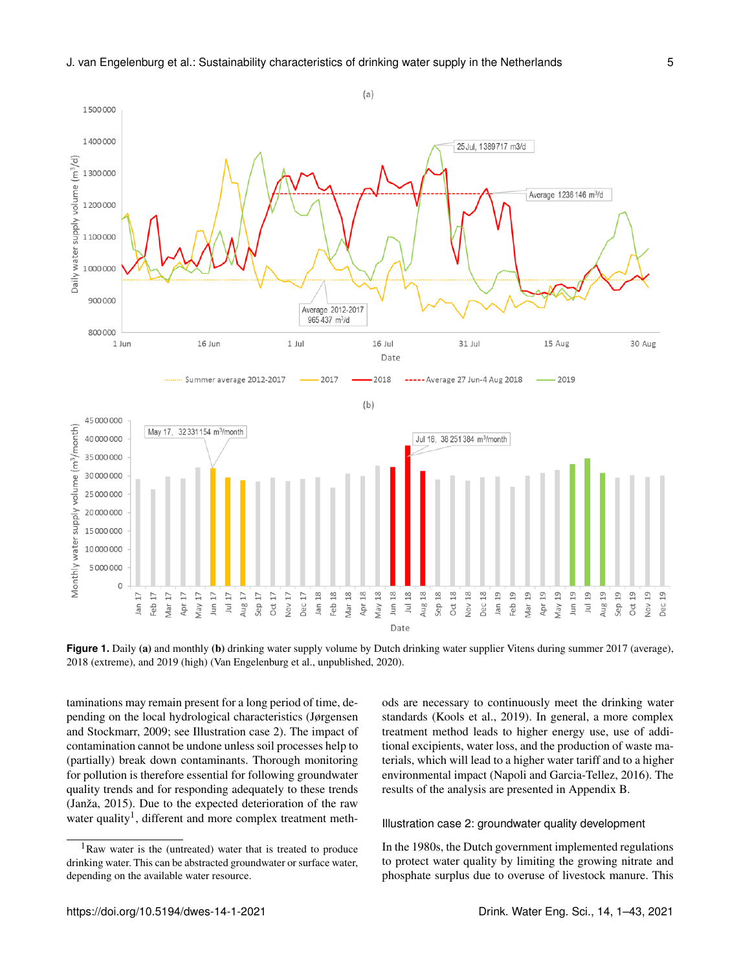

**Figure 1.** Daily (a) and monthly (b) drinking water supply volume by Dutch drinking water supplier Vitens during summer 2017 (average), 2018 (extreme), and 2019 (high) (Van Engelenburg et al., unpublished, 2020).

taminations may remain present for a long period of time, depending on the local hydrological characteristics (Jørgensen and Stockmarr, 2009; see Illustration case 2). The impact of contamination cannot be undone unless soil processes help to (partially) break down contaminants. Thorough monitoring for pollution is therefore essential for following groundwater quality trends and for responding adequately to these trends (Janža, 2015). Due to the expected deterioration of the raw water quality<sup>[1](#page-4-0)</sup>, different and more complex treatment methods are necessary to continuously meet the drinking water standards (Kools et al., 2019). In general, a more complex treatment method leads to higher energy use, use of additional excipients, water loss, and the production of waste materials, which will lead to a higher water tariff and to a higher environmental impact (Napoli and Garcia-Tellez, 2016). The results of the analysis are presented in Appendix B.

#### Illustration case 2: groundwater quality development

In the 1980s, the Dutch government implemented regulations to protect water quality by limiting the growing nitrate and phosphate surplus due to overuse of livestock manure. This

<span id="page-4-0"></span> $1$ Raw water is the (untreated) water that is treated to produce drinking water. This can be abstracted groundwater or surface water, depending on the available water resource.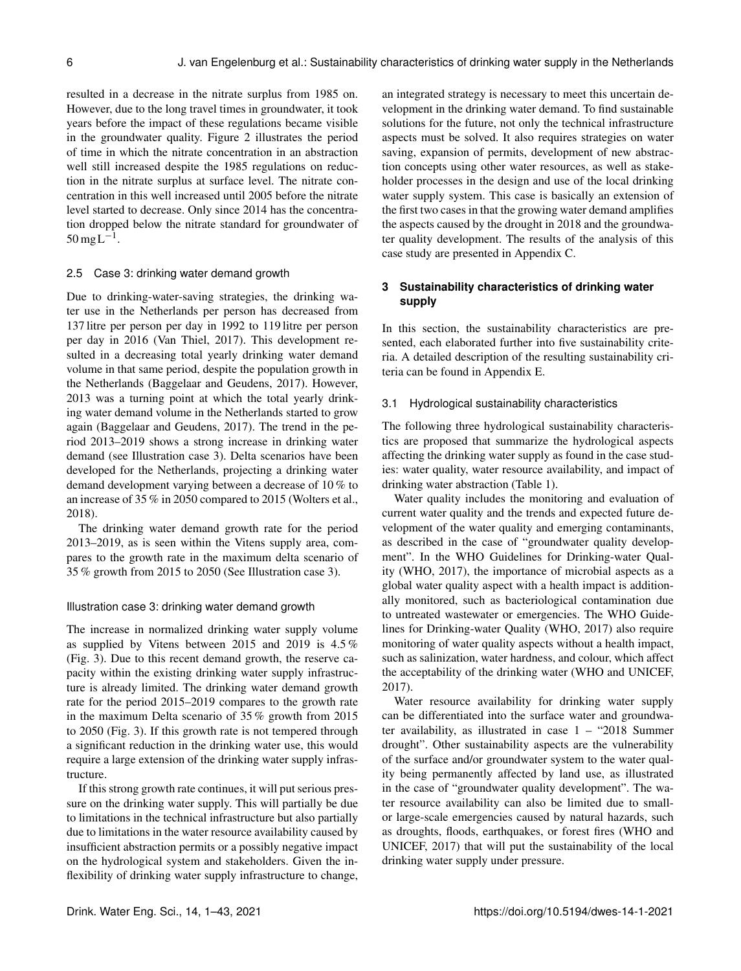resulted in a decrease in the nitrate surplus from 1985 on. However, due to the long travel times in groundwater, it took years before the impact of these regulations became visible in the groundwater quality. Figure 2 illustrates the period of time in which the nitrate concentration in an abstraction well still increased despite the 1985 regulations on reduction in the nitrate surplus at surface level. The nitrate concentration in this well increased until 2005 before the nitrate level started to decrease. Only since 2014 has the concentration dropped below the nitrate standard for groundwater of  $50 \,\mathrm{mgL}^{-1}$ .

#### 2.5 Case 3: drinking water demand growth

Due to drinking-water-saving strategies, the drinking water use in the Netherlands per person has decreased from 137 litre per person per day in 1992 to 119 litre per person per day in 2016 (Van Thiel, 2017). This development resulted in a decreasing total yearly drinking water demand volume in that same period, despite the population growth in the Netherlands (Baggelaar and Geudens, 2017). However, 2013 was a turning point at which the total yearly drinking water demand volume in the Netherlands started to grow again (Baggelaar and Geudens, 2017). The trend in the period 2013–2019 shows a strong increase in drinking water demand (see Illustration case 3). Delta scenarios have been developed for the Netherlands, projecting a drinking water demand development varying between a decrease of 10 % to an increase of 35 % in 2050 compared to 2015 (Wolters et al., 2018).

The drinking water demand growth rate for the period 2013–2019, as is seen within the Vitens supply area, compares to the growth rate in the maximum delta scenario of 35 % growth from 2015 to 2050 (See Illustration case 3).

## Illustration case 3: drinking water demand growth

The increase in normalized drinking water supply volume as supplied by Vitens between 2015 and 2019 is 4.5 % (Fig. 3). Due to this recent demand growth, the reserve capacity within the existing drinking water supply infrastructure is already limited. The drinking water demand growth rate for the period 2015–2019 compares to the growth rate in the maximum Delta scenario of 35 % growth from 2015 to 2050 (Fig. 3). If this growth rate is not tempered through a significant reduction in the drinking water use, this would require a large extension of the drinking water supply infrastructure.

If this strong growth rate continues, it will put serious pressure on the drinking water supply. This will partially be due to limitations in the technical infrastructure but also partially due to limitations in the water resource availability caused by insufficient abstraction permits or a possibly negative impact on the hydrological system and stakeholders. Given the inflexibility of drinking water supply infrastructure to change,

an integrated strategy is necessary to meet this uncertain development in the drinking water demand. To find sustainable solutions for the future, not only the technical infrastructure aspects must be solved. It also requires strategies on water saving, expansion of permits, development of new abstraction concepts using other water resources, as well as stakeholder processes in the design and use of the local drinking water supply system. This case is basically an extension of the first two cases in that the growing water demand amplifies the aspects caused by the drought in 2018 and the groundwater quality development. The results of the analysis of this case study are presented in Appendix C.

## **3 Sustainability characteristics of drinking water supply**

In this section, the sustainability characteristics are presented, each elaborated further into five sustainability criteria. A detailed description of the resulting sustainability criteria can be found in Appendix E.

#### 3.1 Hydrological sustainability characteristics

The following three hydrological sustainability characteristics are proposed that summarize the hydrological aspects affecting the drinking water supply as found in the case studies: water quality, water resource availability, and impact of drinking water abstraction (Table 1).

Water quality includes the monitoring and evaluation of current water quality and the trends and expected future development of the water quality and emerging contaminants, as described in the case of "groundwater quality development". In the WHO Guidelines for Drinking-water Quality (WHO, 2017), the importance of microbial aspects as a global water quality aspect with a health impact is additionally monitored, such as bacteriological contamination due to untreated wastewater or emergencies. The WHO Guidelines for Drinking-water Quality (WHO, 2017) also require monitoring of water quality aspects without a health impact, such as salinization, water hardness, and colour, which affect the acceptability of the drinking water (WHO and UNICEF, 2017).

Water resource availability for drinking water supply can be differentiated into the surface water and groundwater availability, as illustrated in case 1 – "2018 Summer drought". Other sustainability aspects are the vulnerability of the surface and/or groundwater system to the water quality being permanently affected by land use, as illustrated in the case of "groundwater quality development". The water resource availability can also be limited due to smallor large-scale emergencies caused by natural hazards, such as droughts, floods, earthquakes, or forest fires (WHO and UNICEF, 2017) that will put the sustainability of the local drinking water supply under pressure.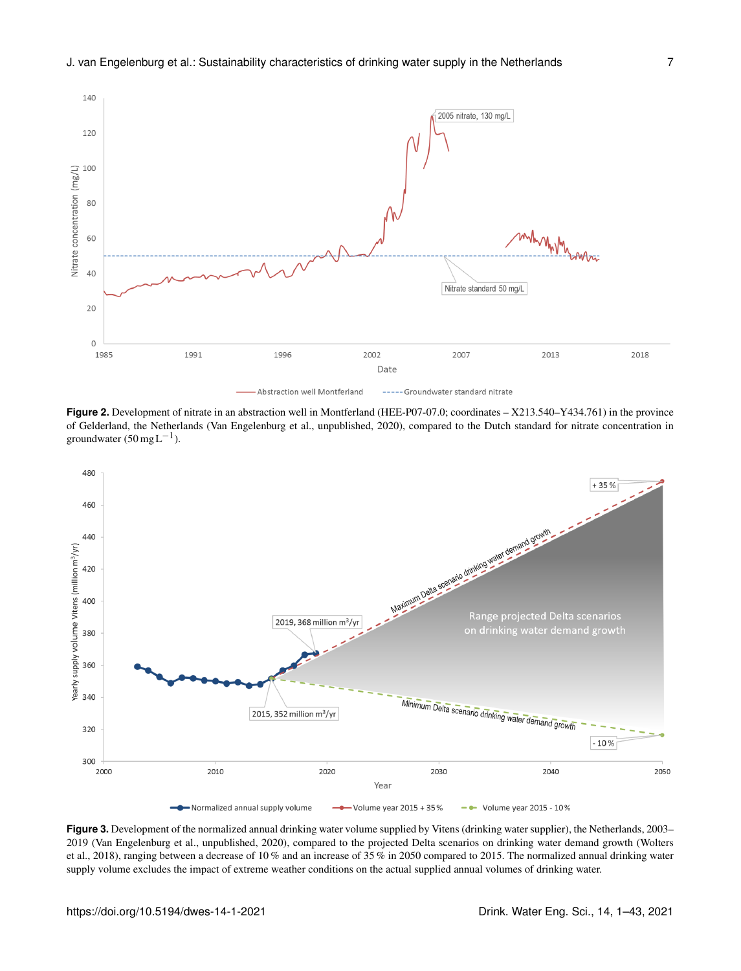

**Figure 2.** Development of nitrate in an abstraction well in Montferland (HEE-P07-07.0; coordinates – X213.540–Y434.761) in the province of Gelderland, the Netherlands (Van Engelenburg et al., unpublished, 2020), compared to the Dutch standard for nitrate concentration in groundwater  $(50 \text{ mg L}^{-1})$ .



**Figure 3.** Development of the normalized annual drinking water volume supplied by Vitens (drinking water supplier), the Netherlands, 2003– 2019 (Van Engelenburg et al., unpublished, 2020), compared to the projected Delta scenarios on drinking water demand growth (Wolters et al., 2018), ranging between a decrease of 10 % and an increase of 35 % in 2050 compared to 2015. The normalized annual drinking water supply volume excludes the impact of extreme weather conditions on the actual supplied annual volumes of drinking water.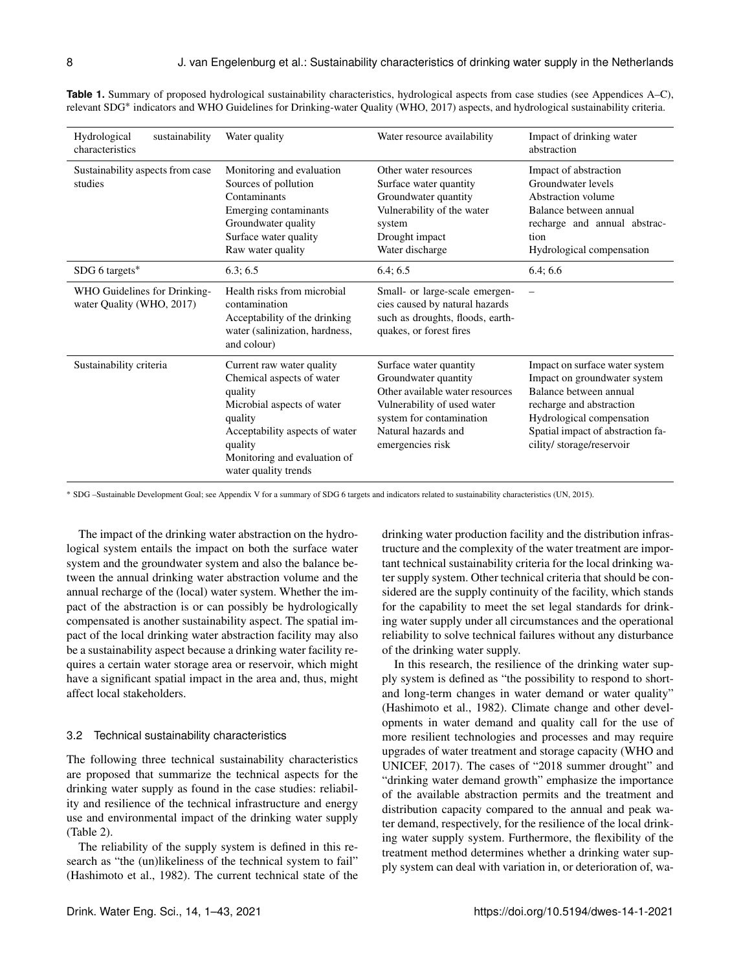| Hydrological<br>sustainability<br>characteristics         | Water quality                                                                                                                                                                                                   | Water resource availability                                                                                                                                                             | Impact of drinking water<br>abstraction                                                                                                                                                                            |
|-----------------------------------------------------------|-----------------------------------------------------------------------------------------------------------------------------------------------------------------------------------------------------------------|-----------------------------------------------------------------------------------------------------------------------------------------------------------------------------------------|--------------------------------------------------------------------------------------------------------------------------------------------------------------------------------------------------------------------|
| Sustainability aspects from case<br>studies               | Monitoring and evaluation<br>Sources of pollution<br>Contaminants<br>Emerging contaminants<br>Groundwater quality<br>Surface water quality<br>Raw water quality                                                 | Other water resources<br>Surface water quantity<br>Groundwater quantity<br>Vulnerability of the water<br>system<br>Drought impact<br>Water discharge                                    | Impact of abstraction<br>Groundwater levels<br>Abstraction volume<br>Balance between annual<br>recharge and annual abstrac-<br>tion<br>Hydrological compensation                                                   |
| SDG 6 targets*                                            | 6.3:6.5                                                                                                                                                                                                         | 6.4; 6.5                                                                                                                                                                                | 6.4:6.6                                                                                                                                                                                                            |
| WHO Guidelines for Drinking-<br>water Quality (WHO, 2017) | Health risks from microbial<br>contamination<br>Acceptability of the drinking<br>water (salinization, hardness,<br>and colour)                                                                                  | Small- or large-scale emergen-<br>cies caused by natural hazards<br>such as droughts, floods, earth-<br>quakes, or forest fires                                                         |                                                                                                                                                                                                                    |
| Sustainability criteria                                   | Current raw water quality<br>Chemical aspects of water<br>quality<br>Microbial aspects of water<br>quality<br>Acceptability aspects of water<br>quality<br>Monitoring and evaluation of<br>water quality trends | Surface water quantity<br>Groundwater quantity<br>Other available water resources<br>Vulnerability of used water<br>system for contamination<br>Natural hazards and<br>emergencies risk | Impact on surface water system<br>Impact on groundwater system<br>Balance between annual<br>recharge and abstraction<br>Hydrological compensation<br>Spatial impact of abstraction fa-<br>cility/storage/reservoir |

**Table 1.** Summary of proposed hydrological sustainability characteristics, hydrological aspects from case studies (see Appendices A–C), relevant SDG<sup>∗</sup> indicators and WHO Guidelines for Drinking-water Quality (WHO, 2017) aspects, and hydrological sustainability criteria.

<sup>∗</sup> SDG –Sustainable Development Goal; see Appendix V for a summary of SDG 6 targets and indicators related to sustainability characteristics (UN, 2015).

The impact of the drinking water abstraction on the hydrological system entails the impact on both the surface water system and the groundwater system and also the balance between the annual drinking water abstraction volume and the annual recharge of the (local) water system. Whether the impact of the abstraction is or can possibly be hydrologically compensated is another sustainability aspect. The spatial impact of the local drinking water abstraction facility may also be a sustainability aspect because a drinking water facility requires a certain water storage area or reservoir, which might have a significant spatial impact in the area and, thus, might affect local stakeholders.

#### 3.2 Technical sustainability characteristics

The following three technical sustainability characteristics are proposed that summarize the technical aspects for the drinking water supply as found in the case studies: reliability and resilience of the technical infrastructure and energy use and environmental impact of the drinking water supply (Table 2).

The reliability of the supply system is defined in this research as "the (un)likeliness of the technical system to fail" (Hashimoto et al., 1982). The current technical state of the drinking water production facility and the distribution infrastructure and the complexity of the water treatment are important technical sustainability criteria for the local drinking water supply system. Other technical criteria that should be considered are the supply continuity of the facility, which stands for the capability to meet the set legal standards for drinking water supply under all circumstances and the operational reliability to solve technical failures without any disturbance of the drinking water supply.

In this research, the resilience of the drinking water supply system is defined as "the possibility to respond to shortand long-term changes in water demand or water quality" (Hashimoto et al., 1982). Climate change and other developments in water demand and quality call for the use of more resilient technologies and processes and may require upgrades of water treatment and storage capacity (WHO and UNICEF, 2017). The cases of "2018 summer drought" and "drinking water demand growth" emphasize the importance of the available abstraction permits and the treatment and distribution capacity compared to the annual and peak water demand, respectively, for the resilience of the local drinking water supply system. Furthermore, the flexibility of the treatment method determines whether a drinking water supply system can deal with variation in, or deterioration of, wa-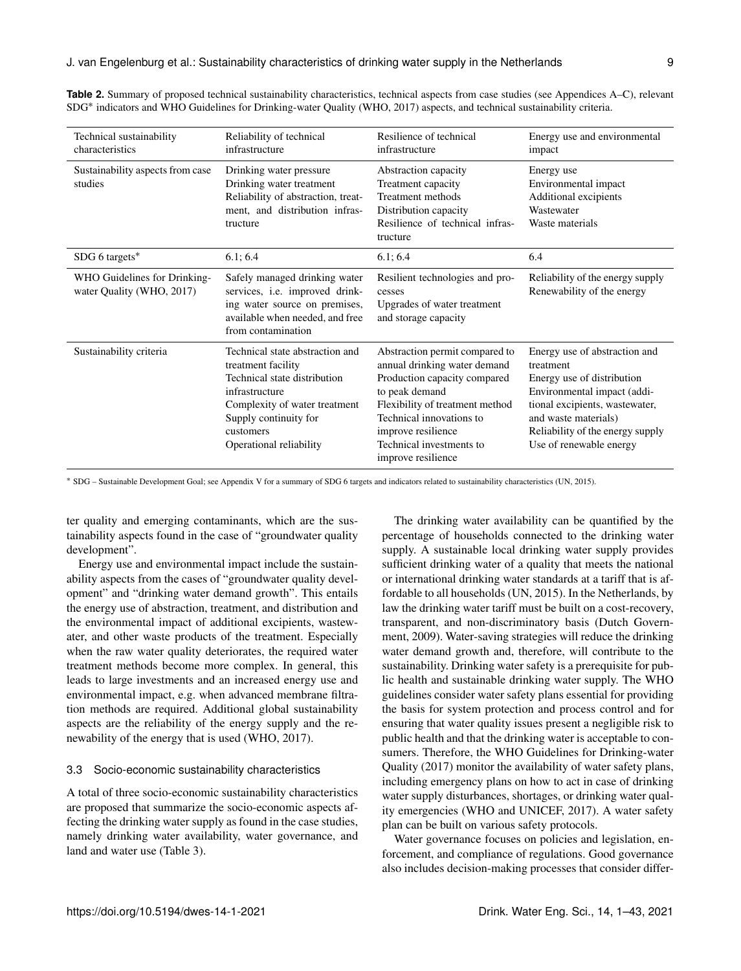| Technical sustainability<br>characteristics               | Reliability of technical<br>infrastructure                                                                                                                                                                | Resilience of technical<br>infrastructure                                                                                                                                                                                                               | Energy use and environmental<br>impact                                                                                                                                                                                           |
|-----------------------------------------------------------|-----------------------------------------------------------------------------------------------------------------------------------------------------------------------------------------------------------|---------------------------------------------------------------------------------------------------------------------------------------------------------------------------------------------------------------------------------------------------------|----------------------------------------------------------------------------------------------------------------------------------------------------------------------------------------------------------------------------------|
| Sustainability aspects from case<br>studies               | Drinking water pressure<br>Drinking water treatment<br>Reliability of abstraction, treat-<br>ment, and distribution infras-<br>tructure                                                                   | Abstraction capacity<br>Treatment capacity<br>Treatment methods<br>Distribution capacity<br>Resilience of technical infras-<br>tructure                                                                                                                 | Energy use<br>Environmental impact<br>Additional excipients<br>Wastewater<br>Waste materials                                                                                                                                     |
| SDG 6 targets*                                            | 6.1; 6.4                                                                                                                                                                                                  | 6.1; 6.4                                                                                                                                                                                                                                                | 6.4                                                                                                                                                                                                                              |
| WHO Guidelines for Drinking-<br>water Quality (WHO, 2017) | Safely managed drinking water<br>services, i.e. improved drink-<br>ing water source on premises,<br>available when needed, and free<br>from contamination                                                 | Resilient technologies and pro-<br>cesses<br>Upgrades of water treatment<br>and storage capacity                                                                                                                                                        | Reliability of the energy supply<br>Renewability of the energy                                                                                                                                                                   |
| Sustainability criteria                                   | Technical state abstraction and<br>treatment facility<br>Technical state distribution<br>infrastructure<br>Complexity of water treatment<br>Supply continuity for<br>customers<br>Operational reliability | Abstraction permit compared to<br>annual drinking water demand<br>Production capacity compared<br>to peak demand<br>Flexibility of treatment method<br>Technical innovations to<br>improve resilience<br>Technical investments to<br>improve resilience | Energy use of abstraction and<br>treatment<br>Energy use of distribution<br>Environmental impact (addi-<br>tional excipients, wastewater,<br>and waste materials)<br>Reliability of the energy supply<br>Use of renewable energy |

**Table 2.** Summary of proposed technical sustainability characteristics, technical aspects from case studies (see Appendices A–C), relevant SDG<sup>\*</sup> indicators and WHO Guidelines for Drinking-water Quality (WHO, 2017) aspects, and technical sustainability criteria.

<sup>∗</sup> SDG – Sustainable Development Goal; see Appendix V for a summary of SDG 6 targets and indicators related to sustainability characteristics (UN, 2015).

ter quality and emerging contaminants, which are the sustainability aspects found in the case of "groundwater quality development".

Energy use and environmental impact include the sustainability aspects from the cases of "groundwater quality development" and "drinking water demand growth". This entails the energy use of abstraction, treatment, and distribution and the environmental impact of additional excipients, wastewater, and other waste products of the treatment. Especially when the raw water quality deteriorates, the required water treatment methods become more complex. In general, this leads to large investments and an increased energy use and environmental impact, e.g. when advanced membrane filtration methods are required. Additional global sustainability aspects are the reliability of the energy supply and the renewability of the energy that is used (WHO, 2017).

#### 3.3 Socio-economic sustainability characteristics

A total of three socio-economic sustainability characteristics are proposed that summarize the socio-economic aspects affecting the drinking water supply as found in the case studies, namely drinking water availability, water governance, and land and water use (Table 3).

The drinking water availability can be quantified by the percentage of households connected to the drinking water supply. A sustainable local drinking water supply provides sufficient drinking water of a quality that meets the national or international drinking water standards at a tariff that is affordable to all households (UN, 2015). In the Netherlands, by law the drinking water tariff must be built on a cost-recovery, transparent, and non-discriminatory basis (Dutch Government, 2009). Water-saving strategies will reduce the drinking water demand growth and, therefore, will contribute to the sustainability. Drinking water safety is a prerequisite for public health and sustainable drinking water supply. The WHO guidelines consider water safety plans essential for providing the basis for system protection and process control and for ensuring that water quality issues present a negligible risk to public health and that the drinking water is acceptable to consumers. Therefore, the WHO Guidelines for Drinking-water Quality (2017) monitor the availability of water safety plans, including emergency plans on how to act in case of drinking water supply disturbances, shortages, or drinking water quality emergencies (WHO and UNICEF, 2017). A water safety plan can be built on various safety protocols.

Water governance focuses on policies and legislation, enforcement, and compliance of regulations. Good governance also includes decision-making processes that consider differ-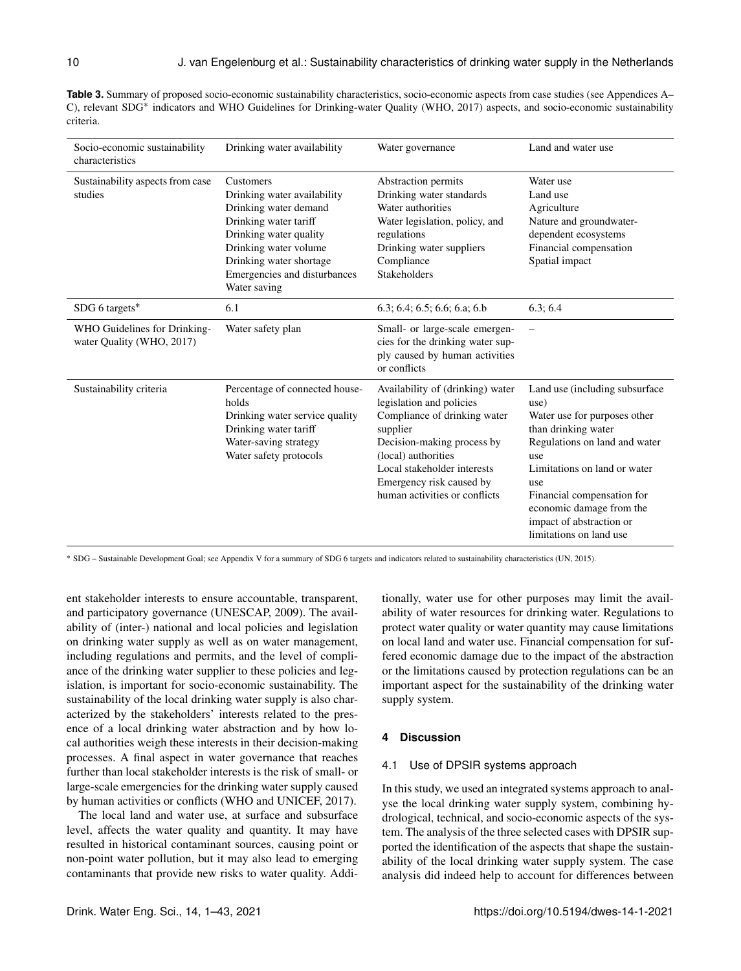Table 3. Summary of proposed socio-economic sustainability characteristics, socio-economic aspects from case studies (see Appendices A– C), relevant SDG<sup>\*</sup> indicators and WHO Guidelines for Drinking-water Quality (WHO, 2017) aspects, and socio-economic sustainability criteria.

| Socio-economic sustainability<br>characteristics          | Drinking water availability                                                                                                                                                                                              | Water governance                                                                                                                                                                                                                                          | Land and water use                                                                                                                                                                                                                                                                             |
|-----------------------------------------------------------|--------------------------------------------------------------------------------------------------------------------------------------------------------------------------------------------------------------------------|-----------------------------------------------------------------------------------------------------------------------------------------------------------------------------------------------------------------------------------------------------------|------------------------------------------------------------------------------------------------------------------------------------------------------------------------------------------------------------------------------------------------------------------------------------------------|
| Sustainability aspects from case<br>studies               | Customers<br>Drinking water availability<br>Drinking water demand<br>Drinking water tariff<br>Drinking water quality<br>Drinking water volume<br>Drinking water shortage<br>Emergencies and disturbances<br>Water saving | Abstraction permits<br>Drinking water standards<br>Water authorities<br>Water legislation, policy, and<br>regulations<br>Drinking water suppliers<br>Compliance<br>Stakeholders                                                                           | Water use<br>Land use<br>Agriculture<br>Nature and groundwater-<br>dependent ecosystems<br>Financial compensation<br>Spatial impact                                                                                                                                                            |
| SDG 6 targets*                                            | 6.1                                                                                                                                                                                                                      | 6.3; 6.4; 6.5; 6.6; 6.a; 6.b                                                                                                                                                                                                                              | 6.3; 6.4                                                                                                                                                                                                                                                                                       |
| WHO Guidelines for Drinking-<br>water Ouality (WHO, 2017) | Water safety plan                                                                                                                                                                                                        | Small- or large-scale emergen-<br>cies for the drinking water sup-<br>ply caused by human activities<br>or conflicts                                                                                                                                      |                                                                                                                                                                                                                                                                                                |
| Sustainability criteria                                   | Percentage of connected house-<br>holds<br>Drinking water service quality<br>Drinking water tariff<br>Water-saving strategy<br>Water safety protocols                                                                    | Availability of (drinking) water<br>legislation and policies<br>Compliance of drinking water<br>supplier<br>Decision-making process by<br>(local) authorities<br>Local stakeholder interests<br>Emergency risk caused by<br>human activities or conflicts | Land use (including subsurface)<br>use)<br>Water use for purposes other<br>than drinking water<br>Regulations on land and water<br>use<br>Limitations on land or water<br>use<br>Financial compensation for<br>economic damage from the<br>impact of abstraction or<br>limitations on land use |

<sup>∗</sup> SDG – Sustainable Development Goal; see Appendix V for a summary of SDG 6 targets and indicators related to sustainability characteristics (UN, 2015).

ent stakeholder interests to ensure accountable, transparent, and participatory governance (UNESCAP, 2009). The availability of (inter-) national and local policies and legislation on drinking water supply as well as on water management, including regulations and permits, and the level of compliance of the drinking water supplier to these policies and legislation, is important for socio-economic sustainability. The sustainability of the local drinking water supply is also characterized by the stakeholders' interests related to the presence of a local drinking water abstraction and by how local authorities weigh these interests in their decision-making processes. A final aspect in water governance that reaches further than local stakeholder interests is the risk of small- or large-scale emergencies for the drinking water supply caused by human activities or conflicts (WHO and UNICEF, 2017).

The local land and water use, at surface and subsurface level, affects the water quality and quantity. It may have resulted in historical contaminant sources, causing point or non-point water pollution, but it may also lead to emerging contaminants that provide new risks to water quality. Addi-

tionally, water use for other purposes may limit the availability of water resources for drinking water. Regulations to protect water quality or water quantity may cause limitations on local land and water use. Financial compensation for suffered economic damage due to the impact of the abstraction or the limitations caused by protection regulations can be an important aspect for the sustainability of the drinking water supply system.

## **4 Discussion**

## 4.1 Use of DPSIR systems approach

In this study, we used an integrated systems approach to analyse the local drinking water supply system, combining hydrological, technical, and socio-economic aspects of the system. The analysis of the three selected cases with DPSIR supported the identification of the aspects that shape the sustainability of the local drinking water supply system. The case analysis did indeed help to account for differences between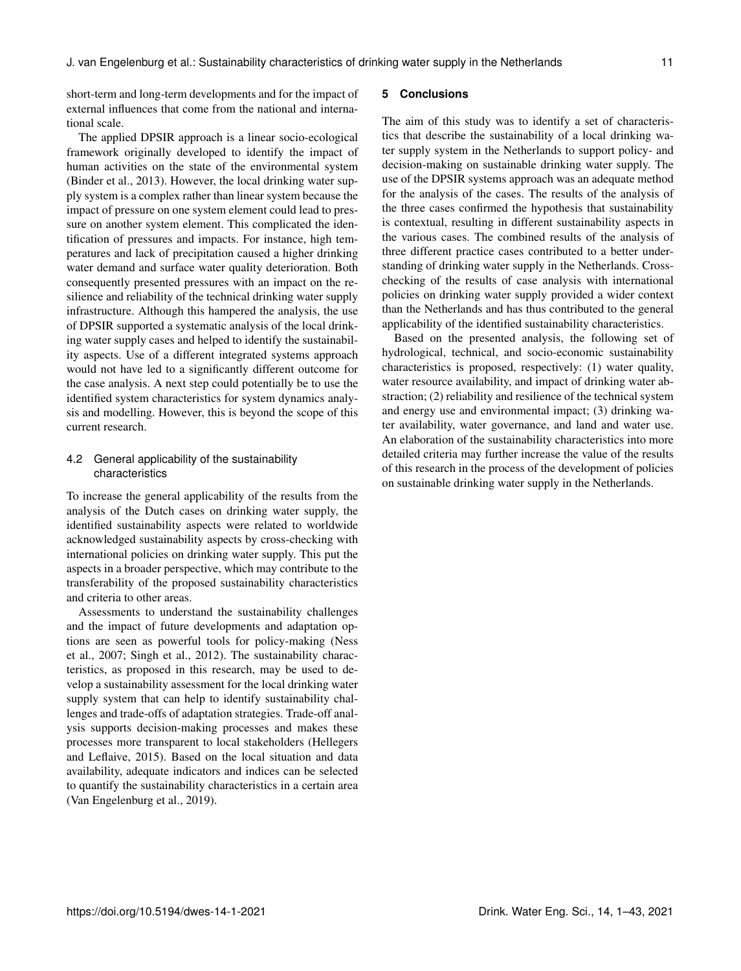short-term and long-term developments and for the impact of external influences that come from the national and international scale.

The applied DPSIR approach is a linear socio-ecological framework originally developed to identify the impact of human activities on the state of the environmental system (Binder et al., 2013). However, the local drinking water supply system is a complex rather than linear system because the impact of pressure on one system element could lead to pressure on another system element. This complicated the identification of pressures and impacts. For instance, high temperatures and lack of precipitation caused a higher drinking water demand and surface water quality deterioration. Both consequently presented pressures with an impact on the resilience and reliability of the technical drinking water supply infrastructure. Although this hampered the analysis, the use of DPSIR supported a systematic analysis of the local drinking water supply cases and helped to identify the sustainability aspects. Use of a different integrated systems approach would not have led to a significantly different outcome for the case analysis. A next step could potentially be to use the identified system characteristics for system dynamics analysis and modelling. However, this is beyond the scope of this current research.

# 4.2 General applicability of the sustainability characteristics

To increase the general applicability of the results from the analysis of the Dutch cases on drinking water supply, the identified sustainability aspects were related to worldwide acknowledged sustainability aspects by cross-checking with international policies on drinking water supply. This put the aspects in a broader perspective, which may contribute to the transferability of the proposed sustainability characteristics and criteria to other areas.

Assessments to understand the sustainability challenges and the impact of future developments and adaptation options are seen as powerful tools for policy-making (Ness et al., 2007; Singh et al., 2012). The sustainability characteristics, as proposed in this research, may be used to develop a sustainability assessment for the local drinking water supply system that can help to identify sustainability challenges and trade-offs of adaptation strategies. Trade-off analysis supports decision-making processes and makes these processes more transparent to local stakeholders (Hellegers and Leflaive, 2015). Based on the local situation and data availability, adequate indicators and indices can be selected to quantify the sustainability characteristics in a certain area (Van Engelenburg et al., 2019).

## **5 Conclusions**

The aim of this study was to identify a set of characteristics that describe the sustainability of a local drinking water supply system in the Netherlands to support policy- and decision-making on sustainable drinking water supply. The use of the DPSIR systems approach was an adequate method for the analysis of the cases. The results of the analysis of the three cases confirmed the hypothesis that sustainability is contextual, resulting in different sustainability aspects in the various cases. The combined results of the analysis of three different practice cases contributed to a better understanding of drinking water supply in the Netherlands. Crosschecking of the results of case analysis with international policies on drinking water supply provided a wider context than the Netherlands and has thus contributed to the general applicability of the identified sustainability characteristics.

Based on the presented analysis, the following set of hydrological, technical, and socio-economic sustainability characteristics is proposed, respectively: (1) water quality, water resource availability, and impact of drinking water abstraction; (2) reliability and resilience of the technical system and energy use and environmental impact; (3) drinking water availability, water governance, and land and water use. An elaboration of the sustainability characteristics into more detailed criteria may further increase the value of the results of this research in the process of the development of policies on sustainable drinking water supply in the Netherlands.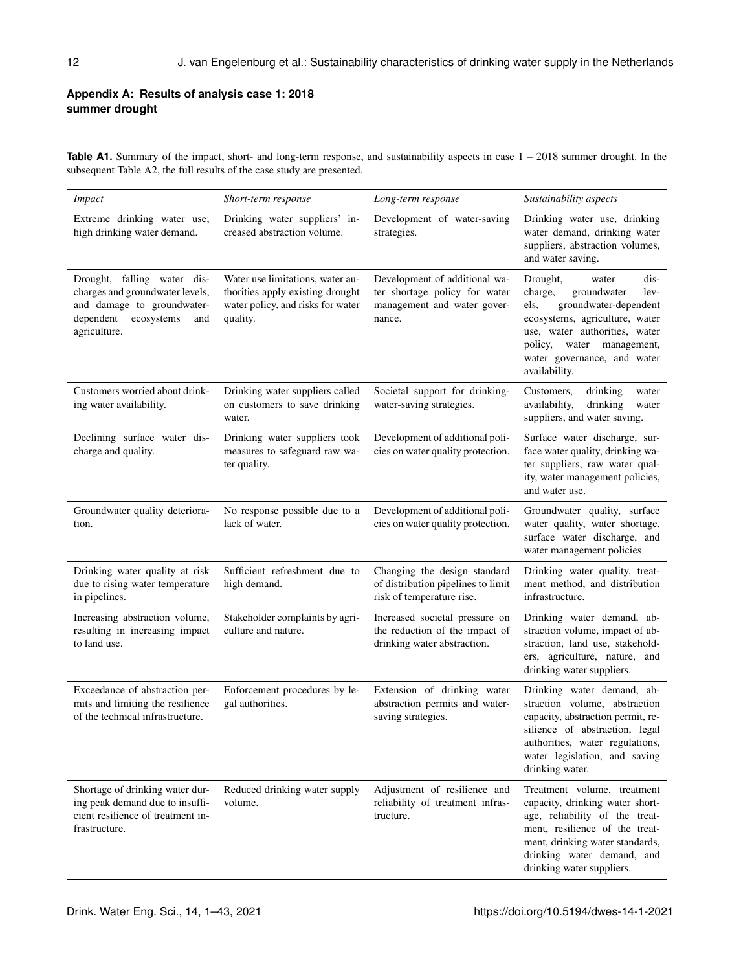# **Appendix A: Results of analysis case 1: 2018 summer drought**

**Table A1.** Summary of the impact, short- and long-term response, and sustainability aspects in case  $1 - 2018$  summer drought. In the subsequent Table A2, the full results of the case study are presented.

| Impact                                                                                                                                         | Short-term response                                                                                                   | Long-term response                                                                                      | Sustainability aspects                                                                                                                                                                                                                       |
|------------------------------------------------------------------------------------------------------------------------------------------------|-----------------------------------------------------------------------------------------------------------------------|---------------------------------------------------------------------------------------------------------|----------------------------------------------------------------------------------------------------------------------------------------------------------------------------------------------------------------------------------------------|
| Extreme drinking water use;<br>high drinking water demand.                                                                                     | Drinking water suppliers' in-<br>creased abstraction volume.                                                          | Development of water-saving<br>strategies.                                                              | Drinking water use, drinking<br>water demand, drinking water<br>suppliers, abstraction volumes,<br>and water saving.                                                                                                                         |
| Drought, falling water dis-<br>charges and groundwater levels,<br>and damage to groundwater-<br>dependent<br>ecosystems<br>and<br>agriculture. | Water use limitations, water au-<br>thorities apply existing drought<br>water policy, and risks for water<br>quality. | Development of additional wa-<br>ter shortage policy for water<br>management and water gover-<br>nance. | Drought,<br>dis-<br>water<br>charge,<br>groundwater<br>lev-<br>groundwater-dependent<br>els,<br>ecosystems, agriculture, water<br>use, water authorities, water<br>policy, water management,<br>water governance, and water<br>availability. |
| Customers worried about drink-<br>ing water availability.                                                                                      | Drinking water suppliers called<br>on customers to save drinking<br>water.                                            | Societal support for drinking-<br>water-saving strategies.                                              | Customers,<br>drinking<br>water<br>availability,<br>drinking<br>water<br>suppliers, and water saving.                                                                                                                                        |
| Declining surface water dis-<br>charge and quality.                                                                                            | Drinking water suppliers took<br>measures to safeguard raw wa-<br>ter quality.                                        | Development of additional poli-<br>cies on water quality protection.                                    | Surface water discharge, sur-<br>face water quality, drinking wa-<br>ter suppliers, raw water qual-<br>ity, water management policies,<br>and water use.                                                                                     |
| Groundwater quality deteriora-<br>tion.                                                                                                        | No response possible due to a<br>lack of water.                                                                       | Development of additional poli-<br>cies on water quality protection.                                    | Groundwater quality, surface<br>water quality, water shortage,<br>surface water discharge, and<br>water management policies                                                                                                                  |
| Drinking water quality at risk<br>due to rising water temperature<br>in pipelines.                                                             | Sufficient refreshment due to<br>high demand.                                                                         | Changing the design standard<br>of distribution pipelines to limit<br>risk of temperature rise.         | Drinking water quality, treat-<br>ment method, and distribution<br>infrastructure.                                                                                                                                                           |
| Increasing abstraction volume,<br>resulting in increasing impact<br>to land use.                                                               | Stakeholder complaints by agri-<br>culture and nature.                                                                | Increased societal pressure on<br>the reduction of the impact of<br>drinking water abstraction.         | Drinking water demand, ab-<br>straction volume, impact of ab-<br>straction, land use, stakehold-<br>ers, agriculture, nature, and<br>drinking water suppliers.                                                                               |
| Exceedance of abstraction per-<br>mits and limiting the resilience<br>of the technical infrastructure.                                         | Enforcement procedures by le-<br>gal authorities.                                                                     | Extension of drinking water<br>abstraction permits and water-<br>saving strategies.                     | Drinking water demand, ab-<br>straction volume, abstraction<br>capacity, abstraction permit, re-<br>silience of abstraction, legal<br>authorities, water regulations,<br>water legislation, and saving<br>drinking water.                    |
| Shortage of drinking water dur-<br>ing peak demand due to insuffi-<br>cient resilience of treatment in-<br>frastructure.                       | Reduced drinking water supply<br>volume.                                                                              | Adjustment of resilience and<br>reliability of treatment infras-<br>tructure.                           | Treatment volume, treatment<br>capacity, drinking water short-<br>age, reliability of the treat-<br>ment, resilience of the treat-<br>ment, drinking water standards,<br>drinking water demand, and<br>drinking water suppliers.             |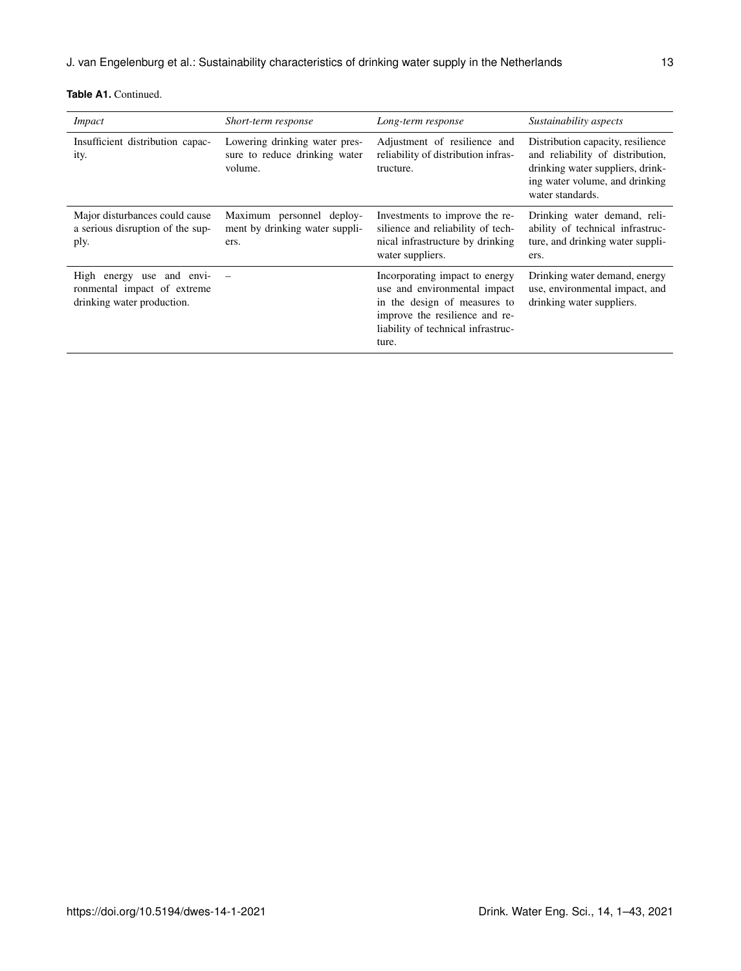| <b>Impact</b>                                                                          | Short-term response                                                       | Long-term response                                                                                                                                                              | Sustainability aspects                                                                                                                                          |
|----------------------------------------------------------------------------------------|---------------------------------------------------------------------------|---------------------------------------------------------------------------------------------------------------------------------------------------------------------------------|-----------------------------------------------------------------------------------------------------------------------------------------------------------------|
| Insufficient distribution capac-<br>ity.                                               | Lowering drinking water pres-<br>sure to reduce drinking water<br>volume. | Adjustment of resilience and<br>reliability of distribution infras-<br>tructure.                                                                                                | Distribution capacity, resilience<br>and reliability of distribution,<br>drinking water suppliers, drink-<br>ing water volume, and drinking<br>water standards. |
| Major disturbances could cause<br>a serious disruption of the sup-<br>ply.             | Maximum personnel deploy-<br>ment by drinking water suppli-<br>ers.       | Investments to improve the re-<br>silience and reliability of tech-<br>nical infrastructure by drinking<br>water suppliers.                                                     | Drinking water demand, reli-<br>ability of technical infrastruc-<br>ture, and drinking water suppli-<br>ers.                                                    |
| High energy use and envi-<br>ronmental impact of extreme<br>drinking water production. |                                                                           | Incorporating impact to energy<br>use and environmental impact<br>in the design of measures to<br>improve the resilience and re-<br>liability of technical infrastruc-<br>ture. | Drinking water demand, energy<br>use, environmental impact, and<br>drinking water suppliers.                                                                    |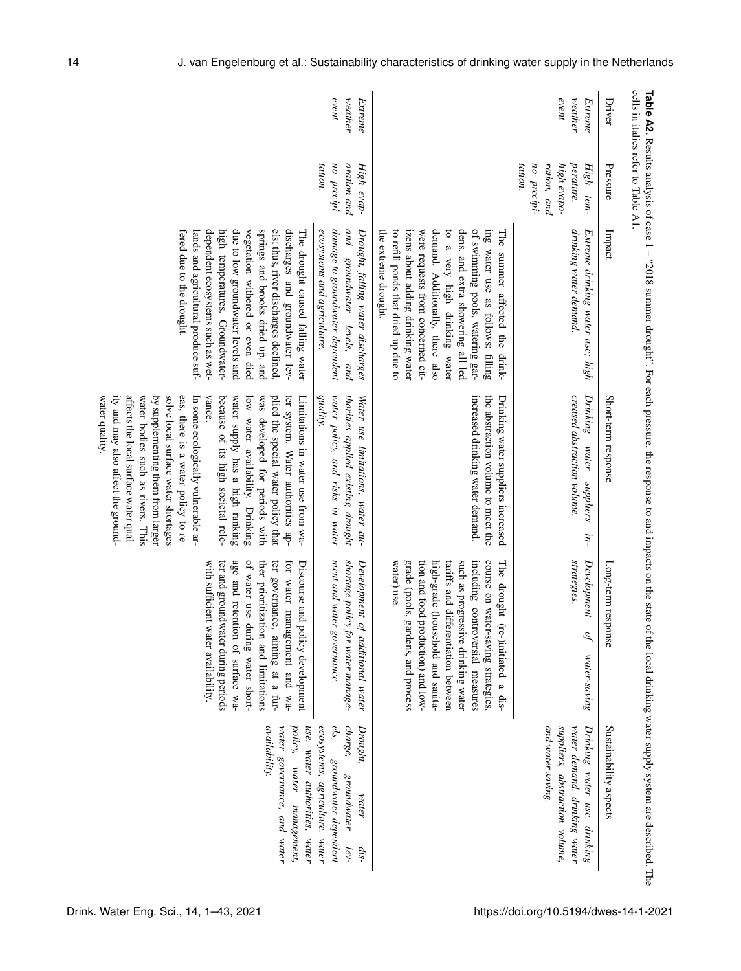| Driver                          | Pressure                                                                       | Impact                                                                                                                                                                                                                                                                                                                                                                | Short-term response                                                                                                                                                                                                                                                                                                                                                                                                                                                                                                                                                     | Long-term response                                                                                                                                                                                                                                                                                                                | Sustainability aspects                                                                                                        |
|---------------------------------|--------------------------------------------------------------------------------|-----------------------------------------------------------------------------------------------------------------------------------------------------------------------------------------------------------------------------------------------------------------------------------------------------------------------------------------------------------------------|-------------------------------------------------------------------------------------------------------------------------------------------------------------------------------------------------------------------------------------------------------------------------------------------------------------------------------------------------------------------------------------------------------------------------------------------------------------------------------------------------------------------------------------------------------------------------|-----------------------------------------------------------------------------------------------------------------------------------------------------------------------------------------------------------------------------------------------------------------------------------------------------------------------------------|-------------------------------------------------------------------------------------------------------------------------------|
| event<br>we at the r<br>Extreme | tation.<br>no precipi-<br>ration, and<br>high evapo-<br>perature,<br>High tem- | drinking water demand.<br>Extreme drinking water use; high                                                                                                                                                                                                                                                                                                            | creased abstraction volume.<br>Drinking<br>water<br>suppliers<br>in-                                                                                                                                                                                                                                                                                                                                                                                                                                                                                                    | strategies.<br>Development<br>Òf<br>$water\text{-}saving$                                                                                                                                                                                                                                                                         | suppliers, abstraction volume,<br>and water saving.<br>water demand, drinking water<br>Drinking water use, drinking           |
|                                 |                                                                                | demand. Additionally, there also<br>of swimming pools, watering gar-<br>ing water use as follows: filling<br>to refill ponds that dried up due to<br>izens about adding drinking water<br>were requests from concerned cit-<br>to a very high drinking water<br>dens, and extra showering all led<br>the extreme drought.<br>The summer affected the drink-           | increased drinking water demand.<br>the abstraction volume to meet the<br>Drinking water suppliers increased                                                                                                                                                                                                                                                                                                                                                                                                                                                            | tion and food<br>such as progressive drinking water<br>including controversial measures<br>course on water-saving strategies,<br>water) use.<br>grade (pools,<br>high-grade (household and sanita-<br>tariffs and differentiation between<br>The drought<br>gardens, and process<br>production) and low-<br>(re-)initiated a dis- |                                                                                                                               |
| event<br>weather<br>Extreme     | oration and<br>tation.<br>no precipi-<br>High evap-                            | damage to groundwater-dependent<br>and groundwater levels, and<br>ecosystems and agriculture.<br>Drought, falling water discharges                                                                                                                                                                                                                                    | water policy, and risks in water<br>thorities applied existing drought<br>quality.<br>Water use limitations, water au-                                                                                                                                                                                                                                                                                                                                                                                                                                                  | shortage policy for water manage-<br>ment and water governance.<br>Development of additional water                                                                                                                                                                                                                                | charge,<br>ecosystems, agriculture, water<br>els,<br>Drought,<br>groundwater-dependent<br>groundwater<br>water<br>lev-<br>dis |
|                                 |                                                                                | springs and brooks dried up, and<br>dependent ecosystems such as wet-<br>high temperatures. Groundwater-<br>due to low groundwater levels and<br>els; thus, river discharges declined.<br>discharges and groundwater lev-<br>fered due to the drought.<br>vegetation withered or even died<br>lands and agricultural produce suf-<br>The drought caused falling water | affects the local surface water qual-<br>eas, there is a water policy to re-<br>ity and may also affect the ground-<br>water bodies such as rivers. This<br>by supplementing them from larger<br>solve local surface water shortages<br>In some ecologically vulnerable ar-<br>vance.<br>because of its high societal rele-<br>water supply has a high ranking<br>low water availability. Drinking<br>was developed for periods with<br>plied the special water policy that<br>ter system. Water authorities ap-<br>water quality.<br>Limitations in water use from wa- | age and retention of surface wa-<br>of water use during water short-<br>ter and groundwater during periods<br>ther prioritization and limitations<br>ter governance, aiming at a fur-<br>for water management and wa-<br>with sufficient<br>Discourse and<br>water availability.<br>policy development                            | use, water authorities, water<br>availability.<br>water governance, and water<br>policy,<br>water management,                 |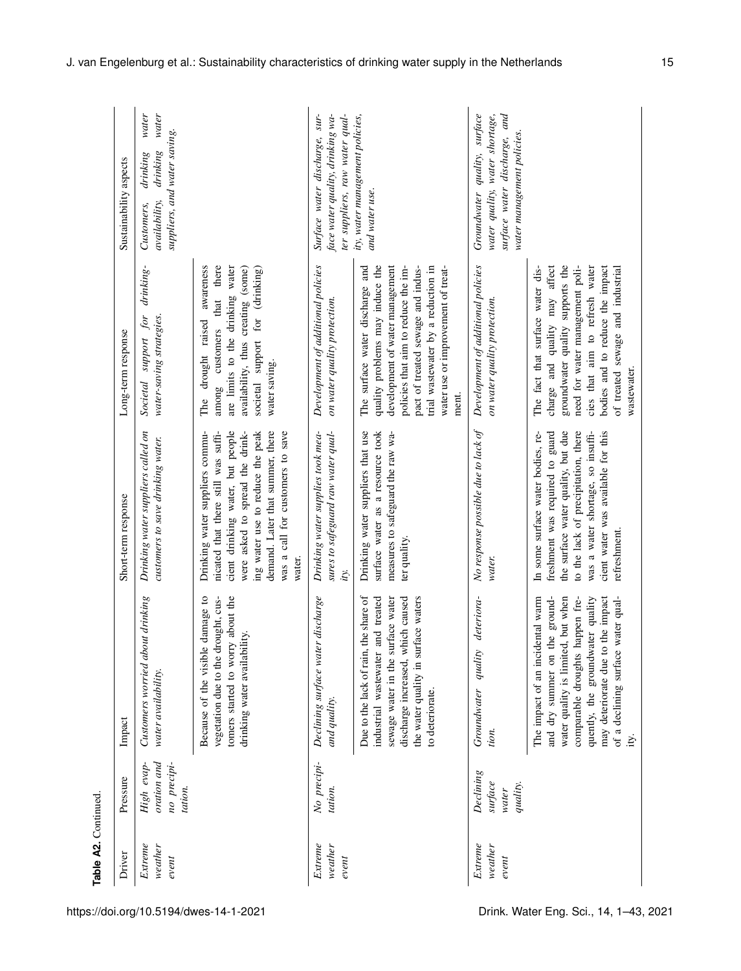| Driver                         | Pressure                                           | Impact                                                                                                                                                                                                                                                                    | Short-term response                                                                                                                                                                                                                                                 | Long-term response                                                                                                                                                                                                                                                     | Sustainability aspects                                                                                                         |                |
|--------------------------------|----------------------------------------------------|---------------------------------------------------------------------------------------------------------------------------------------------------------------------------------------------------------------------------------------------------------------------------|---------------------------------------------------------------------------------------------------------------------------------------------------------------------------------------------------------------------------------------------------------------------|------------------------------------------------------------------------------------------------------------------------------------------------------------------------------------------------------------------------------------------------------------------------|--------------------------------------------------------------------------------------------------------------------------------|----------------|
| Extreme<br>$we$ ather<br>event | oration and<br>no precipi-<br>High evap<br>tation. | Customers worried about drinking<br>water availability.                                                                                                                                                                                                                   | Drinking water suppliers called on<br>customers to save drinking water.                                                                                                                                                                                             | drinking-<br>water-saving strategies.<br>$\it for$<br><i>support</i><br>Societal                                                                                                                                                                                       | suppliers, and water saving.<br>drinking<br>drinking<br>availability,<br>Customers,                                            | water<br>water |
|                                |                                                    | tomers started to worry about the<br>damage to<br>vegetation due to the drought, cus-<br>lity.<br>Because of the visible<br>drinking water availabi                                                                                                                       | was a call for customers to save<br>cient drinking water, but people<br>demand. Later that summer, there<br>were asked to spread the drink-<br>ing water use to reduce the peak<br>Drinking water suppliers commu-<br>nicated that there still was suffi-<br>water. | are limits to the drinking water<br>awareness<br>that there<br>availability, thus creating (some)<br>societal support for (drinking)<br>raised<br>customers<br>drought<br>water saving.<br>among<br>The                                                                |                                                                                                                                |                |
| Extreme<br>weather<br>event    | No precipi-<br>tation.                             | Declining surface water discharge<br>and quality.                                                                                                                                                                                                                         | Drinking water supplies took mea-<br>sures to safeguard raw water qual-<br>ity.                                                                                                                                                                                     | Development of additional policies<br>on water quality protection.                                                                                                                                                                                                     | ter suppliers, raw water qual-<br>Surface water discharge, sur-<br>face water quality, drinking wa-                            |                |
|                                |                                                    | the share of<br>and treated<br>sewage water in the surface water<br>discharge increased, which caused<br>the water quality in surface waters<br>industrial wastewater<br>Due to the lack of rain,<br>to deteriorate                                                       | Drinking water suppliers that use<br>surface water as a resource took<br>measures to safeguard the raw wa-<br>ter quality.                                                                                                                                          | quality problems may induce the<br>development of water management<br>policies that aim to reduce the im-<br>pact of treated sewage and indus-<br>trial wastewater by a reduction in<br>The surface water discharge and<br>water use or improvement of treat-<br>ment. | ity, water management policies,<br>and water use.                                                                              |                |
| Extreme<br>weather<br>event    | Declining<br>surface<br>quality.<br>water          | deteriora-<br>Groundwater quality<br>tion.                                                                                                                                                                                                                                | No response possible due to lack of<br>water.                                                                                                                                                                                                                       | Development of additional policies<br>on water quality protection.                                                                                                                                                                                                     | quality, surface<br>surface water discharge, and<br>water quality, water shortage,<br>water management policies<br>Groundwater |                |
|                                |                                                    | The impact of an incidental warm<br>and dry summer on the ground-<br>water quality is limited, but when<br>nappen fre-<br>quently, the groundwater quality<br>may deteriorate due to the impact<br>water qual-<br>comparable droughts I<br>of a declining surface<br>ity. | the surface water quality, but due<br>to the lack of precipitation, there<br>cient water was available for this<br>was a water shortage, so insuffi-<br>In some surface water bodies, re-<br>freshment was required to guard<br>refreshment.                        | groundwater quality supports the<br>need for water management poli-<br>cies that aim to refresh water<br>of treated sewage and industrial<br>charge and quality may affect<br>bodies and to reduce the impact<br>The fact that surface water dis-<br>wastewater.       |                                                                                                                                |                |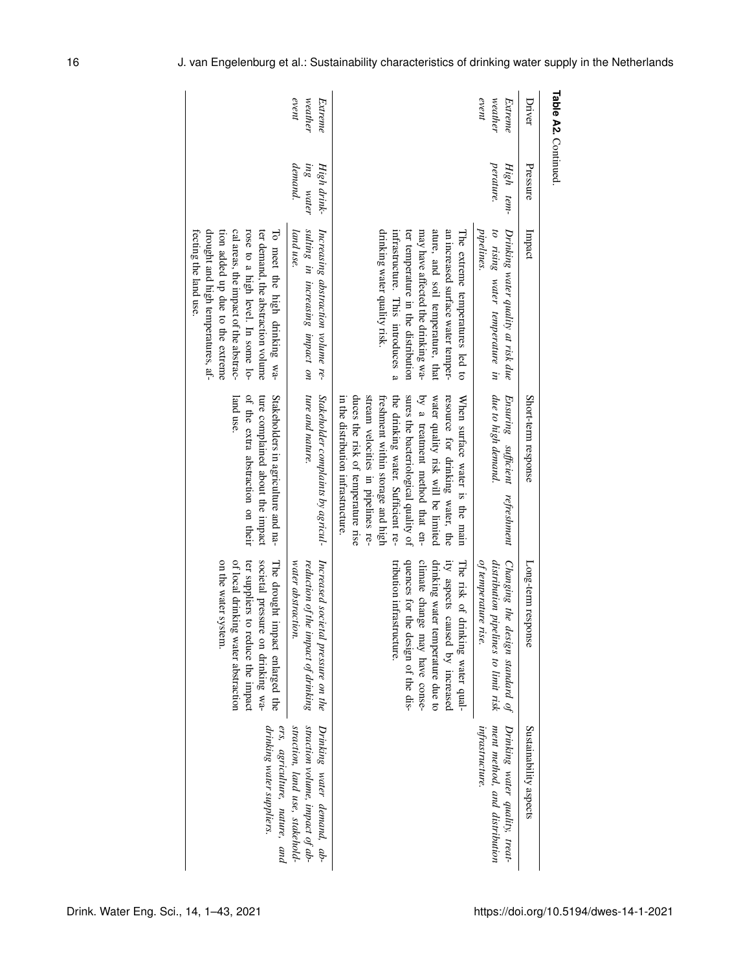| Driver                      | Pressure                                    | Impact                                                                                                                                                                                                                                                       | Short-term response                                                                                                                                                                                                                                                                                                                                                              | Long-term response                                                                                                                                                                                            | Sustainability aspects                                                                           |
|-----------------------------|---------------------------------------------|--------------------------------------------------------------------------------------------------------------------------------------------------------------------------------------------------------------------------------------------------------------|----------------------------------------------------------------------------------------------------------------------------------------------------------------------------------------------------------------------------------------------------------------------------------------------------------------------------------------------------------------------------------|---------------------------------------------------------------------------------------------------------------------------------------------------------------------------------------------------------------|--------------------------------------------------------------------------------------------------|
| event<br>weather<br>Extreme | perature.<br>High tem-                      | pipelines.<br>to rising water temperature in<br>Drinking water quality at risk due                                                                                                                                                                           | due to high demand.<br>Ensuring sufficient<br>refreshment                                                                                                                                                                                                                                                                                                                        | Changing the design standard of<br>distribution pipelines to limit risk<br>of temperature rise.                                                                                                               | Drinking water quality, treat-<br>ment method, and distribution<br>infrastructure.               |
|                             |                                             | ature, and soil temperature, that<br>drinking water quality risk.<br>infrastructure. This introduces a<br>may have affected the drinking wa-<br>an increased surface water temper-<br>The extreme temperatures led to<br>ter temperature in the distribution | duces the risk of temperature rise<br>the drinking water. Sufficient re-<br>sures the bacteriological quality of<br>by a treatment method that en-<br>water quality risk will be limited<br>resource for drinking water, the<br>stream velocities in pipelines re-<br>in the distribution infrastructure.<br>When surface water is the main<br>freshment within storage and high | quences for the design of the dis-<br>drinking water temperature due to<br>climate change may have conse-<br>ity aspects caused by increased<br>tribution infrastructure.<br>The risk of drinking water qual- |                                                                                                  |
| event<br>weather<br>Extreme | <i>demand</i> .<br>ing water<br>High drink- | sulting in increasing impact on<br>Increasing abstraction volume re-<br>land use.                                                                                                                                                                            | ture and nature.<br>Stakeholder complaints by agricul-                                                                                                                                                                                                                                                                                                                           | Increased societal pressure on the<br>reduction of the impact of drinking<br>water abstraction.                                                                                                               | straction volume, impact of ab-<br>Drinking water demand, ab-<br>straction, land use, stakehold- |
|                             |                                             | drought and high temperatures, af-<br>cal areas, the impact of the abstrac-<br>tion added up due to the extreme<br>rose to a high level. In some lo-<br>ter demand, the abstraction volume<br>fecting the land use.<br>To meet the high drinking wa-         | of the extra abstraction on their<br>land use<br>ture complained about the impact<br>Stakeholders in agriculture and na-                                                                                                                                                                                                                                                         | on the water system<br>ter suppliers to reduce the impact<br>of local drinking water abstraction<br>societal pressure on drinking wa-<br>The drought impact enlarged the                                      | ers, agriculture, nature, and<br>drinking water suppliers.                                       |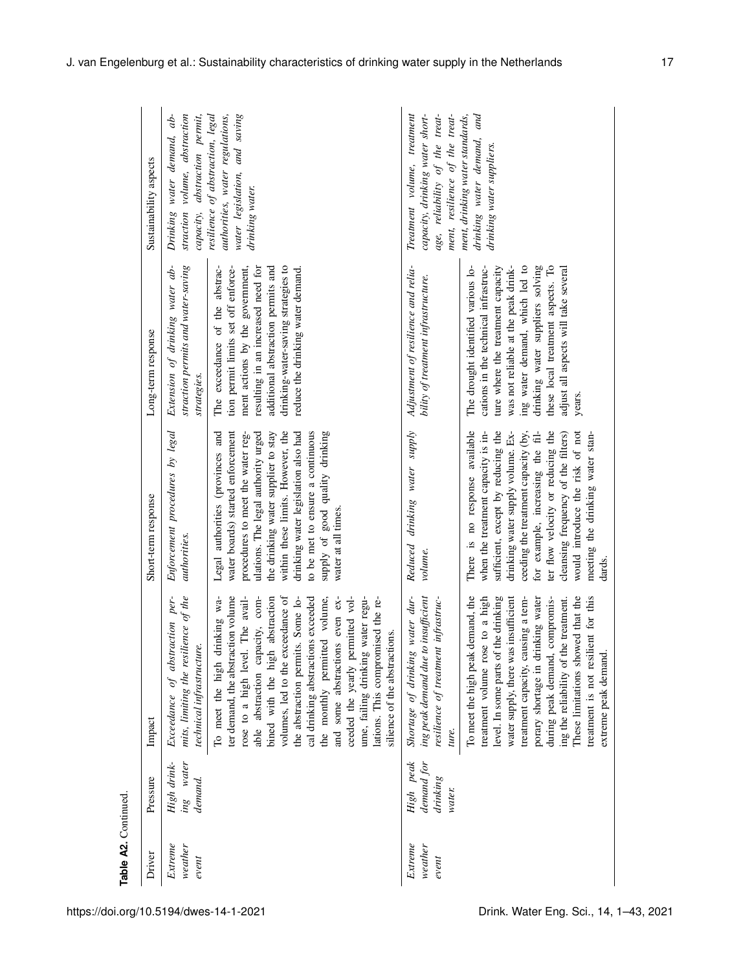|                     | Sustainability aspects | straction volume, abstraction<br>capacity, abstraction permit,<br>$ab -$<br>water demand,<br>Drinking | resilience of abstraction, legal<br>water legislation, and saving<br>authorities, water regulations,<br>drinking water.                                                                                                                                                                                                                                                                                                                                                                                                     | Treatment volume, treatment<br>capacity, drinking water short-<br>age, reliability of the treat-<br>ment, resilience of the treat- | drinking water demand, and<br>ment, drinking water standards,<br>drinking water suppliers                                                                                                                                                                                                                                                                                                                      |
|---------------------|------------------------|-------------------------------------------------------------------------------------------------------|-----------------------------------------------------------------------------------------------------------------------------------------------------------------------------------------------------------------------------------------------------------------------------------------------------------------------------------------------------------------------------------------------------------------------------------------------------------------------------------------------------------------------------|------------------------------------------------------------------------------------------------------------------------------------|----------------------------------------------------------------------------------------------------------------------------------------------------------------------------------------------------------------------------------------------------------------------------------------------------------------------------------------------------------------------------------------------------------------|
|                     | Long-term response     | straction permits and water-saving<br>Extension of drinking water ab-<br>strategies.                  | drinking-water-saving strategies to<br>The exceedance of the abstrac-<br>ment actions by the government,<br>resulting in an increased need for<br>tion permit limits set off enforce-<br>additional abstraction permits and<br>reduce the drinking water demand.                                                                                                                                                                                                                                                            | Adjustment of resilience and relia-<br>bility of treatment infrastructure.                                                         | ing water demand, which led to<br>drinking water suppliers solving<br>these local treatment aspects. To<br>The drought identified various lo-<br>cations in the technical infrastruc-<br>ture where the treatment capacity<br>was not reliable at the peak drink-<br>adjust all aspects will take several<br>years.                                                                                            |
|                     | Short-term response    | Enforcement procedures by legal<br>authorities.                                                       | Legal authorities (provinces and<br>water boards) started enforcement<br>within these limits. However, the<br>to be met to ensure a continuous<br>supply of good quality drinking<br>the drinking water supplier to stay<br>drinking water legislation also had<br>ulations. The legal authority urged<br>procedures to meet the water reg-<br>water at all times.                                                                                                                                                          | Reduced drinking water supply<br>volume.                                                                                           | There is no response available<br>sufficient, except by reducing the<br>ter flow velocity or reducing the<br>would introduce the risk of not<br>when the treatment capacity is in-<br>drinking water supply volume. Ex-<br>for example, increasing the fil-<br>cleansing frequency of the filters)<br>meeting the drinking water stan-<br>ceeding the treatment capacity (by,<br>dards.                        |
|                     | Impact                 | mits, limiting the resilience of the<br>Exceedance of abstraction per-<br>technical infrastructure    | ter demand, the abstraction volume<br>volumes, led to the exceedance of<br>and some abstractions even ex-<br>water regu-<br>To meet the high drinking wa-<br>The avail-<br>capacity, com-<br>abstraction<br>the abstraction permits. Some lo-<br>cal drinking abstractions exceeded<br>the monthly permitted volume,<br>ceeded the yearly permitted vol-<br>lations. This compromised the re-<br>silience of the abstractions.<br>rose to a high level.<br>ume, failing drinking<br>bined with the high<br>able abstraction | water dur-<br>ing peak demand due to insufficient<br>infrastruc-<br>resilience of treatment<br>Shortage of drinking<br>ture.       | These limitations showed that the<br>To meet the high peak demand, the<br>treatment volume rose to a high<br>level. In some parts of the drinking<br>water supply, there was insufficient<br>treatment capacity, causing a tem-<br>porary shortage in drinking water<br>during peak demand, compromis-<br>treatment is not resilient for this<br>ing the reliability of the treatment.<br>extreme peak demand. |
|                     | Pressure               | ing water<br>High drink-<br>demand.                                                                   |                                                                                                                                                                                                                                                                                                                                                                                                                                                                                                                             | High peak<br>demand for<br>drinking<br>water.                                                                                      |                                                                                                                                                                                                                                                                                                                                                                                                                |
| Table A2. Continued | Driver                 | Extreme<br>weather<br>event                                                                           |                                                                                                                                                                                                                                                                                                                                                                                                                                                                                                                             | Extreme<br>weather<br>event                                                                                                        |                                                                                                                                                                                                                                                                                                                                                                                                                |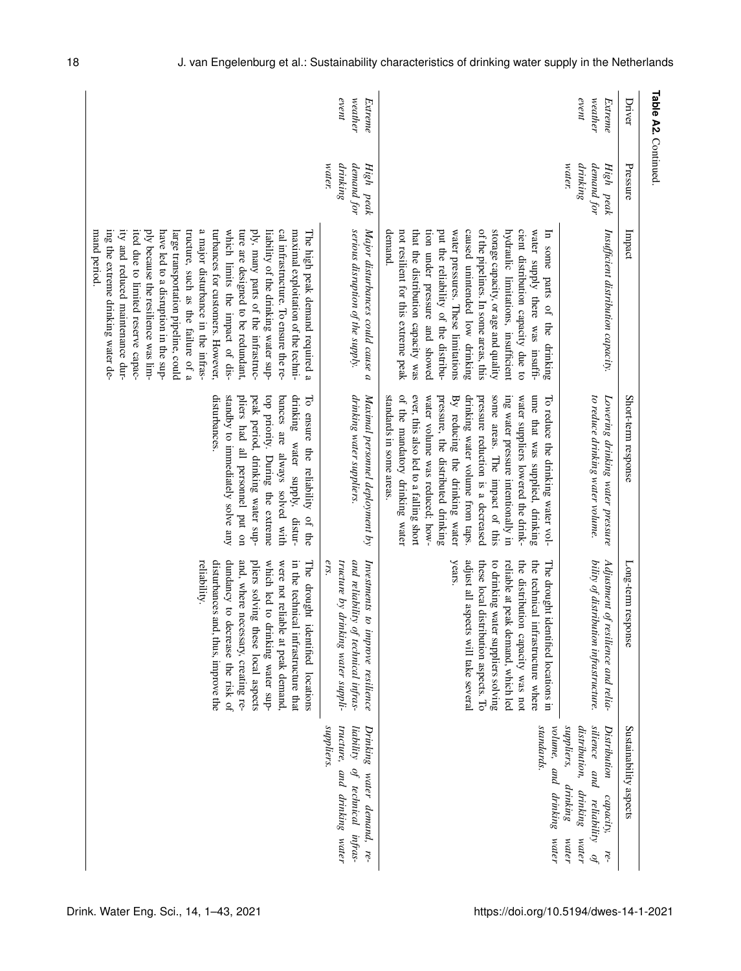| Table A2. Continued.<br>Driver | Pressure                                         | Impact                                                                                                                                                                                                                                                                                                                                                                                                                                                                                                                                                                                                                                         | Short-term response                                                                                                                                                                                                                                                                                                                                                                                                                                                             | Long-term res<br>bonse                                                                                                                                                                                                                                                                                                         | Sustainability aspects                                                                                                                     |
|--------------------------------|--------------------------------------------------|------------------------------------------------------------------------------------------------------------------------------------------------------------------------------------------------------------------------------------------------------------------------------------------------------------------------------------------------------------------------------------------------------------------------------------------------------------------------------------------------------------------------------------------------------------------------------------------------------------------------------------------------|---------------------------------------------------------------------------------------------------------------------------------------------------------------------------------------------------------------------------------------------------------------------------------------------------------------------------------------------------------------------------------------------------------------------------------------------------------------------------------|--------------------------------------------------------------------------------------------------------------------------------------------------------------------------------------------------------------------------------------------------------------------------------------------------------------------------------|--------------------------------------------------------------------------------------------------------------------------------------------|
| event<br>we at her<br>Extreme  | drinking<br>water.<br>demand for<br>High<br>peak | Insufficient distribution capacity.                                                                                                                                                                                                                                                                                                                                                                                                                                                                                                                                                                                                            | to reduce drinking water volume.<br>Lowering drinking water pressure                                                                                                                                                                                                                                                                                                                                                                                                            | bility of distribution infrastructure.<br>Adjustment of<br>resilience and relia-                                                                                                                                                                                                                                               | silience and<br>suppliers,<br>distribution, drinking<br>Distribution<br>drinking<br>capacity,<br>reliability<br>water<br>water<br>re-<br>ą |
|                                |                                                  | of the pipelines. In some areas, this<br>storage capacity, or age and quality<br>put the reliability of the distribu-<br>caused unintended low drinking<br>cient distribution capacity due to<br>water supply there was insuffi-<br>demand.<br>not resilient for this extreme peak<br>that the distribution capacity was<br>tion under pressure and showed<br>water pressures. These limitations<br>hydraulic limitations, insufficient<br>$\mathbb{F}$<br>some<br>parts of the drinking                                                                                                                                                       | of the mandatory drinking water<br>ever, this also led to a falling short<br>ume that was supplied, drinking<br>drinking water volume from taps.<br>pressure reduction is a decreased<br>some areas. The impact of this<br>standards in some areas.<br>water volume was reduced; how-<br>pressure, the distributed drinking<br>By reducing the drinking water<br>ing water pressure intentionally in<br>water suppliers lowered the drink-<br>To reduce the drinking water vol- | reliable at peak demand, which led<br>years.<br>the distribution capacity was not<br>the technical infrastructure where<br>adjust all aspects will take several<br>these local distribution aspects. To<br>to drinking water suppliers solving<br>The drought identified locations in                                          | standards.<br>volume, and drinking<br>water                                                                                                |
| event<br>we at her<br>Extreme  | demand for<br>water.<br>drinking<br>High peak    | serious disruption of the supply.<br>Major disturbances could cause<br>a                                                                                                                                                                                                                                                                                                                                                                                                                                                                                                                                                                       | drinking water suppliers.<br>Maximal personnel deployment by                                                                                                                                                                                                                                                                                                                                                                                                                    | tructure by drinking water suppli-<br>and reliability<br>Investments to improve resilience<br>ers.<br>of technical infras-                                                                                                                                                                                                     | <i>suppliers</i> .<br>tructure,<br>liability<br>Drinking<br>of technical infras-<br>and drinking water<br>water demand, re-                |
|                                |                                                  | ity and reduced maintenance dur-<br>ited due to limited reserve capac-<br>tructure, such as the failure of a<br>a major disturbance in the infras-<br>turbances for customers. However,<br>which limits the impact of dis-<br>ture are designed to be redundant,<br>cal infrastructure. To ensure the re-<br>maximal exploitation of the techni-<br>ing the extreme drinking water de-<br>ply because the resilience was lim-<br>have led to a disruption in the sup-<br>ply, many parts of the infrastruc-<br>liability of the drinking water sup-<br>mand period.<br>large transportation pipeline, could<br>The high peak demand required a | disturbances.<br>drinking<br>standby to immediately solve any<br>pliers had all personnel put on<br>peak period, drinking water sup-<br>top priority. During the extreme<br>bances are always solved with<br>To ensure the reliability<br>water supply,<br>distur-<br>of the                                                                                                                                                                                                    | reliability.<br>disturbances and, thus, improve the<br>dundancy to decrease the risk of<br>in the technical infrastructure that<br>and, where necessary, creating re-<br>pliers solving these local aspects<br>were not reliable at peak demand,<br>which led to<br>The drought<br>drinking water sup-<br>identified locations |                                                                                                                                            |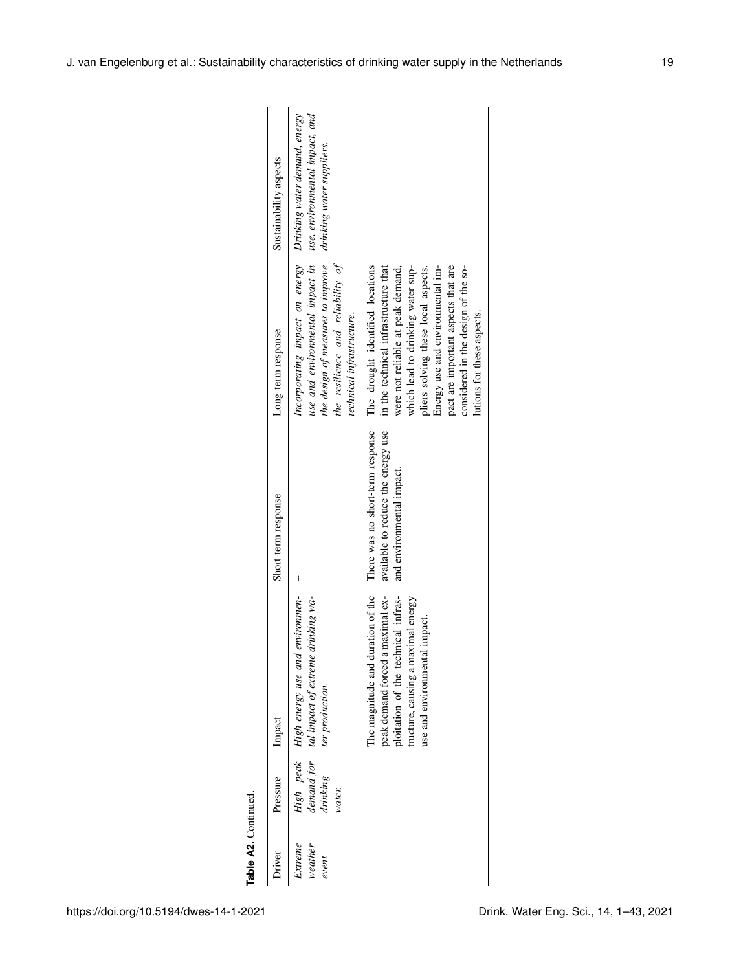| Table A2. Continued.        |                    |                                                                                                                                                                                     |                                                                                                     |                                                                                                                                                                                                                                                                                                                                           |                                                             |
|-----------------------------|--------------------|-------------------------------------------------------------------------------------------------------------------------------------------------------------------------------------|-----------------------------------------------------------------------------------------------------|-------------------------------------------------------------------------------------------------------------------------------------------------------------------------------------------------------------------------------------------------------------------------------------------------------------------------------------------|-------------------------------------------------------------|
| Driver                      | Pressure           | Impact                                                                                                                                                                              | Short-term response                                                                                 | Long-term response                                                                                                                                                                                                                                                                                                                        | Sustainability aspects                                      |
| Extreme<br>weather<br>event | drinking<br>water. | High peak High energy use and environmen-<br>demand for tal impact of extreme drinking wa-<br>ter production.                                                                       | $\overline{\phantom{a}}$                                                                            | Incorporating impact on energy Drinking water demand, energy<br>use and environmental impact in<br>the design of measures to improve<br>the resilience and reliability of<br>technical infrastructure.                                                                                                                                    | use, environmental impact, and<br>drinking water suppliers. |
|                             |                    | The magnitude and duration of the<br>peak demand forced a maximal ex-<br>ploitation of the technical infras-<br>tructure, causing a maximal energy<br>use and environmental impact. | There was no short-term response<br>available to reduce the energy use<br>and environmental impact. | Energy use and environmental im-<br>pact are important aspects that are<br>The drought identified locations<br>in the technical infrastructure that<br>were not reliable at peak demand,<br>which lead to drinking water sup-<br>considered in the design of the so-<br>pliers solving these local aspects.<br>lutions for these aspects. |                                                             |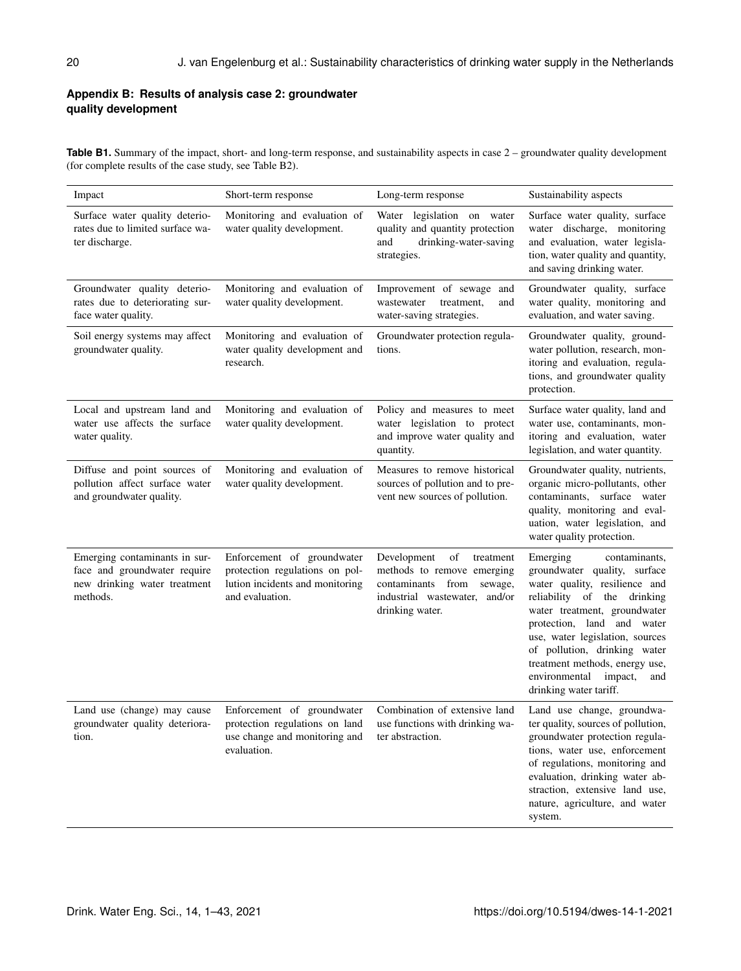# **Appendix B: Results of analysis case 2: groundwater quality development**

Table B1. Summary of the impact, short- and long-term response, and sustainability aspects in case 2 – groundwater quality development (for complete results of the case study, see Table B2).

| Impact                                                                                                    | Short-term response                                                                                                | Long-term response                                                                                                                                  | Sustainability aspects                                                                                                                                                                                                                                                                                                                                    |
|-----------------------------------------------------------------------------------------------------------|--------------------------------------------------------------------------------------------------------------------|-----------------------------------------------------------------------------------------------------------------------------------------------------|-----------------------------------------------------------------------------------------------------------------------------------------------------------------------------------------------------------------------------------------------------------------------------------------------------------------------------------------------------------|
| Surface water quality deterio-<br>rates due to limited surface wa-<br>ter discharge.                      | Monitoring and evaluation of<br>water quality development.                                                         | legislation on water<br>Water<br>quality and quantity protection<br>and<br>drinking-water-saving<br>strategies.                                     | Surface water quality, surface<br>water discharge, monitoring<br>and evaluation, water legisla-<br>tion, water quality and quantity,<br>and saving drinking water.                                                                                                                                                                                        |
| Groundwater quality deterio-<br>rates due to deteriorating sur-<br>face water quality.                    | Monitoring and evaluation of<br>water quality development.                                                         | Improvement of sewage and<br>wastewater<br>treatment,<br>and<br>water-saving strategies.                                                            | Groundwater quality, surface<br>water quality, monitoring and<br>evaluation, and water saving.                                                                                                                                                                                                                                                            |
| Soil energy systems may affect<br>groundwater quality.                                                    | Monitoring and evaluation of<br>water quality development and<br>research.                                         | Groundwater protection regula-<br>tions.                                                                                                            | Groundwater quality, ground-<br>water pollution, research, mon-<br>itoring and evaluation, regula-<br>tions, and groundwater quality<br>protection.                                                                                                                                                                                                       |
| Local and upstream land and<br>water use affects the surface<br>water quality.                            | Monitoring and evaluation of<br>water quality development.                                                         | Policy and measures to meet<br>water legislation to protect<br>and improve water quality and<br>quantity.                                           | Surface water quality, land and<br>water use, contaminants, mon-<br>itoring and evaluation, water<br>legislation, and water quantity.                                                                                                                                                                                                                     |
| Diffuse and point sources of<br>pollution affect surface water<br>and groundwater quality.                | Monitoring and evaluation of<br>water quality development.                                                         | Measures to remove historical<br>sources of pollution and to pre-<br>vent new sources of pollution.                                                 | Groundwater quality, nutrients,<br>organic micro-pollutants, other<br>contaminants, surface water<br>quality, monitoring and eval-<br>uation, water legislation, and<br>water quality protection.                                                                                                                                                         |
| Emerging contaminants in sur-<br>face and groundwater require<br>new drinking water treatment<br>methods. | Enforcement of groundwater<br>protection regulations on pol-<br>lution incidents and monitoring<br>and evaluation. | of<br>Development<br>treatment<br>methods to remove emerging<br>contaminants<br>from<br>sewage,<br>industrial wastewater, and/or<br>drinking water. | Emerging<br>contaminants,<br>groundwater quality, surface<br>water quality, resilience and<br>reliability of the drinking<br>water treatment, groundwater<br>protection, land and water<br>use, water legislation, sources<br>of pollution, drinking water<br>treatment methods, energy use,<br>environmental<br>impact,<br>and<br>drinking water tariff. |
| Land use (change) may cause<br>groundwater quality deteriora-<br>tion.                                    | Enforcement of groundwater<br>protection regulations on land<br>use change and monitoring and<br>evaluation.       | Combination of extensive land<br>use functions with drinking wa-<br>ter abstraction.                                                                | Land use change, groundwa-<br>ter quality, sources of pollution,<br>groundwater protection regula-<br>tions, water use, enforcement<br>of regulations, monitoring and<br>evaluation, drinking water ab-<br>straction, extensive land use,<br>nature, agriculture, and water<br>system.                                                                    |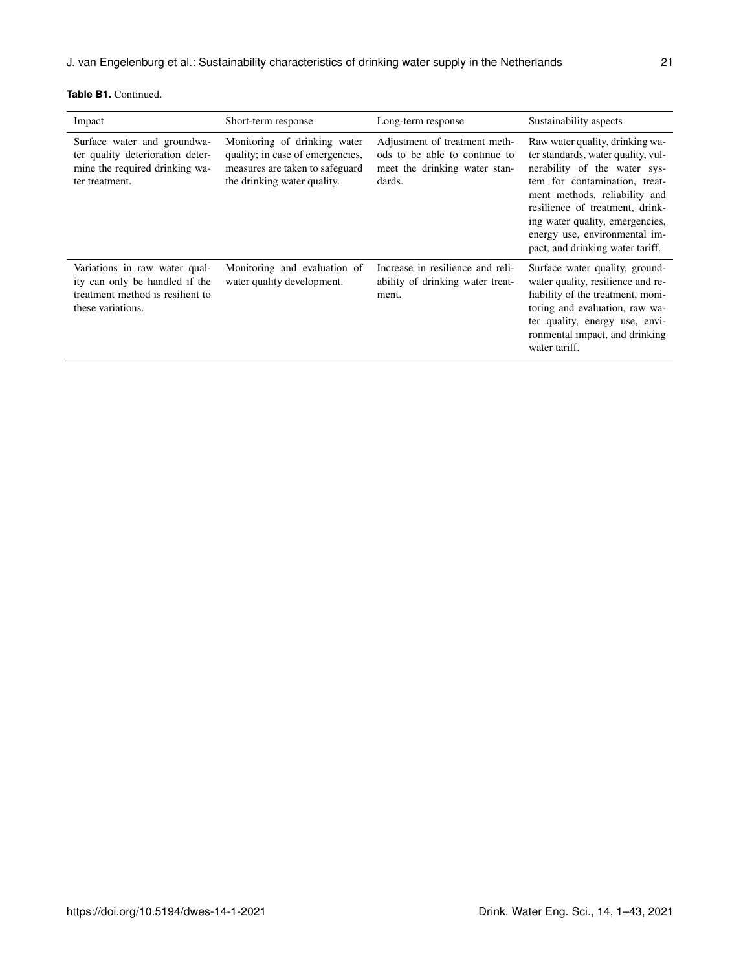| Impact                                                                                                                   | Short-term response                                                                                                                | Long-term response                                                                                        | Sustainability aspects                                                                                                                                                                                                                                                                                             |
|--------------------------------------------------------------------------------------------------------------------------|------------------------------------------------------------------------------------------------------------------------------------|-----------------------------------------------------------------------------------------------------------|--------------------------------------------------------------------------------------------------------------------------------------------------------------------------------------------------------------------------------------------------------------------------------------------------------------------|
| Surface water and groundwa-<br>ter quality deterioration deter-<br>mine the required drinking wa-<br>ter treatment.      | Monitoring of drinking water<br>quality; in case of emergencies,<br>measures are taken to safeguard<br>the drinking water quality. | Adjustment of treatment meth-<br>ods to be able to continue to<br>meet the drinking water stan-<br>dards. | Raw water quality, drinking wa-<br>ter standards, water quality, vul-<br>nerability of the water sys-<br>tem for contamination, treat-<br>ment methods, reliability and<br>resilience of treatment, drink-<br>ing water quality, emergencies,<br>energy use, environmental im-<br>pact, and drinking water tariff. |
| Variations in raw water qual-<br>ity can only be handled if the<br>treatment method is resilient to<br>these variations. | Monitoring and evaluation of<br>water quality development.                                                                         | Increase in resilience and reli-<br>ability of drinking water treat-<br>ment.                             | Surface water quality, ground-<br>water quality, resilience and re-<br>liability of the treatment, moni-<br>toring and evaluation, raw wa-<br>ter quality, energy use, envi-<br>ronmental impact, and drinking<br>water tariff.                                                                                    |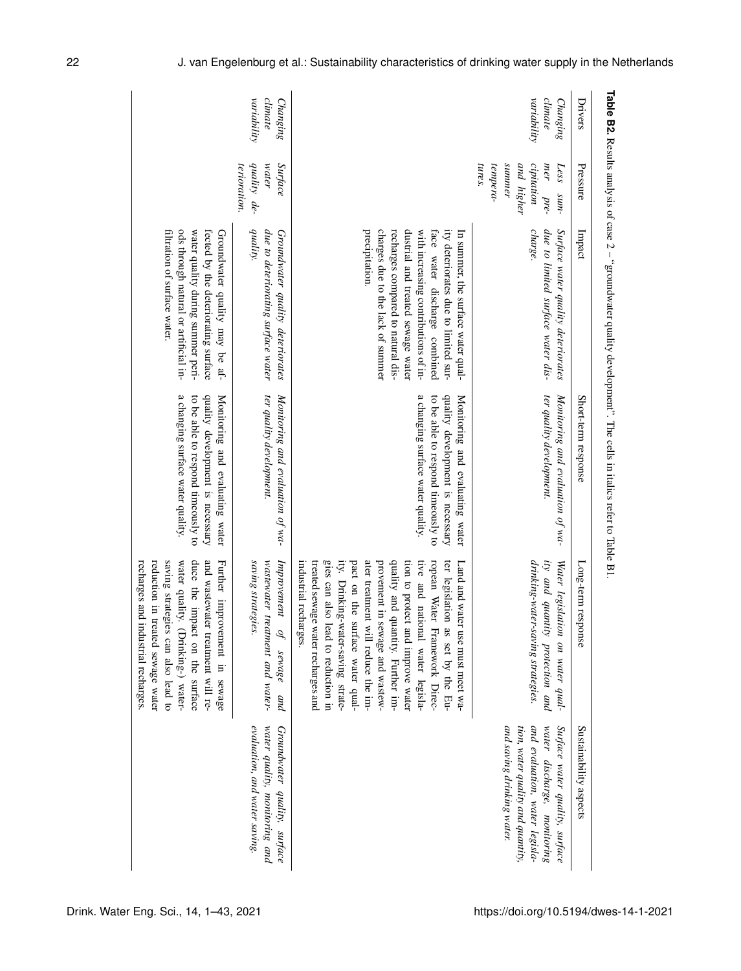| Drivers                            | Pressure                                                                                | Impact                                                                                                                                                                                                                                                                                | Short-term response                                                                                                                            | Long-term response                                                                                                                                                                                                                                                                                                                                                                                                                                                            | Sustainability aspects                                                                                                                                             |
|------------------------------------|-----------------------------------------------------------------------------------------|---------------------------------------------------------------------------------------------------------------------------------------------------------------------------------------------------------------------------------------------------------------------------------------|------------------------------------------------------------------------------------------------------------------------------------------------|-------------------------------------------------------------------------------------------------------------------------------------------------------------------------------------------------------------------------------------------------------------------------------------------------------------------------------------------------------------------------------------------------------------------------------------------------------------------------------|--------------------------------------------------------------------------------------------------------------------------------------------------------------------|
| variability<br>climate<br>Changing | tempera-<br>summer<br>cipitation<br>tures.<br>and higher<br>mer<br>Less<br>pre-<br>sum- | due to limited surface water dis-<br>charge.<br>Surface water quality deteriorates                                                                                                                                                                                                    | ter quality development.<br>Monitoring and evaluation of wa-                                                                                   | drinking-water-saving strategies.<br>ity and quantity protection and<br>Water legislation on water qual-                                                                                                                                                                                                                                                                                                                                                                      | and saving drinking water.<br>and evaluation, water legisla-<br>Surface water quality, surface<br>tion, water quality and quantity,<br>water discharge, monitoring |
|                                    |                                                                                         | charges due to the lack of summer<br>recharges compared to natural dis-<br>precipitation.<br>dustrial and treated sewage water<br>ity deteriorates due to limited sur-<br>In summer, the surface water qual-<br>with increasing contributions of in-<br>face water discharge combined | a changing surface water quality.<br>quality development is necessary<br>Monitoring and evaluating water<br>to be able to respond timeously to | gies can also lead to reduction in<br>ity. Drinking-water-saving strate-<br>ater treatment will reduce the im-<br>quality and quantity. Further im-<br>ropean Water Framework Direc-<br>industrial recharges<br>treated sewage water recharges and<br>pact on the surface water qual-<br>provement in sewage and wastew-<br>tive and national water legisla-<br>ter legislation<br>tion to protect and improve water<br>Land and water use must meet wa-<br>as set by the Eu- |                                                                                                                                                                    |
| variability<br>climate<br>Changing | quality de-<br>Surface<br>terioration.<br>water                                         | quality.<br>due to deteriorating surface water<br>Groundwater quality deteriorates                                                                                                                                                                                                    | ter quality development.<br>Monitoring and evaluation of wa-                                                                                   | saving strategies.<br>wastewater treatment and water-<br>Improvement<br>of sewage<br>pup                                                                                                                                                                                                                                                                                                                                                                                      | water quality, monitoring and<br>evaluation, and water saving.<br>Groundwater quality, surface                                                                     |
|                                    |                                                                                         | ods through natural or artificial in-<br>water quality during summer peri-<br>fected by the deteriorating surface<br>filtration of surface water.<br>Groundwater quality may be af-                                                                                                   | a changing surface water quality.<br>quality development is necessary<br>to be able to respond timeously to<br>Monitoring and evaluating water | duce the impact on the surface<br>recharges and industrial recharges.<br>saving strategies can also lead to<br>water quality. (Drinking-) water-<br>and wastewater treatment will re-<br>reduction in treated sewage water<br>Further improvement in sewage                                                                                                                                                                                                                   |                                                                                                                                                                    |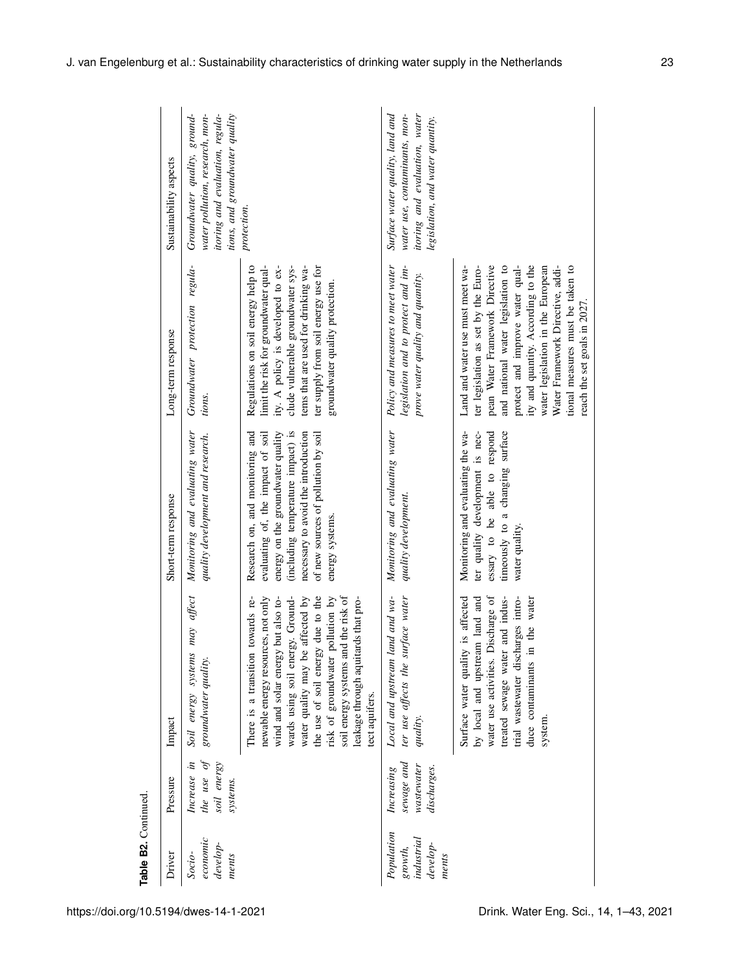| Table B2. Continued.                                     |                                                       |                                                                                                                                                                                                                                                                                                                                                                   |                                                                                                                                                                                                                                                 |                                                                                                                                                                                                                                                                                                                                                                     |                                                                                                                                       |
|----------------------------------------------------------|-------------------------------------------------------|-------------------------------------------------------------------------------------------------------------------------------------------------------------------------------------------------------------------------------------------------------------------------------------------------------------------------------------------------------------------|-------------------------------------------------------------------------------------------------------------------------------------------------------------------------------------------------------------------------------------------------|---------------------------------------------------------------------------------------------------------------------------------------------------------------------------------------------------------------------------------------------------------------------------------------------------------------------------------------------------------------------|---------------------------------------------------------------------------------------------------------------------------------------|
| Driver                                                   | Pressure                                              | Impact                                                                                                                                                                                                                                                                                                                                                            | Short-term response                                                                                                                                                                                                                             | Long-term response                                                                                                                                                                                                                                                                                                                                                  | Sustainability aspects                                                                                                                |
| economic<br>develop-<br>Socio-<br>ments                  | the use of<br>soil energy<br>Increase in<br>systems.  | may affect<br>Soil energy systems<br>groundwater quality.                                                                                                                                                                                                                                                                                                         | Monitoring and evaluating water<br>quality development and research.                                                                                                                                                                            | Groundwater protection regula-<br>tions.                                                                                                                                                                                                                                                                                                                            | tions, and groundwater quality<br>Groundwater quality, ground-<br>water pollution, research, mon-<br>itoring and evaluation, regula-  |
|                                                          |                                                       | the use of soil energy due to the<br>soil energy systems and the risk of<br>wind and solar energy but also to-<br>wards using soil energy. Ground-<br>water quality may be affected by<br>towards re-<br>newable energy resources, not only<br>risk of groundwater pollution by<br>leakage through aquitards that pro-<br>There is a transition<br>tect aquifers. | (including temperature impact) is<br>necessary to avoid the introduction<br>of new sources of pollution by soil<br>Research on, and monitoring and<br>evaluating of, the impact of soil<br>energy on the groundwater quality<br>energy systems. | Regulations on soil energy help to<br>limit the risk for groundwater qual-<br>ity. A policy is developed to ex-<br>clude vulnerable groundwater sys-<br>tems that are used for drinking wa-<br>ter supply from soil energy use for<br>groundwater quality protection.                                                                                               | protection.                                                                                                                           |
| Population<br>industrial<br>develop-<br>growth,<br>ments | sewage and<br>wastewater<br>discharges.<br>Increasing | Local and upstream land and wa-<br>ter use affects the surface water<br>quality                                                                                                                                                                                                                                                                                   | Monitoring and evaluating water<br>quality development.                                                                                                                                                                                         | Policy and measures to meet water<br>legislation and to protect and im-<br>prove water quality and quantity.                                                                                                                                                                                                                                                        | Surface water quality, land and<br>itoring and evaluation, water<br>water use, contaminants, mon-<br>legislation, and water quantity. |
|                                                          |                                                       | Surface water quality is affected<br>by local and upstream land and<br>water use activities. Discharge of<br>and indus-<br>trial wastewater discharges intro-<br>the water<br>duce contaminants in<br>treated sewage water<br>system.                                                                                                                             | Monitoring and evaluating the wa-<br>timeously to a changing surface<br>ter quality development is nec-<br>essary to be able to respond<br>water quality.                                                                                       | pean Water Framework Directive<br>and national water legislation to<br>ity and quantity. According to the<br>water legislation in the European<br>tional measures must be taken to<br>Land and water use must meet wa-<br>ter legislation as set by the Euro-<br>protect and improve water qual-<br>Water Framework Directive, addi-<br>reach the set goals in 2027 |                                                                                                                                       |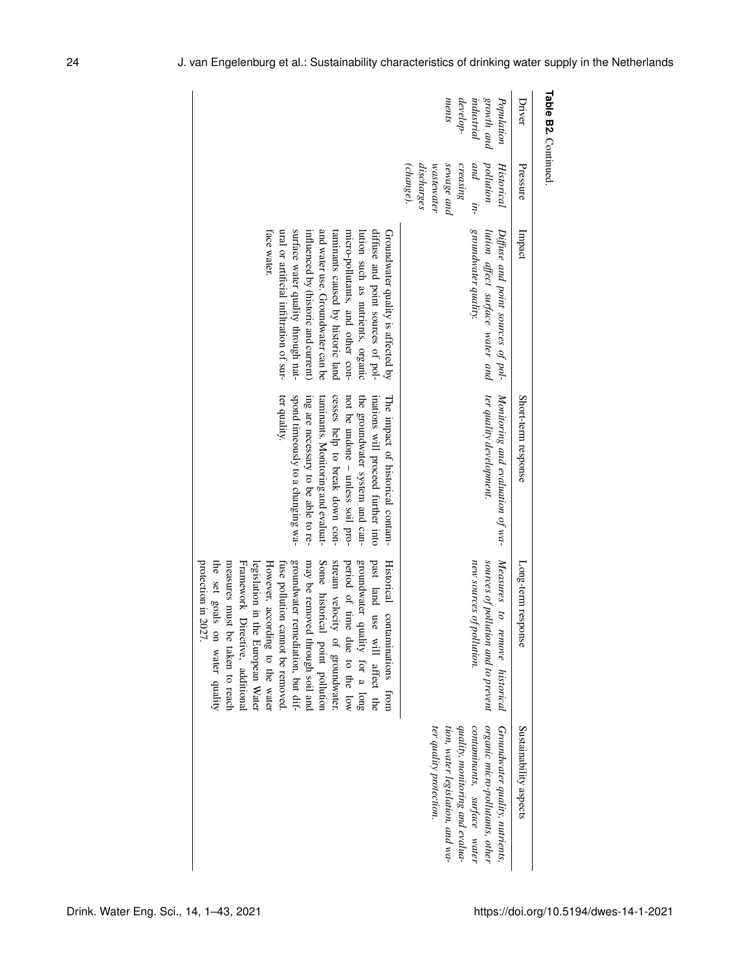| Table B2. Continued.                                        |                                                                                                       |                                                                                                                                                                                                                                                                                                                                                                    |                                                                                                                                                                                                                                                                                                                   |                                                                                                                                                                                                                                                                                                                                                                                                                                                                                                                                    |                                                                                                                                                                                                     |
|-------------------------------------------------------------|-------------------------------------------------------------------------------------------------------|--------------------------------------------------------------------------------------------------------------------------------------------------------------------------------------------------------------------------------------------------------------------------------------------------------------------------------------------------------------------|-------------------------------------------------------------------------------------------------------------------------------------------------------------------------------------------------------------------------------------------------------------------------------------------------------------------|------------------------------------------------------------------------------------------------------------------------------------------------------------------------------------------------------------------------------------------------------------------------------------------------------------------------------------------------------------------------------------------------------------------------------------------------------------------------------------------------------------------------------------|-----------------------------------------------------------------------------------------------------------------------------------------------------------------------------------------------------|
| Driver                                                      | Pressure                                                                                              | Impact                                                                                                                                                                                                                                                                                                                                                             | Short-term response                                                                                                                                                                                                                                                                                               | Long-term response                                                                                                                                                                                                                                                                                                                                                                                                                                                                                                                 | Sustainability aspects                                                                                                                                                                              |
| ments<br>develop-<br>growth and<br>industrial<br>Population | sewage and<br>creasing<br>and in-<br>wastewater<br>pollution<br>discharges<br>(change).<br>Historical | groundwater quality.<br>lution affect surface water and<br>Diffuse and point sources of pol-                                                                                                                                                                                                                                                                       | ter quality development.<br>Monitoring and evaluation of wa-                                                                                                                                                                                                                                                      | Measures<br>new sources of pollution.<br>sources of pollution and to prevent<br>to<br>remove historical                                                                                                                                                                                                                                                                                                                                                                                                                            | organic micro-pollutants, other<br>Groundwater quality, nutrients,<br>quality, monitoring and evalua-<br>contaminants, surface water<br>ter quality protection.<br>tion, water legislation, and wa- |
|                                                             |                                                                                                       | surface water quality through nat-<br>face water.<br>ural or artificial infiltration of sur-<br>and water use. Groundwater can be<br>taminants caused by historic land<br>diffuse and point sources of pol-<br>influenced by (historic and current)<br>micro-pollutants, and other con-<br>lution such as nutrients, organic<br>Groundwater quality is affected by | spond timeously to a changing wa-<br>ter quality.<br>ing are necessary to be able to re-<br>cesses help to break down con-<br>not be undone – unless soil pro-<br>the groundwater system and can-<br>inations will proceed further into<br>The impact of historical contam-<br>taminants. Monitoring and evaluat- | protection in 2027.<br>groundwater remediation, but dif-<br>Some historical point pollution<br>stream velocity of groundwater.<br>period of time due to the low<br>groundwater quality for a long<br>past land use will affect the<br>the set goals<br>measures must be taken to reach<br>may be removed through soil and<br>Historical contaminations from<br>Framework Directive, additional<br>legislation in t<br>However, according to the water<br>fuse pollution cannot be removed<br>he European Water<br>on water quality |                                                                                                                                                                                                     |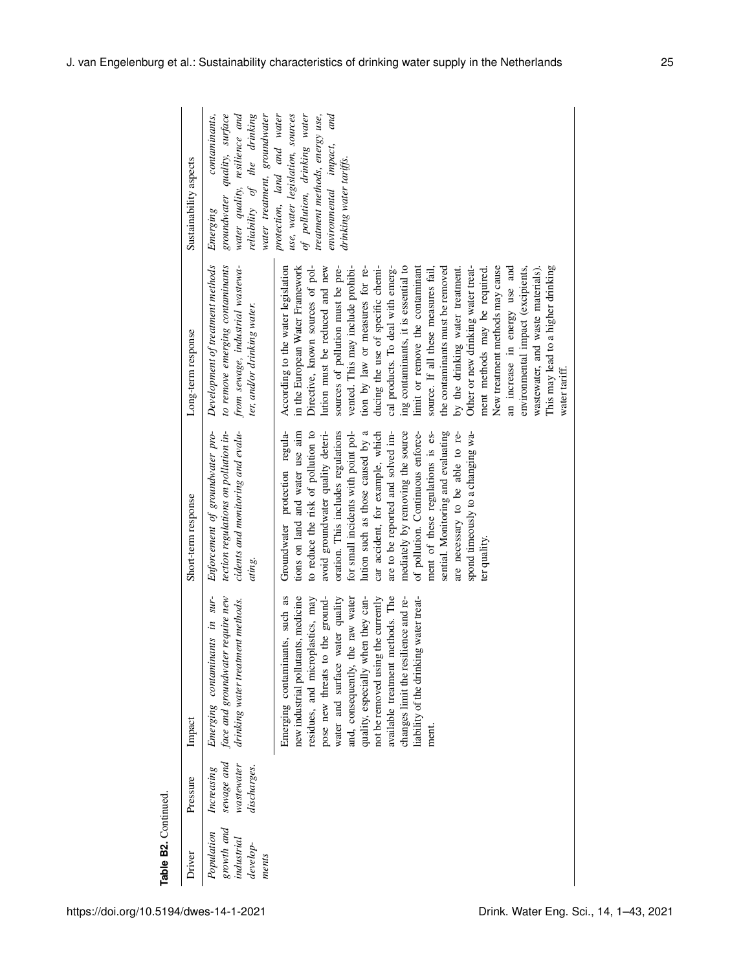| Table B2. Continued                                         |                                                       |                                                                                                                                                                                                                                                                                                                                                                                                                                   |                                                                                                                                                                                                                                                                                                                                                                                                                                                                                                                                                                                   |                                                                                                                                                                                                                                                                                                                                                                                                                                                                                                                                                                                                                                                                                                                                                                                                         |                                                                                                                                                                                            |
|-------------------------------------------------------------|-------------------------------------------------------|-----------------------------------------------------------------------------------------------------------------------------------------------------------------------------------------------------------------------------------------------------------------------------------------------------------------------------------------------------------------------------------------------------------------------------------|-----------------------------------------------------------------------------------------------------------------------------------------------------------------------------------------------------------------------------------------------------------------------------------------------------------------------------------------------------------------------------------------------------------------------------------------------------------------------------------------------------------------------------------------------------------------------------------|---------------------------------------------------------------------------------------------------------------------------------------------------------------------------------------------------------------------------------------------------------------------------------------------------------------------------------------------------------------------------------------------------------------------------------------------------------------------------------------------------------------------------------------------------------------------------------------------------------------------------------------------------------------------------------------------------------------------------------------------------------------------------------------------------------|--------------------------------------------------------------------------------------------------------------------------------------------------------------------------------------------|
| Driver                                                      | Pressure                                              | Impact                                                                                                                                                                                                                                                                                                                                                                                                                            | Short-term response                                                                                                                                                                                                                                                                                                                                                                                                                                                                                                                                                               | Long-term response                                                                                                                                                                                                                                                                                                                                                                                                                                                                                                                                                                                                                                                                                                                                                                                      | Sustainability aspects                                                                                                                                                                     |
| growth and<br>Population<br>industrial<br>develop-<br>ments | sewage and<br>wastewater<br>discharges.<br>Increasing | face and groundwater require new<br>Emerging contaminants in sur-<br>drinking water treatment methods.                                                                                                                                                                                                                                                                                                                            | tection regulations on pollution in-<br>cidents and monitoring and evalu-<br>Enforcement of groundwater pro-<br>ating.                                                                                                                                                                                                                                                                                                                                                                                                                                                            | from sewage, industrial wastewa-<br>Development of treatment methods<br>to remove emerging contaminants<br>ter, and/or drinking water.                                                                                                                                                                                                                                                                                                                                                                                                                                                                                                                                                                                                                                                                  | water treatment, groundwater<br>water quality, resilience and<br>reliability of the drinking<br>contaminants,<br>groundwater quality, surface<br>Emerging                                  |
|                                                             |                                                       | new industrial pollutants, medicine<br>available treatment methods. The<br>liability of the drinking water treat-<br>Emerging contaminants, such as<br>the ground-<br>water and surface water quality<br>and, consequently, the raw water<br>quality, especially when they can-<br>not be removed using the currently<br>changes limit the resilience and re-<br>residues, and microplastics, may<br>pose new threats to<br>ment. | tions on land and water use aim<br>oration. This includes regulations<br>to reduce the risk of pollution to<br>avoid groundwater quality deteri-<br>for small incidents with point pol-<br>lution such as those caused by a<br>car accident, for example, which<br>are to be reported and solved im-<br>mediately by removing the source<br>sential. Monitoring and evaluating<br>Groundwater protection regula-<br>of pollution. Continuous enforce-<br>ment of these regulations is es-<br>are necessary to be able to re-<br>spond timeously to a changing wa-<br>ter quality. | Directive, known sources of pol-<br>lution must be reduced and new<br>sources of pollution must be pre-<br>vented. This may include prohibi-<br>ducing the use of specific chemi-<br>According to the water legislation<br>in the European Water Framework<br>tion by law or measures for re-<br>cal products. To deal with emerg-<br>Other or new drinking water treat-<br>This may lead to a higher drinking<br>ing contaminants, it is essential to<br>limit or remove the contaminant<br>the contaminants must be removed<br>by the drinking water treatment.<br>New treatment methods may cause<br>an increase in energy use and<br>environmental impact (excipients,<br>source. If all these measures fail,<br>wastewater, and waste materials).<br>ment methods may be required.<br>water tariff | protection, land and water<br>use, water legislation, sources<br>of pollution, drinking water<br>and<br>treatment methods, energy use,<br>environmental impact,<br>drinking water tariffs. |
|                                                             |                                                       |                                                                                                                                                                                                                                                                                                                                                                                                                                   |                                                                                                                                                                                                                                                                                                                                                                                                                                                                                                                                                                                   |                                                                                                                                                                                                                                                                                                                                                                                                                                                                                                                                                                                                                                                                                                                                                                                                         |                                                                                                                                                                                            |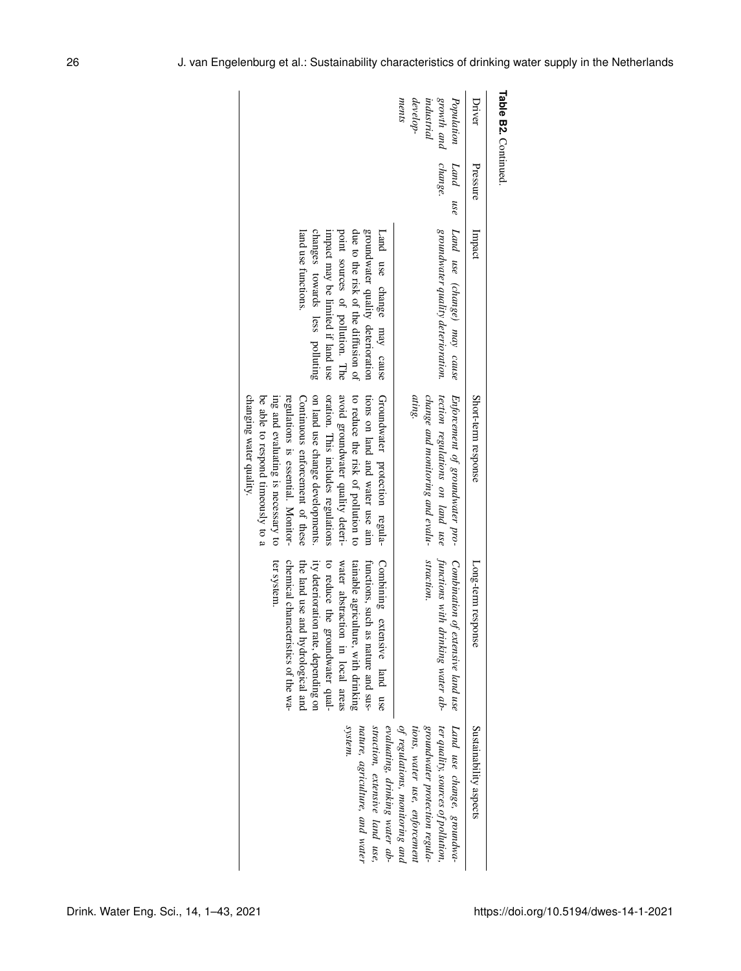| Driver                                                      | Pressure            | Impact                                                                                                                                                                                                                    | Short-term response                                                                                                                                                                                                                                                                                                                                                                                   | Long-term response                                                                                                                                                                                                                                                                                                     | Sustainability aspects                                                                                                                                                |
|-------------------------------------------------------------|---------------------|---------------------------------------------------------------------------------------------------------------------------------------------------------------------------------------------------------------------------|-------------------------------------------------------------------------------------------------------------------------------------------------------------------------------------------------------------------------------------------------------------------------------------------------------------------------------------------------------------------------------------------------------|------------------------------------------------------------------------------------------------------------------------------------------------------------------------------------------------------------------------------------------------------------------------------------------------------------------------|-----------------------------------------------------------------------------------------------------------------------------------------------------------------------|
| Population<br>growth and<br>ments<br>develop-<br>industrial | change.<br>Land use | Land use (change) may cause<br>groundwater quality deterioration.                                                                                                                                                         | tection regulations on land use<br>ating.<br>Enforcement of groundwater pro-<br>change and monitoring and evalu-                                                                                                                                                                                                                                                                                      | straction.<br>Combination of extensive land use<br>functions with drinking water ab-                                                                                                                                                                                                                                   | Land use change, groundwa-<br>ter quality, sources of pollution,<br>of regulations, monitoring and<br>groundwater protection regula-<br>tions, water use, enforcement |
|                                                             |                     | changes towards less polluting<br>groundwater quality deterioration<br>point sources of pollution. The<br>due to the diffusion of<br>land use functions<br>impact may be limited if land use<br>Land use change may cause | on land use change developments.<br>oration. This includes regulations<br>to reduce the risk of pollution to<br>tions on land and water use aim<br>Groundwater protection regula-<br>avoid groundwater quality deteri-<br>changing water quality.<br>be able to respond timeously to a<br>regulations is essential. Monitor-<br>ing and evaluating is necessary to<br>Continuous enforcement of these | ter system.<br>chemical characteristics of the wa-<br>ity deterioration rate, depending on<br>Combining extensive land use<br>to reduce the groundwater qual-<br>tainable agriculture, with drinking<br>functions, such<br>the land use and hydrological and<br>water abstraction in local areas<br>as nature and sus- | system.<br>straction, extensive land use,<br>evaluating, drinking water ab-<br>nature, agriculture, and water                                                         |

**Table B2.**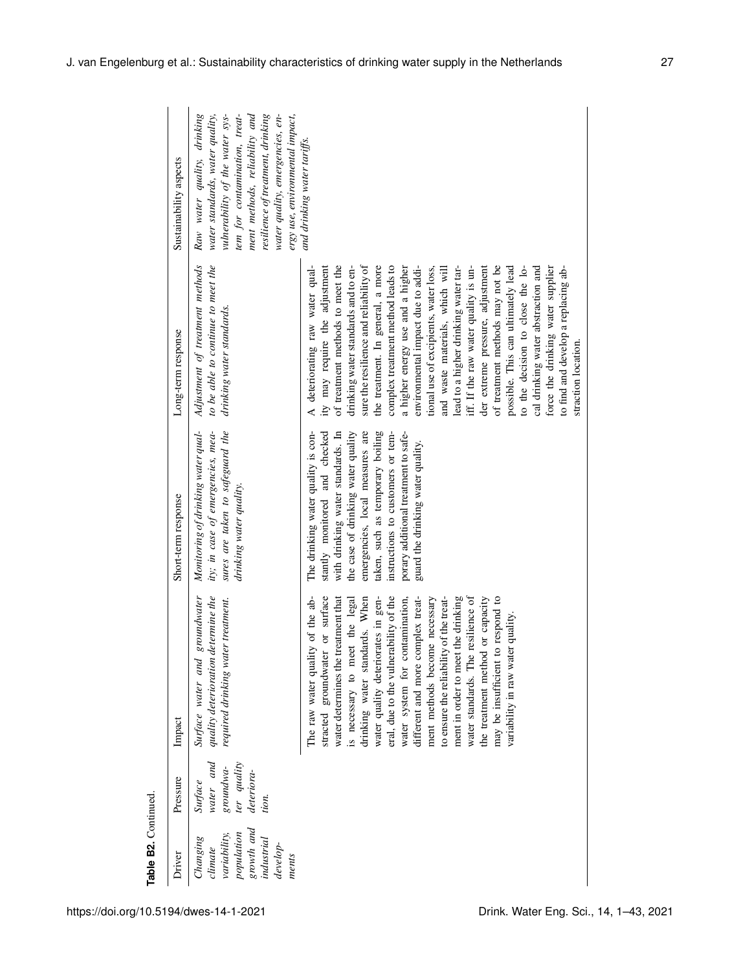| Table B2. Continued                                                                                |                                                                                  |                                                                                                                                                                                                                                                                                                                                                                                                                                                                                                                                                                                                                     |                                                                                                                                                                                                                                                                                                                                         |                                                                                                                                                                                                                                                                                                                                                                                                                                                                                                                                                                                                                                                                                                                                                                                                 |                                                                                                                                                                                                                                                                                |
|----------------------------------------------------------------------------------------------------|----------------------------------------------------------------------------------|---------------------------------------------------------------------------------------------------------------------------------------------------------------------------------------------------------------------------------------------------------------------------------------------------------------------------------------------------------------------------------------------------------------------------------------------------------------------------------------------------------------------------------------------------------------------------------------------------------------------|-----------------------------------------------------------------------------------------------------------------------------------------------------------------------------------------------------------------------------------------------------------------------------------------------------------------------------------------|-------------------------------------------------------------------------------------------------------------------------------------------------------------------------------------------------------------------------------------------------------------------------------------------------------------------------------------------------------------------------------------------------------------------------------------------------------------------------------------------------------------------------------------------------------------------------------------------------------------------------------------------------------------------------------------------------------------------------------------------------------------------------------------------------|--------------------------------------------------------------------------------------------------------------------------------------------------------------------------------------------------------------------------------------------------------------------------------|
| Driver                                                                                             | Pressure                                                                         | Impact                                                                                                                                                                                                                                                                                                                                                                                                                                                                                                                                                                                                              | Short-term response                                                                                                                                                                                                                                                                                                                     | Long-term response                                                                                                                                                                                                                                                                                                                                                                                                                                                                                                                                                                                                                                                                                                                                                                              | Sustainability aspects                                                                                                                                                                                                                                                         |
| growth and<br>population<br>variability,<br>industrial<br>Changing<br>develop-<br>climate<br>ments | water and<br>ter quality<br>$groundwa-$<br>deteriora-<br><b>Surface</b><br>tion. | quality deterioration determine the<br>groundwater<br>required drinking water treatment.<br>Surface water and                                                                                                                                                                                                                                                                                                                                                                                                                                                                                                       | sures are taken to safeguard the<br>Monitoring of drinking water qual-<br>ity; in case of emergencies, mea-<br>drinking water quality.                                                                                                                                                                                                  | Adjustment of treatment methods<br>to be able to continue to meet the<br>drinking water standards.                                                                                                                                                                                                                                                                                                                                                                                                                                                                                                                                                                                                                                                                                              | Raw water quality, drinking<br>ment methods, reliability and<br>tem for contamination, treat-<br>resilience of treatment, drinking<br>ergy use, environmental impact,<br>vulnerability of the water sys-<br>water quality, emergencies, en-<br>water standards, water quality, |
|                                                                                                    |                                                                                  | The raw water quality of the ab-<br>eral, due to the vulnerability of the<br>the drinking<br>or surface<br>water system for contamination,<br>different and more complex treat-<br>resilience of<br>may be insufficient to respond to<br>water determines the treatment that<br>drinking water standards. When<br>ment methods become necessary<br>the treatment method or capacity<br>is necessary to meet the legal<br>water quality deteriorates in gen-<br>to ensure the reliability of the treat-<br>variability in raw water quality<br>stracted groundwater<br>ment in order to meet<br>water standards. The | emergencies, local measures are<br>The drinking water quality is con-<br>stantly monitored and checked<br>with drinking water standards. In<br>the case of drinking water quality<br>taken, such as temporary boiling<br>instructions to customers or tem-<br>porary additional treatment to safe-<br>guard the drinking water quality. | A deteriorating raw water qual-<br>ity may require the adjustment<br>of treatment methods to meet the<br>sure the resilience and reliability of<br>to the decision to close the lo-<br>the treatment. In general, a more<br>complex treatment method leads to<br>iff. If the raw water quality is un-<br>der extreme pressure, adjustment<br>possible. This can ultimately lead<br>force the drinking water supplier<br>to find and develop a replacing ab-<br>drinking water standards and to en-<br>environmental impact due to addi-<br>lead to a higher drinking water tar-<br>of treatment methods may not be<br>cal drinking water abstraction and<br>tional use of excipients, water loss,<br>and waste materials, which will<br>a higher energy use and a higher<br>straction location. | and drinking water tariffs.                                                                                                                                                                                                                                                    |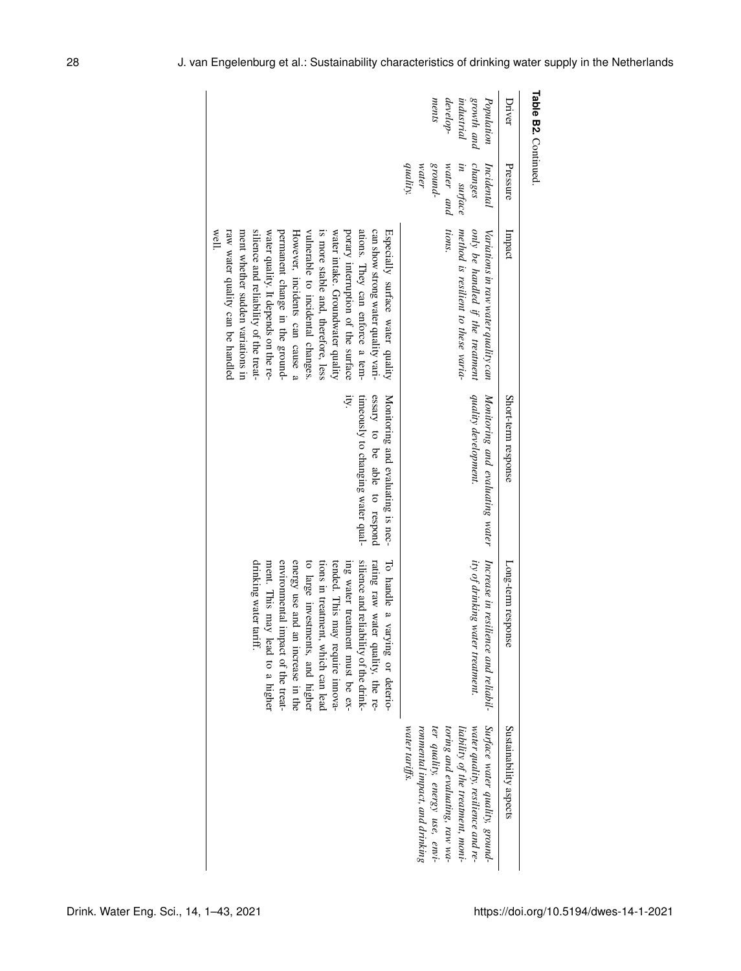| Driver<br>Pressure<br>Impact<br>Short-term response<br>Long-term response                                                                                                                                                                                                                                                                                                                                                                                                                                                                                                                                                                                                                                                                                                                                                                                                                                                                                                                                                                         | Table B2. Continued. |  |  |                                                                                                                                                                                                                |
|---------------------------------------------------------------------------------------------------------------------------------------------------------------------------------------------------------------------------------------------------------------------------------------------------------------------------------------------------------------------------------------------------------------------------------------------------------------------------------------------------------------------------------------------------------------------------------------------------------------------------------------------------------------------------------------------------------------------------------------------------------------------------------------------------------------------------------------------------------------------------------------------------------------------------------------------------------------------------------------------------------------------------------------------------|----------------------|--|--|----------------------------------------------------------------------------------------------------------------------------------------------------------------------------------------------------------------|
|                                                                                                                                                                                                                                                                                                                                                                                                                                                                                                                                                                                                                                                                                                                                                                                                                                                                                                                                                                                                                                                   |                      |  |  | Sustainability aspects                                                                                                                                                                                         |
| growth and<br>Population<br>ments<br>$develop-$<br>industrial<br>quality.<br>$-pmons$<br>water and<br>in surface<br>changes<br>water<br>Incidental<br>tions.<br>method is resilient to these varia-<br>only be handled if the treatment<br>Variations in raw water quality can<br>quality development.<br>Monitoring and evaluating water<br>Increase in resilience and reliabil-<br>ity of drinking water treatment.<br>water tariffs.                                                                                                                                                                                                                                                                                                                                                                                                                                                                                                                                                                                                           |                      |  |  | Surface water quality, ground-<br>water quality, resilience and re-<br>ronmental impact, and drinking<br>ter quality, energy use, envi-<br>toring and evaluating, raw wa-<br>liability of the treatment, moni- |
| silience and reliability of the treat-<br>raw water quality can be handled<br>porary interruption of the surface<br>ations. They can enforce a tem-<br>can show strong water quality vari-<br>well.<br>ment whether sudden variations in<br>permanent change in the ground-<br>vulnerable to incidental changes.<br>is more stable and, therefore, less<br>water intake. Groundwater quality<br>Especially surface water quality<br>water quality. It depends on the re-<br>However, incidents can cause a<br>essary to be able to respond<br>timeously to changing water qual-<br>Monitoring and evaluating is nec-<br>ity.<br>silience and reliability of the drink-<br>rating raw water quality, the re-<br>drinking water 1<br>energy use and an increase in the<br>to large investments, and higher<br>tended. This may require innova-<br>environmental impact of the treat-<br>tions in treatment, which can lead<br>ing water treatment must be ex-<br>To handle a varying or deterio-<br>ment. This may<br>tariff.<br>y lead to a higher |                      |  |  |                                                                                                                                                                                                                |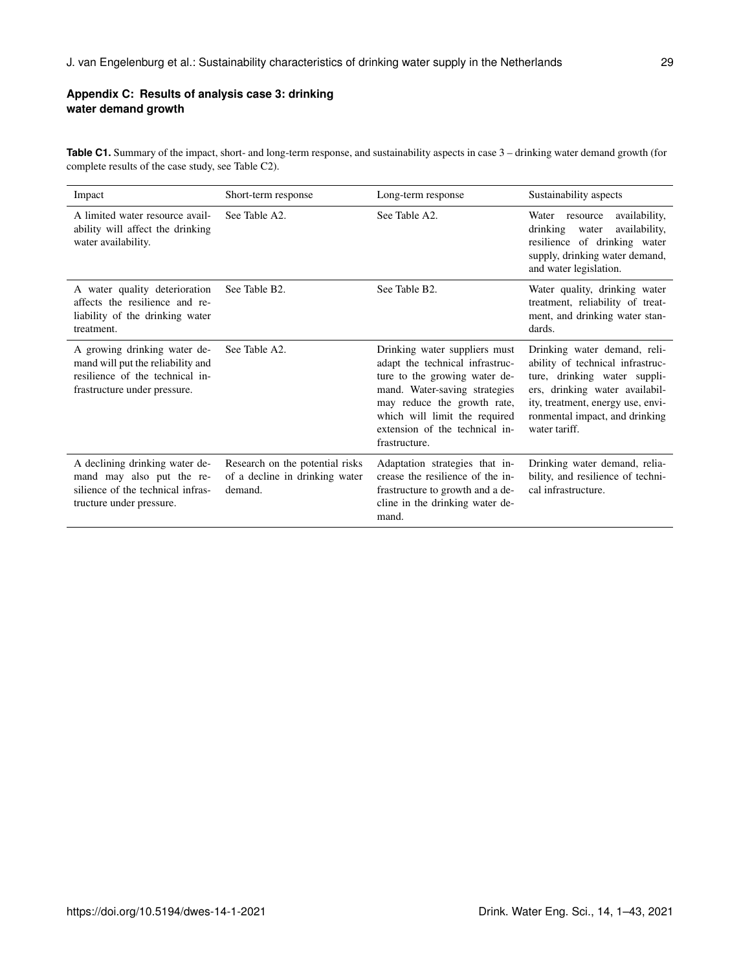# **Appendix C: Results of analysis case 3: drinking water demand growth**

Table C1. Summary of the impact, short- and long-term response, and sustainability aspects in case  $3$  – drinking water demand growth (for complete results of the case study, see Table C2).

| Impact                                                                                                                               | Short-term response                                                          | Long-term response                                                                                                                                                                                                                                    | Sustainability aspects                                                                                                                                                                                                     |
|--------------------------------------------------------------------------------------------------------------------------------------|------------------------------------------------------------------------------|-------------------------------------------------------------------------------------------------------------------------------------------------------------------------------------------------------------------------------------------------------|----------------------------------------------------------------------------------------------------------------------------------------------------------------------------------------------------------------------------|
| A limited water resource avail-<br>ability will affect the drinking<br>water availability.                                           | See Table A2.                                                                | See Table A <sub>2</sub>                                                                                                                                                                                                                              | availability,<br>Water resource<br>drinking water<br>availability,<br>resilience of drinking water<br>supply, drinking water demand,<br>and water legislation.                                                             |
| A water quality deterioration<br>affects the resilience and re-<br>liability of the drinking water<br>treatment.                     | See Table B2.                                                                | See Table B2.                                                                                                                                                                                                                                         | Water quality, drinking water<br>treatment, reliability of treat-<br>ment, and drinking water stan-<br>dards.                                                                                                              |
| A growing drinking water de-<br>mand will put the reliability and<br>resilience of the technical in-<br>frastructure under pressure. | See Table A2.                                                                | Drinking water suppliers must<br>adapt the technical infrastruc-<br>ture to the growing water de-<br>mand. Water-saving strategies<br>may reduce the growth rate,<br>which will limit the required<br>extension of the technical in-<br>frastructure. | Drinking water demand, reli-<br>ability of technical infrastruc-<br>ture, drinking water suppli-<br>ers, drinking water availabil-<br>ity, treatment, energy use, envi-<br>ronmental impact, and drinking<br>water tariff. |
| A declining drinking water de-<br>mand may also put the re-<br>silience of the technical infras-<br>tructure under pressure.         | Research on the potential risks<br>of a decline in drinking water<br>demand. | Adaptation strategies that in-<br>crease the resilience of the in-<br>frastructure to growth and a de-<br>cline in the drinking water de-<br>mand.                                                                                                    | Drinking water demand, relia-<br>bility, and resilience of techni-<br>cal infrastructure.                                                                                                                                  |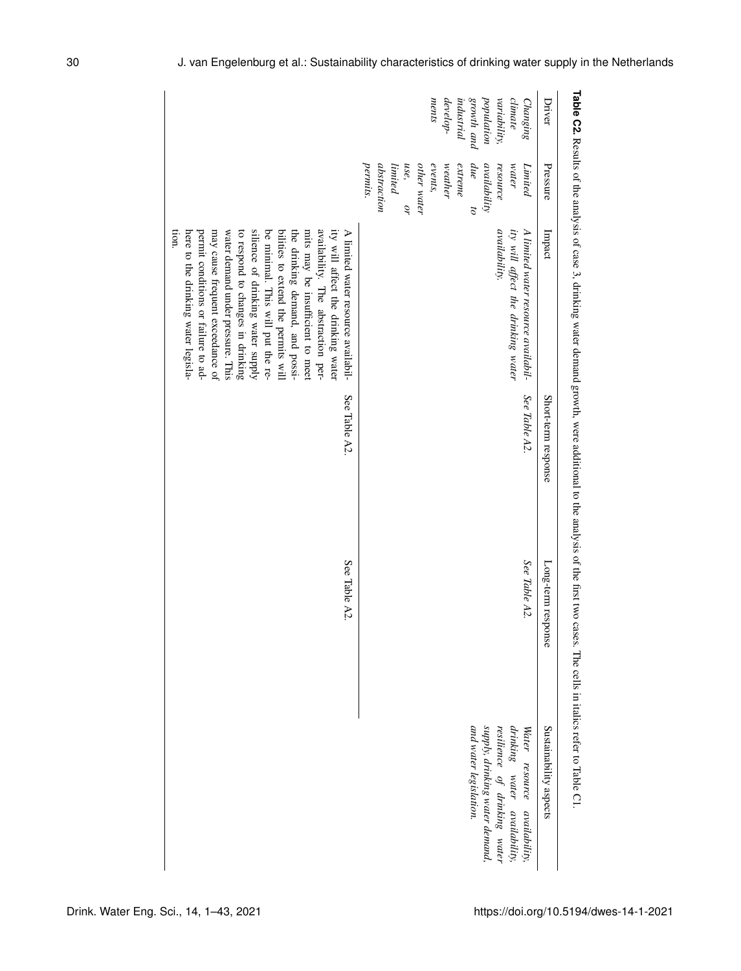| Driver                                                                                             | Pressure                                                                                                                                                                                        | Impact                                                                                                                                                                                                                                                                                                                                                                                                                                                                                                      | Short-term response | Long-term response | Sustainability aspects                                                                                                                                   |
|----------------------------------------------------------------------------------------------------|-------------------------------------------------------------------------------------------------------------------------------------------------------------------------------------------------|-------------------------------------------------------------------------------------------------------------------------------------------------------------------------------------------------------------------------------------------------------------------------------------------------------------------------------------------------------------------------------------------------------------------------------------------------------------------------------------------------------------|---------------------|--------------------|----------------------------------------------------------------------------------------------------------------------------------------------------------|
| population<br>growth and<br>variability,<br>ments<br>climate<br>develop-<br>industrial<br>Changing | permits.<br>events,<br>abstraction<br>use,<br>other water<br>$we$ ather<br>extreme<br>due<br>availability<br>water<br>$\label{eq:limit} limited$<br>resource<br>Limited<br>òŕ<br>$\overline{c}$ | ity will affect the drinking water<br><i>availability.</i><br>A limited water resource availabil-                                                                                                                                                                                                                                                                                                                                                                                                           | See Table A2.       | See Table A2.      | supply, drinking water demand,<br>drinking water availability,<br>and water legislation.<br>resilience of drinking water<br>Water resource availability, |
|                                                                                                    |                                                                                                                                                                                                 | silience of drinking water supply<br>ity will affect the drinking water<br>permit conditions or failure to ad-<br>water demand under pressure. This<br>to respond to changes in drinking<br>be minimal. This will put the re-<br>bilities to extend the permits will<br>the drinking demand, and possi-<br>availability. The abstraction per-<br>A limited water resource availabil-<br>non.<br>may cause frequent exceedance of<br>mits may be insufficient to meet<br>here to the drinking water legisla- | See Table A2        | See Table A2.      |                                                                                                                                                          |

**Table C2.**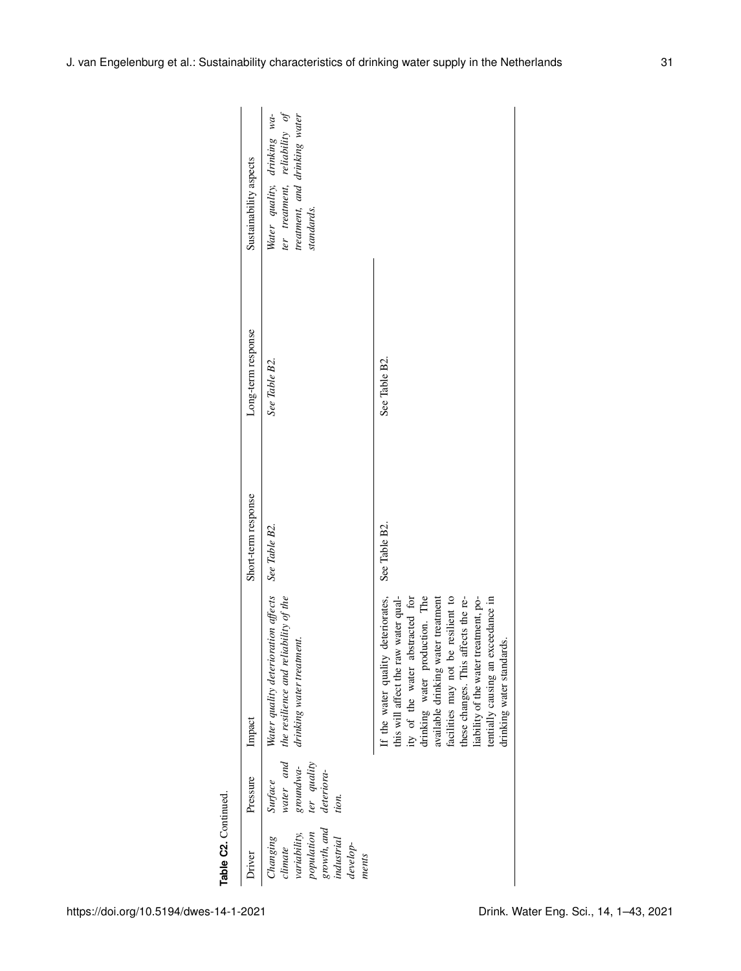| Table C2. Continued.                                                                                  |                                                                         |                                                                                                                                                                                                                                                                                                                                                                               |                     |                    |                                                                                                             |
|-------------------------------------------------------------------------------------------------------|-------------------------------------------------------------------------|-------------------------------------------------------------------------------------------------------------------------------------------------------------------------------------------------------------------------------------------------------------------------------------------------------------------------------------------------------------------------------|---------------------|--------------------|-------------------------------------------------------------------------------------------------------------|
| Driver                                                                                                | Pressure                                                                | Impact                                                                                                                                                                                                                                                                                                                                                                        | Short-term response | Long-term response | Sustainability aspects                                                                                      |
| growth, and<br>population<br>variability,<br>Changing<br>industrial<br>$develop-$<br>climate<br>ments | water and<br>ter quality<br>groundwa-<br>deteriora-<br>Surface<br>tion. | Water quality deterioration affects<br>the resilience and reliability of the<br>drinking water treatment.                                                                                                                                                                                                                                                                     | See Table B2.       | See Table B2.      | ter treatment, reliability of<br>treatment, and drinking water<br>Water quality, drinking wa-<br>standards. |
|                                                                                                       |                                                                         | If the water quality deteriorates,<br>facilities may not be resilient to<br>this will affect the raw water qual-<br>ity of the water abstracted for<br>drinking water production. The<br>available drinking water treatment<br>these changes. This affects the re-<br>liability of the water treatment, po-<br>tentially causing an exceedance in<br>drinking water standards | See Table B2.       | See Table B2.      |                                                                                                             |
|                                                                                                       |                                                                         |                                                                                                                                                                                                                                                                                                                                                                               |                     |                    |                                                                                                             |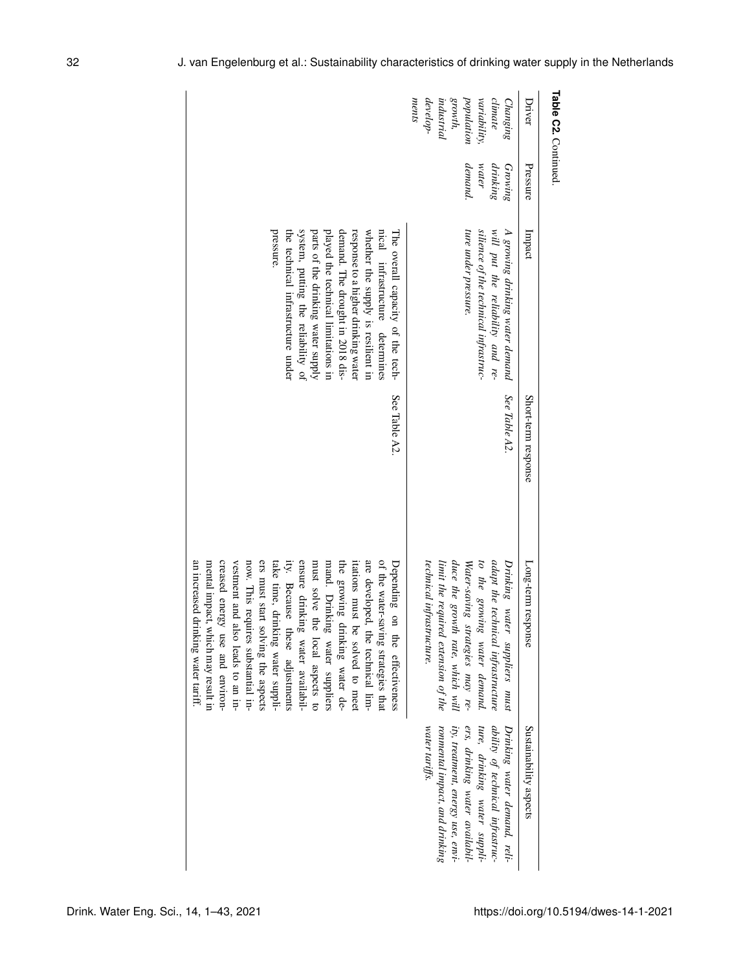| <b>Table C2. Continued.</b>                                                                     |                                         |                                                                                                                                                                                                                                                                                                                                                             |                     |                                                                                                                                                                                                                                                                                                                                                                                                                                                                                                                                                                                                          |                                                                                                                                                                                                                             |
|-------------------------------------------------------------------------------------------------|-----------------------------------------|-------------------------------------------------------------------------------------------------------------------------------------------------------------------------------------------------------------------------------------------------------------------------------------------------------------------------------------------------------------|---------------------|----------------------------------------------------------------------------------------------------------------------------------------------------------------------------------------------------------------------------------------------------------------------------------------------------------------------------------------------------------------------------------------------------------------------------------------------------------------------------------------------------------------------------------------------------------------------------------------------------------|-----------------------------------------------------------------------------------------------------------------------------------------------------------------------------------------------------------------------------|
| Driver                                                                                          | Pressure                                | Impact                                                                                                                                                                                                                                                                                                                                                      | Short-term response | Long-term response                                                                                                                                                                                                                                                                                                                                                                                                                                                                                                                                                                                       | Sustainability aspects                                                                                                                                                                                                      |
| develop-<br>growth,<br>population<br>ments<br>variability,<br>climate<br>industrial<br>Changing | demand.<br>drinking<br>water<br>Growing | silience of the technical infrastruc-<br>ture under pressure.<br>A growing drinking water demand<br>will put the reliability and re-                                                                                                                                                                                                                        | See Table A2.       | technical infrastructure.<br>duce the growth rate, which will<br>adapt the technical infrastructure<br>Water-saving strategies may re-<br>to the growing water demand.<br>limit the required extension of the<br>Drinking water suppliers must                                                                                                                                                                                                                                                                                                                                                           | ity, treatment, energy use, envi-<br>ers, drinking water availabil-<br>ture, drinking water suppli-<br>ability of technical infrastruc-<br>water tariffs.<br>ronmental impact, and drinking<br>Drinking water demand, reli- |
|                                                                                                 |                                         | system, putting the reliability of<br>pressure.<br>the technical infrastructure under<br>played the technical limitations in<br>demand. The drought in 2018 dis-<br>response to a higher drinking water<br>whether the supply is resilient in<br>nical infrastructure determines<br>parts of the drinking water supply<br>The overall capacity of the tech- | See Table A2.       | an increased drinking water tariff<br>creased energy<br>ers must start solving the aspects<br>ensure drinking water availabil-<br>mand. Drinking water suppliers<br>the growing drinking water de-<br>are developed,<br>mental impact, which may result in<br>vestment and also leads to an in-<br>now. This requires substantial in-<br>must solve the local aspects to<br>itations must be solved to meet<br>of the water-saving strategies that<br>take time, drinking water suppli-<br>ity. Because these adjustments<br>Depending on<br>use and environ-<br>the technical lim-<br>the effectiveness |                                                                                                                                                                                                                             |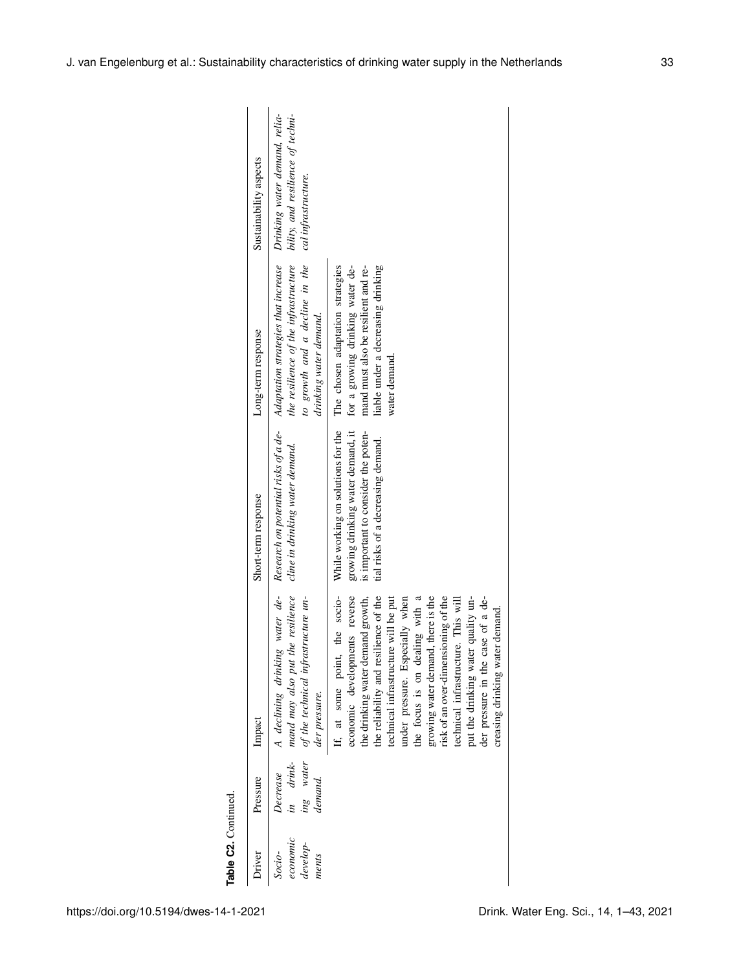| Driver                                    | Pressure                                      | Impact                                                                                                                                                                                                                                                                                                                                                                                                                                                                                               | Short-term response                                                                                                                                  | Long-term response                                                                                                                                                 | Sustainability aspects                                                                    |
|-------------------------------------------|-----------------------------------------------|------------------------------------------------------------------------------------------------------------------------------------------------------------------------------------------------------------------------------------------------------------------------------------------------------------------------------------------------------------------------------------------------------------------------------------------------------------------------------------------------------|------------------------------------------------------------------------------------------------------------------------------------------------------|--------------------------------------------------------------------------------------------------------------------------------------------------------------------|-------------------------------------------------------------------------------------------|
| economic<br>$develop-$<br>Socio-<br>ments | ing water<br>in drink-<br>Decrease<br>demand. | water de-<br>resilience<br>of the technical infrastructure un-<br>mand may also put the<br>A declining drinking<br>der pressure.                                                                                                                                                                                                                                                                                                                                                                     | Research on potential risks of a de-<br>cline in drinking water demand.                                                                              | Adaptation strategies that increase<br>the resilience of the infrastructure<br>to growth and a decline in the<br>drinking water demand.                            | Drinking water demand, relia-<br>bility, and resilience of techni-<br>cal infrastructure. |
|                                           |                                               | the socio-<br>economic developments reverse<br>the reliability and resilience of the<br>the drinking water demand growth,<br>growing water demand, there is the<br>risk of an over-dimensioning of the<br>put the drinking water quality un-<br>under pressure. Especially when<br>the focus is on dealing with a<br>der pressure in the case of a de-<br>technical infrastructure will be put<br>This will<br>demand.<br>technical infrastructure.<br>creasing drinking water<br>If, at some point, | While working on solutions for the<br>growing drinking water demand, it<br>is important to consider the poten-<br>tial risks of a decreasing demand. | for a growing drinking water de-<br>The chosen adaptation strategies<br>liable under a decreasing drinking<br>mand must also be resilient and re-<br>water demand. |                                                                                           |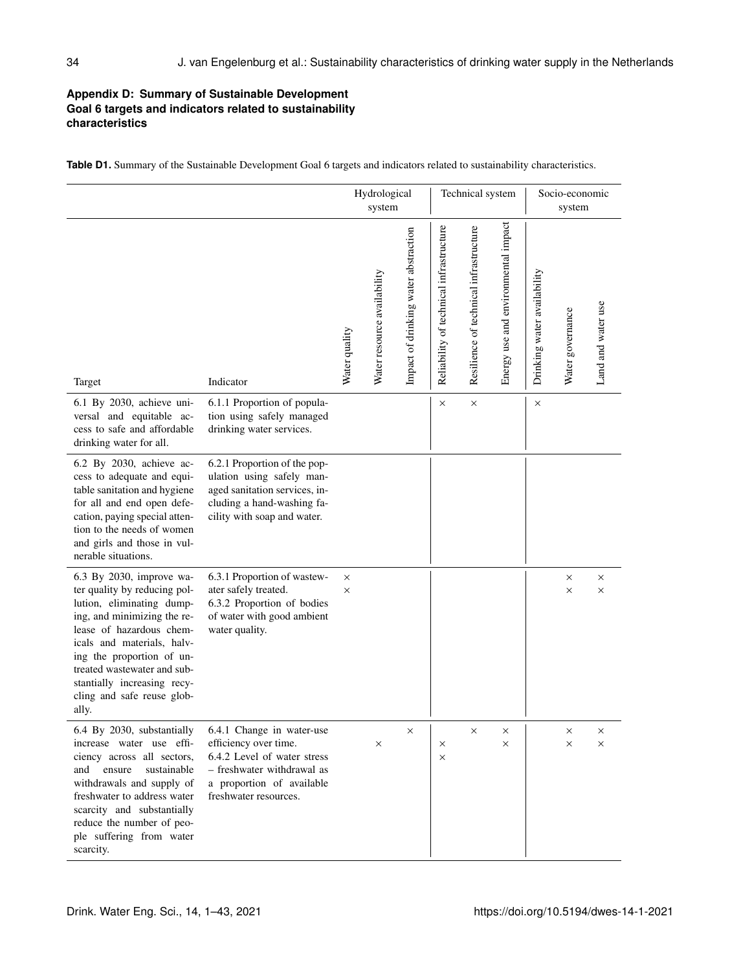# **Appendix D: Summary of Sustainable Development Goal 6 targets and indicators related to sustainability characteristics**

|                                                                                                                                                                                                                                                                                                                  |                                                                                                                                                                       |                      | Hydrological<br>system      |                                      |                                         | Technical system                       |                                     | Socio-economic<br>system    |                      |                      |
|------------------------------------------------------------------------------------------------------------------------------------------------------------------------------------------------------------------------------------------------------------------------------------------------------------------|-----------------------------------------------------------------------------------------------------------------------------------------------------------------------|----------------------|-----------------------------|--------------------------------------|-----------------------------------------|----------------------------------------|-------------------------------------|-----------------------------|----------------------|----------------------|
| Target                                                                                                                                                                                                                                                                                                           | Indicator                                                                                                                                                             | Water quality        | Water resource availability | Impact of drinking water abstraction | Reliability of technical infrastructure | Resilience of technical infrastructure | Energy use and environmental impact | Drinking water availability | Water governance     | Land and water use   |
| 6.1 By 2030, achieve uni-<br>versal and equitable ac-<br>cess to safe and affordable<br>drinking water for all.                                                                                                                                                                                                  | 6.1.1 Proportion of popula-<br>tion using safely managed<br>drinking water services.                                                                                  |                      |                             |                                      | ×                                       | $\times$                               |                                     | $\times$                    |                      |                      |
| 6.2 By 2030, achieve ac-<br>cess to adequate and equi-<br>table sanitation and hygiene<br>for all and end open defe-<br>cation, paying special atten-<br>tion to the needs of women<br>and girls and those in vul-<br>nerable situations.                                                                        | 6.2.1 Proportion of the pop-<br>ulation using safely man-<br>aged sanitation services, in-<br>cluding a hand-washing fa-<br>cility with soap and water.               |                      |                             |                                      |                                         |                                        |                                     |                             |                      |                      |
| 6.3 By 2030, improve wa-<br>ter quality by reducing pol-<br>lution, eliminating dump-<br>ing, and minimizing the re-<br>lease of hazardous chem-<br>icals and materials, halv-<br>ing the proportion of un-<br>treated wastewater and sub-<br>stantially increasing recy-<br>cling and safe reuse glob-<br>ally. | 6.3.1 Proportion of wastew-<br>ater safely treated.<br>6.3.2 Proportion of bodies<br>of water with good ambient<br>water quality.                                     | $\times$<br>$\times$ |                             |                                      |                                         |                                        |                                     |                             | $\times$<br>$\times$ | $\times$<br>$\times$ |
| 6.4 By 2030, substantially<br>increase water use effi-<br>ciency across all sectors,<br>sustainable<br>and<br>ensure<br>withdrawals and supply of<br>freshwater to address water<br>scarcity and substantially<br>reduce the number of peo-<br>ple suffering from water<br>scarcity.                             | 6.4.1 Change in water-use<br>efficiency over time.<br>6.4.2 Level of water stress<br>- freshwater withdrawal as<br>a proportion of available<br>freshwater resources. |                      | $\times$                    | ×                                    | $\times$<br>$\times$                    | X                                      | ×<br>$\times$                       |                             | ×<br>$\times$        | X<br>X               |

**Table D1.** Summary of the Sustainable Development Goal 6 targets and indicators related to sustainability characteristics.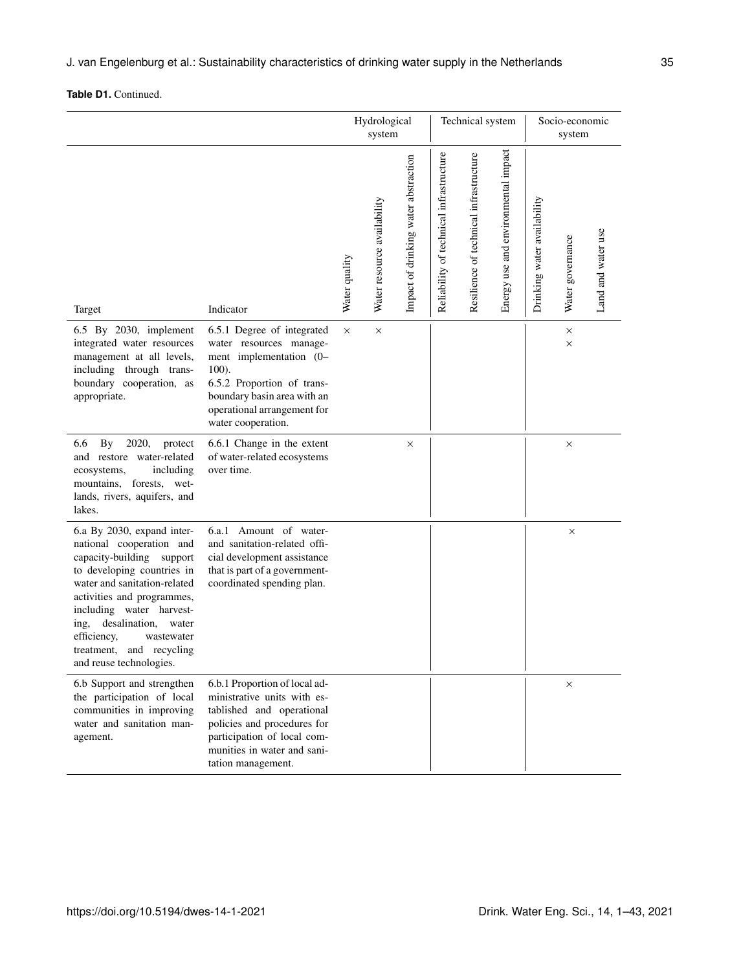|                                                                                                                                                                                                                                                                                                                                      |                                                                                                                                                                                                                |               | Hydrological<br>system      |                                      |                                         | Technical system                       |                                     | Socio-economic<br>system    |                  |                    |
|--------------------------------------------------------------------------------------------------------------------------------------------------------------------------------------------------------------------------------------------------------------------------------------------------------------------------------------|----------------------------------------------------------------------------------------------------------------------------------------------------------------------------------------------------------------|---------------|-----------------------------|--------------------------------------|-----------------------------------------|----------------------------------------|-------------------------------------|-----------------------------|------------------|--------------------|
| Target                                                                                                                                                                                                                                                                                                                               | Indicator                                                                                                                                                                                                      | Water quality | Water resource availability | Impact of drinking water abstraction | Reliability of technical infrastructure | Resilience of technical infrastructure | Energy use and environmental impact | Drinking water availability | Water governance | Land and water use |
| 6.5 By 2030, implement<br>integrated water resources<br>management at all levels,<br>including through trans-<br>boundary cooperation, as<br>appropriate.                                                                                                                                                                            | 6.5.1 Degree of integrated<br>water resources manage-<br>ment implementation (0-<br>$100$ ).<br>6.5.2 Proportion of trans-<br>boundary basin area with an<br>operational arrangement for<br>water cooperation. | $\times$      | $\times$                    |                                      |                                         |                                        |                                     |                             | ×<br>$\times$    |                    |
| 6.6<br>2020,<br>By<br>protect<br>and restore water-related<br>including<br>ecosystems,<br>mountains,<br>forests, wet-<br>lands, rivers, aquifers, and<br>lakes.                                                                                                                                                                      | 6.6.1 Change in the extent<br>of water-related ecosystems<br>over time.                                                                                                                                        |               |                             | X                                    |                                         |                                        |                                     |                             | $\times$         |                    |
| 6.a By 2030, expand inter-<br>national cooperation and<br>capacity-building support<br>to developing countries in<br>water and sanitation-related<br>activities and programmes,<br>including water harvest-<br>desalination,<br>ing,<br>water<br>efficiency,<br>wastewater<br>and recycling<br>treatment,<br>and reuse technologies. | 6.a.1 Amount of water-<br>and sanitation-related offi-<br>cial development assistance<br>that is part of a government-<br>coordinated spending plan.                                                           |               |                             |                                      |                                         |                                        |                                     |                             | $\times$         |                    |
| 6.b Support and strengthen<br>the participation of local<br>communities in improving<br>water and sanitation man-<br>agement.                                                                                                                                                                                                        | 6.b.1 Proportion of local ad-<br>ministrative units with es-<br>tablished and operational<br>policies and procedures for<br>participation of local com-<br>munities in water and sani-<br>tation management.   |               |                             |                                      |                                         |                                        |                                     |                             | $\times$         |                    |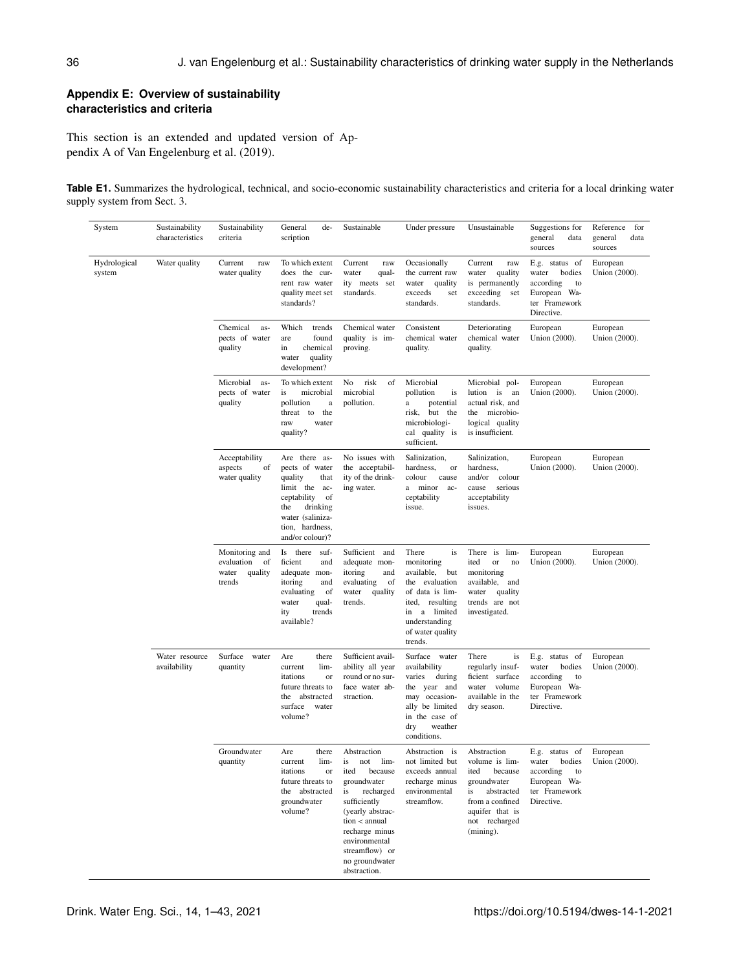## **Appendix E: Overview of sustainability characteristics and criteria**

This section is an extended and updated version of Appendix A of Van Engelenburg et al. (2019).

**Table E1.** Summarizes the hydrological, technical, and socio-economic sustainability characteristics and criteria for a local drinking water supply system from Sect. 3.

| System                 | Sustainability<br>characteristics | Sustainability<br>criteria                                       | General<br>de-<br>scription                                                                                                                                              | Sustainable                                                                                                                                                                                                                      | Under pressure                                                                                                                                                            | Unsustainable                                                                                                                                              | Suggestions for<br>general<br>data<br>sources                                                       | Reference<br>for<br>general<br>data<br>sources |
|------------------------|-----------------------------------|------------------------------------------------------------------|--------------------------------------------------------------------------------------------------------------------------------------------------------------------------|----------------------------------------------------------------------------------------------------------------------------------------------------------------------------------------------------------------------------------|---------------------------------------------------------------------------------------------------------------------------------------------------------------------------|------------------------------------------------------------------------------------------------------------------------------------------------------------|-----------------------------------------------------------------------------------------------------|------------------------------------------------|
| Hydrological<br>system | Water quality                     | Current<br>raw<br>water quality                                  | To which extent<br>does the cur-<br>rent raw water<br>quality meet set<br>standards?                                                                                     | Current<br>raw<br>water<br>qual-<br>ity meets set<br>standards.                                                                                                                                                                  | Occasionally<br>the current raw<br>water<br>quality<br>exceeds<br>set<br>standards.                                                                                       | Current<br>raw<br>water<br>quality<br>is permanently<br>exceeding<br>set<br>standards.                                                                     | E.g. status of<br>water<br>bodies<br>according<br>to<br>European Wa-<br>ter Framework<br>Directive. | European<br>Union (2000).                      |
|                        |                                   | Chemical<br>as-<br>pects of water<br>quality                     | Which<br>trends<br>found<br>are<br>chemical<br>in<br>quality<br>water<br>development?                                                                                    | Chemical water<br>quality is im-<br>proving.                                                                                                                                                                                     | Consistent<br>chemical water<br>quality.                                                                                                                                  | Deteriorating<br>chemical water<br>quality.                                                                                                                | European<br>Union (2000).                                                                           | European<br>Union (2000).                      |
|                        |                                   | Microbial<br>as-<br>pects of water<br>quality                    | To which extent<br>is<br>microbial<br>pollution<br>$\rm{a}$<br>the<br>threat to<br>raw<br>water<br>quality?                                                              | No<br>risk<br>of<br>microbial<br>pollution.                                                                                                                                                                                      | Microbial<br>pollution<br>is<br>potential<br>a<br>risk,<br>but the<br>microbiologi-<br>cal quality is<br>sufficient.                                                      | Microbial pol-<br>lution is<br>an<br>actual risk, and<br>the microbio-<br>logical quality<br>is insufficient.                                              | European<br>Union (2000).                                                                           | European<br>Union (2000).                      |
|                        |                                   | Acceptability<br>aspects<br>of<br>water quality                  | Are there as-<br>pects of water<br>quality<br>that<br>limit the<br>ac-<br>ceptability<br>of<br>the<br>drinking<br>water (saliniza-<br>tion, hardness,<br>and/or colour)? | No issues with<br>the acceptabil-<br>ity of the drink-<br>ing water.                                                                                                                                                             | Salinization,<br>hardness,<br>or<br>colour<br>cause<br>a minor<br>ac-<br>ceptability<br>issue.                                                                            | Salinization,<br>hardness,<br>and/or<br>colour<br>serious<br>cause<br>acceptability<br>issues.                                                             | European<br>Union (2000).                                                                           | European<br>Union (2000).                      |
|                        |                                   | Monitoring and<br>evaluation<br>of<br>water<br>quality<br>trends | Is there<br>suf-<br>ficient<br>and<br>adequate mon-<br>itoring<br>and<br>evaluating<br>of<br>qual-<br>water<br>trends<br>ity<br>available?                               | Sufficient and<br>adequate mon-<br>itoring<br>and<br>evaluating<br>of<br>water<br>quality<br>trends.                                                                                                                             | There<br>is<br>monitoring<br>available,<br>but<br>the evaluation<br>of data is lim-<br>ited,<br>resulting<br>in a limited<br>understanding<br>of water quality<br>trends. | There is lim-<br>ited<br>or<br>no<br>monitoring<br>available,<br>and<br>water<br>quality<br>trends are not<br>investigated.                                | European<br>Union (2000).                                                                           | European<br>Union (2000).                      |
|                        | Water resource<br>availability    | Surface<br>water<br>quantity                                     | Are<br>there<br>lim-<br>current<br>itations<br>or<br>future threats to<br>the<br>abstracted<br>surface<br>water<br>volume?                                               | Sufficient avail-<br>ability all year<br>round or no sur-<br>face water ab-<br>straction.                                                                                                                                        | Surface<br>water<br>availability<br>varies<br>during<br>the year and<br>may occasion-<br>ally be limited<br>in the case of<br>weather<br>dry<br>conditions.               | There<br>is<br>regularly insuf-<br>ficient surface<br>water volume<br>available in the<br>dry season.                                                      | E.g. status of<br>bodies<br>water<br>according<br>to<br>European Wa-<br>ter Framework<br>Directive. | European<br>Union (2000).                      |
|                        |                                   | Groundwater<br>quantity                                          | Are<br>there<br>lim-<br>current<br>itations<br>or<br>future threats to<br>the abstracted<br>groundwater<br>volume?                                                       | Abstraction<br>is not<br>lim-<br>ited<br>because<br>groundwater<br>recharged<br>is<br>sufficiently<br>(yearly abstrac-<br>$tion <$ annual<br>recharge minus<br>environmental<br>streamflow) or<br>no groundwater<br>abstraction. | Abstraction is<br>not limited but<br>exceeds annual<br>recharge minus<br>environmental<br>streamflow.                                                                     | Abstraction<br>volume is lim-<br>ited<br>because<br>groundwater<br>abstracted<br>is<br>from a confined<br>aquifer that is<br>not recharged<br>$(mining)$ . | E.g. status of<br>water<br>according<br>to<br>European Wa-<br>ter Framework<br>Directive.           | European<br>bodies Union (2000).               |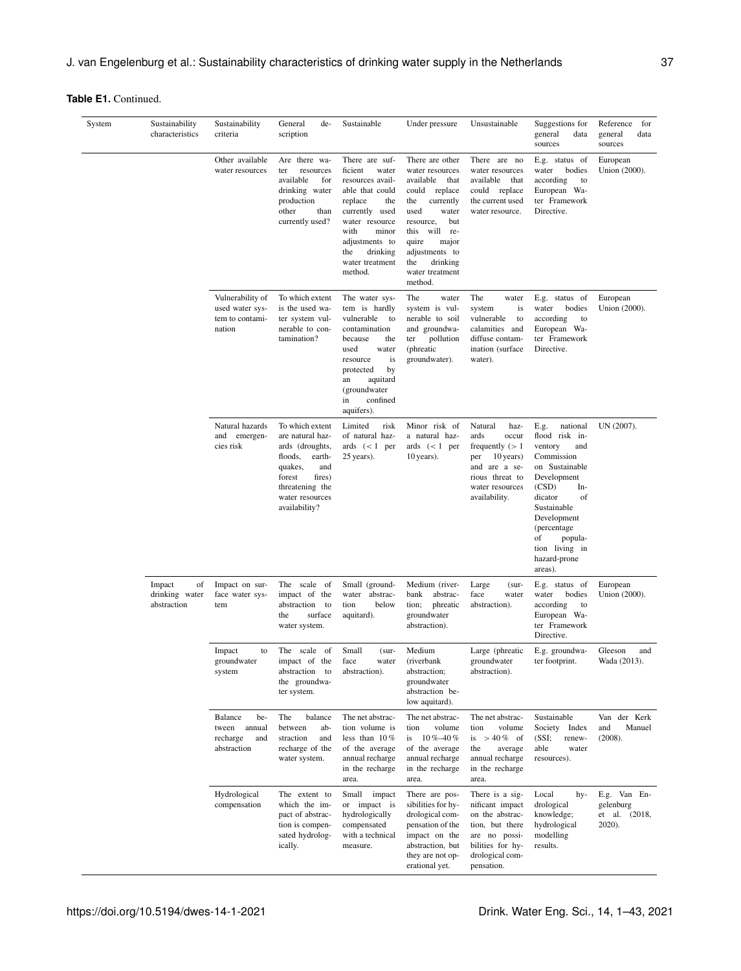| System | Sustainability<br>characteristics             | Sustainability<br>criteria                                       | General<br>de-<br>scription                                                                                                                                              | Sustainable                                                                                                                                                                                                         | Under pressure                                                                                                                                                                                                                             | Unsustainable                                                                                                                                    | Suggestions for<br>general<br>data<br>sources                                                                                                                                                                                                    | Reference<br>for<br>general<br>data<br>sources          |
|--------|-----------------------------------------------|------------------------------------------------------------------|--------------------------------------------------------------------------------------------------------------------------------------------------------------------------|---------------------------------------------------------------------------------------------------------------------------------------------------------------------------------------------------------------------|--------------------------------------------------------------------------------------------------------------------------------------------------------------------------------------------------------------------------------------------|--------------------------------------------------------------------------------------------------------------------------------------------------|--------------------------------------------------------------------------------------------------------------------------------------------------------------------------------------------------------------------------------------------------|---------------------------------------------------------|
|        |                                               | Other available<br>water resources                               | Are there wa-<br>resources<br>ter<br>available<br>for<br>drinking water<br>production<br>other<br>than<br>currently used?                                                | There are suf-<br>ficient<br>water<br>resources avail-<br>able that could<br>replace<br>the<br>currently used<br>water resource<br>with<br>minor<br>adjustments to<br>the<br>drinking<br>water treatment<br>method. | There are other<br>water resources<br>available<br>that<br>could replace<br>the<br>currently<br>used<br>water<br>but<br>resource,<br>this<br>will re-<br>quire<br>major<br>adjustments to<br>drinking<br>the<br>water treatment<br>method. | There are no<br>water resources<br>available<br>that<br>could replace<br>the current used<br>water resource.                                     | E.g. status of<br>water<br>bodies<br>according<br>to<br>European Wa-<br>ter Framework<br>Directive.                                                                                                                                              | European<br>Union (2000).                               |
|        |                                               | Vulnerability of<br>used water sys-<br>tem to contami-<br>nation | To which extent<br>is the used wa-<br>ter system vul-<br>nerable to con-<br>tamination?                                                                                  | The water sys-<br>tem is hardly<br>vulnerable<br>to<br>contamination<br>because<br>the<br>used<br>water<br>resource<br>is<br>by<br>protected<br>aquitard<br>an<br>(groundwater<br>confined<br>in<br>aquifers).      | The<br>water<br>system is vul-<br>nerable to soil<br>and groundwa-<br>pollution<br>ter<br>(phreatic<br>groundwater).                                                                                                                       | The<br>water<br>is<br>system<br>vulnerable<br>to<br>calamities and<br>diffuse contam-<br>ination (surface)<br>water).                            | E.g. status of<br>water<br>bodies<br>according<br>to<br>European Wa-<br>ter Framework<br>Directive.                                                                                                                                              | European<br>Union (2000).                               |
|        |                                               | Natural hazards<br>and emergen-<br>cies risk                     | To which extent<br>are natural haz-<br>ards (droughts,<br>floods,<br>earth-<br>quakes,<br>and<br>forest<br>fires)<br>threatening the<br>water resources<br>availability? | Limited<br>risk<br>of natural haz-<br>ards $(< 1$ per<br>25 years).                                                                                                                                                 | Minor risk of<br>a natural haz-<br>ards $(< 1$ per<br>10 years).                                                                                                                                                                           | Natural<br>haz-<br>ards<br>occur<br>frequently $(>1$<br>per<br>10 years)<br>and are a se-<br>rious threat to<br>water resources<br>availability. | national<br>E.g.<br>flood risk in-<br>ventory<br>and<br>Commission<br>on Sustainable<br>Development<br>(CSD)<br>In-<br>dicator<br>of<br>Sustainable<br>Development<br>(percentage)<br>of<br>popula-<br>tion living in<br>hazard-prone<br>areas). | UN (2007).                                              |
|        | Impact<br>of<br>drinking water<br>abstraction | Impact on sur-<br>face water sys-<br>tem                         | The scale of<br>impact of the<br>abstraction<br>to<br>surface<br>the<br>water system.                                                                                    | Small (ground-<br>water abstrac-<br>below<br>tion<br>aquitard).                                                                                                                                                     | Medium (river-<br>abstrac-<br>bank<br>phreatic<br>tion;<br>groundwater<br>abstraction).                                                                                                                                                    | Large<br>$(sur -$<br>face<br>water<br>abstraction).                                                                                              | E.g. status of<br>water<br>bodies<br>according<br>to<br>European Wa-<br>ter Framework<br>Directive.                                                                                                                                              | European<br>Union (2000).                               |
|        |                                               | Impact<br>to<br>groundwater<br>system                            | The scale of<br>impact of the<br>abstraction to<br>the groundwa-<br>ter system.                                                                                          | Small<br>(sur-<br>face<br>water<br>abstraction).                                                                                                                                                                    | Medium<br>(riverbank<br>abstraction;<br>groundwater<br>abstraction be-<br>low aquitard).                                                                                                                                                   | Large (phreatic<br>groundwater<br>abstraction).                                                                                                  | E.g. groundwa-<br>ter footprint.                                                                                                                                                                                                                 | Gleeson<br>and<br>Wada (2013).                          |
|        |                                               | Balance<br>be-<br>tween annual<br>recharge<br>and<br>abstraction | The<br>balance<br>between<br>ab-<br>straction<br>and<br>recharge of the<br>water system.                                                                                 | The net abstrac-<br>tion volume is<br>less than $10\%$<br>of the average<br>annual recharge<br>in the recharge<br>area.                                                                                             | The net abstrac-<br>tion<br>volume<br>$10\% - 40\%$<br>is<br>of the average<br>annual recharge<br>in the recharge<br>area.                                                                                                                 | The net abstrac-<br>volume<br>tion<br>is $> 40\%$ of<br>the<br>average<br>annual recharge<br>in the recharge<br>area.                            | Sustainable<br>Society Index<br>(SSI;<br>renew-<br>able<br>water<br>resources).                                                                                                                                                                  | Van der Kerk<br>Manuel<br>and<br>(2008).                |
|        |                                               | Hydrological<br>compensation                                     | The extent to<br>which the im-<br>pact of abstrac-<br>tion is compen-<br>sated hydrolog-<br>ically.                                                                      | Small impact<br>or impact is<br>hydrologically<br>compensated<br>with a technical<br>measure.                                                                                                                       | There are pos-<br>sibilities for hy-<br>drological com-<br>pensation of the<br>impact on the<br>abstraction, but<br>they are not op-<br>erational yet.                                                                                     | There is a sig-<br>nificant impact<br>on the abstrac-<br>tion, but there<br>are no possi-<br>bilities for hy-<br>drological com-<br>pensation.   | Local<br>hy-<br>drological<br>knowledge;<br>hydrological<br>modelling<br>results.                                                                                                                                                                | E.g. Van En-<br>gelenburg<br>et al. (2018,<br>$2020$ ). |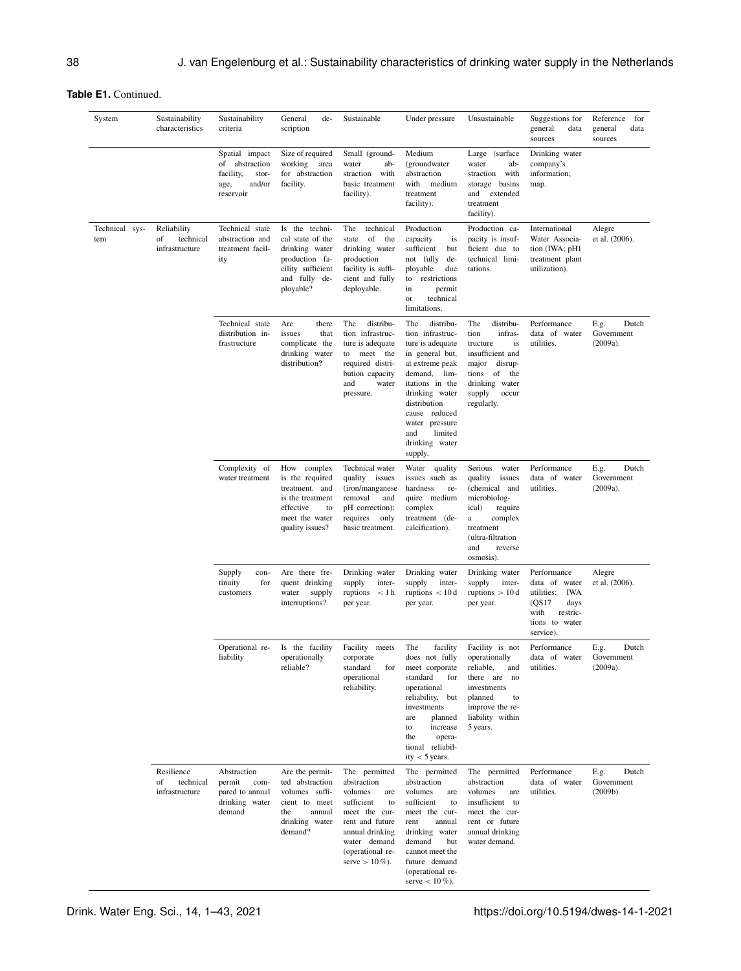| System                | Sustainability<br>characteristics                | Sustainability<br>criteria                                                            | General<br>de-<br>scription                                                                                                  | Sustainable                                                                                                                                                                        | Under pressure                                                                                                                                                                                                                                           | Unsustainable                                                                                                                                                               | Suggestions for<br>general<br>data<br>sources                                                                         | Reference<br>for<br>data<br>general<br>sources  |
|-----------------------|--------------------------------------------------|---------------------------------------------------------------------------------------|------------------------------------------------------------------------------------------------------------------------------|------------------------------------------------------------------------------------------------------------------------------------------------------------------------------------|----------------------------------------------------------------------------------------------------------------------------------------------------------------------------------------------------------------------------------------------------------|-----------------------------------------------------------------------------------------------------------------------------------------------------------------------------|-----------------------------------------------------------------------------------------------------------------------|-------------------------------------------------|
|                       |                                                  | Spatial impact<br>of abstraction<br>facility,<br>stor-<br>and/or<br>age,<br>reservoir | Size of required<br>working<br>area<br>for abstraction<br>facility.                                                          | Small (ground-<br>water<br>ab-<br>straction<br>with<br>basic treatment<br>facility).                                                                                               | Medium<br>(groundwater<br>abstraction<br>with<br>medium<br>treatment<br>facility).                                                                                                                                                                       | Large (surface<br>water<br>ab-<br>straction with<br>storage basins<br>and<br>extended<br>treatment<br>facility).                                                            | Drinking water<br>company's<br>information;<br>map.                                                                   |                                                 |
| Technical sys-<br>tem | Reliability<br>of<br>technical<br>infrastructure | Technical state<br>abstraction and<br>treatment facil-<br>ity                         | Is the techni-<br>cal state of the<br>drinking water<br>production fa-<br>cility sufficient<br>and fully de-<br>ployable?    | The<br>technical<br>of<br>state<br>the<br>drinking water<br>production<br>facility is suffi-<br>cient and fully<br>deployable.                                                     | Production<br>capacity<br>is<br>sufficient<br>but<br>not fully<br>de-<br>due<br>ployable<br>restrictions<br>to<br>in<br>permit<br>technical<br>or<br>limitations.                                                                                        | Production ca-<br>pacity is insuf-<br>ficient due to<br>technical limi-<br>tations.                                                                                         | International<br>Water Associa-<br>tion (IWA; pH1<br>treatment plant<br>utilization).                                 | Alegre<br>et al. (2006).                        |
|                       |                                                  | Technical state<br>distribution in-<br>frastructure                                   | Are<br>there<br>issues<br>that<br>complicate the<br>drinking water<br>distribution?                                          | The<br>distribu-<br>tion infrastruc-<br>ture is adequate<br>meet the<br>to<br>required distri-<br>bution capacity<br>and<br>water<br>pressure.                                     | The<br>distribu-<br>tion infrastruc-<br>ture is adequate<br>in general but,<br>at extreme peak<br>demand,<br>lim-<br>itations in the<br>drinking water<br>distribution<br>cause reduced<br>water pressure<br>limited<br>and<br>drinking water<br>supply. | The<br>distribu-<br>infras-<br>tion<br>tructure<br>is<br>insufficient and<br>disrup-<br>major<br>of<br>tions<br>the<br>drinking water<br>supply<br>occur<br>regularly.      | Performance<br>data of water<br>utilities.                                                                            | Dutch<br>E.g.<br>Government<br>(2009a).         |
|                       |                                                  | Complexity of<br>water treatment                                                      | How complex<br>is the required<br>treatment. and<br>is the treatment<br>effective<br>to<br>meet the water<br>quality issues? | Technical water<br>quality<br>issues<br>(iron/manganese<br>removal<br>and<br>pH correction);<br>requires<br>only<br>basic treatment.                                               | Water quality<br>issues such as<br>hardness<br>re-<br>quire medium<br>complex<br>treatment (de-<br>calcification).                                                                                                                                       | Serious<br>water<br>quality<br>issues<br>(chemical and<br>microbiolog-<br>ical)<br>require<br>complex<br>a<br>treatment<br>(ultra-filtration<br>and<br>reverse<br>osmosis). | Performance<br>data of water<br>utilities.                                                                            | E.g.<br>Dutch<br>Government<br>(2009a).         |
|                       |                                                  | Supply<br>con-<br>tinuity<br>for<br>customers                                         | Are there fre-<br>quent drinking<br>water<br>supply<br>interruptions?                                                        | Drinking water<br>supply<br>inter-<br>ruptions<br>< 1 h<br>per year.                                                                                                               | Drinking water<br>supply<br>inter-<br>ruptions $\langle 10d \rangle$<br>per year.                                                                                                                                                                        | Drinking water<br>supply<br>inter-<br>ruptions $> 10d$<br>per year.                                                                                                         | Performance<br>data of water<br>IWA<br>utilities;<br>(QS17<br>days<br>with<br>restric-<br>tions to water<br>service). | Alegre<br>et al. (2006).                        |
|                       |                                                  | liability                                                                             | Operational re- Is the facility Facility meets<br>operationally<br>reliable?                                                 | corporate<br>standard<br>for<br>operational<br>reliability.                                                                                                                        | The<br>facility<br>does not fully<br>meet corporate<br>standard<br>for<br>operational<br>reliability, but<br>investments<br>are<br>planned<br>to<br>increase<br>the<br>opera-<br>tional reliabil-<br>ity $<$ 5 years.                                    | Facility is not<br>operationally<br>reliable,<br>and<br>there are no<br>investments<br>planned<br>to<br>improve the re-<br>liability within<br>5 years.                     | Performance<br>data of water<br>utilities.                                                                            | ${\sf E.g.}$<br>Dutch<br>Government<br>(2009a). |
|                       | Resilience<br>technical<br>of<br>infrastructure  | Abstraction<br>permit<br>com-<br>pared to annual<br>drinking water<br>demand          | Are the permit-<br>ted abstraction<br>volumes suffi-<br>cient to meet<br>the<br>annual<br>drinking water<br>demand?          | The permitted<br>abstraction<br>volumes<br>are<br>sufficient<br>to<br>meet the cur-<br>rent and future<br>annual drinking<br>water demand<br>(operational re-<br>serve $> 10\%$ ). | The permitted<br>abstraction<br>volumes<br>are<br>sufficient<br>to<br>meet the cur-<br>rent<br>annual<br>drinking water<br>demand<br>but<br>cannot meet the<br>future demand<br>(operational re-<br>serve $< 10 \%$ ).                                   | The permitted<br>abstraction<br>volumes<br>are<br>insufficient to<br>meet the cur-<br>rent or future<br>annual drinking<br>water demand.                                    | Performance<br>data of water<br>utilities.                                                                            | E.g.<br>Dutch<br>Government<br>(2009b).         |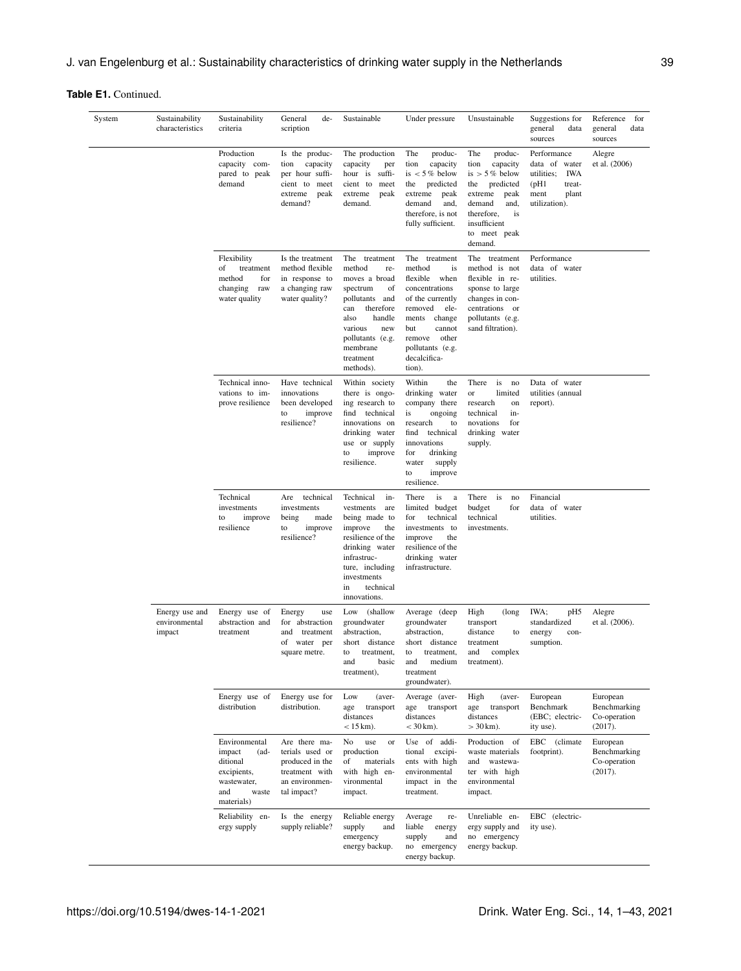| System | Sustainability<br>characteristics         | Sustainability<br>criteria                                                                                | General<br>de-<br>scription                                                                             | Sustainable                                                                                                                                                                                           | Under pressure                                                                                                                                                                                                  | Unsustainable                                                                                                                                                                  | Suggestions for<br>general<br>data<br>sources                                                                    | Reference<br>for<br>general<br>data<br>sources      |
|--------|-------------------------------------------|-----------------------------------------------------------------------------------------------------------|---------------------------------------------------------------------------------------------------------|-------------------------------------------------------------------------------------------------------------------------------------------------------------------------------------------------------|-----------------------------------------------------------------------------------------------------------------------------------------------------------------------------------------------------------------|--------------------------------------------------------------------------------------------------------------------------------------------------------------------------------|------------------------------------------------------------------------------------------------------------------|-----------------------------------------------------|
|        |                                           | Production<br>capacity com-<br>pared to peak<br>demand                                                    | Is the produc-<br>tion<br>capacity<br>per hour suffi-<br>cient to<br>meet<br>extreme<br>peak<br>demand? | The production<br>capacity<br>per<br>hour is<br>suffi-<br>cient to<br>meet<br>extreme<br>peak<br>demand.                                                                                              | The<br>produc-<br>tion<br>capacity<br>is $< 5\%$ below<br>predicted<br>the<br>extreme<br>peak<br>demand<br>and,<br>therefore, is not<br>fully sufficient.                                                       | The<br>produc-<br>tion<br>capacity<br>is $> 5\%$ below<br>the<br>predicted<br>extreme<br>peak<br>demand<br>and,<br>therefore,<br>is<br>insufficient<br>to meet peak<br>demand. | Performance<br>data of<br>water<br><b>IWA</b><br>utilities;<br>(pH1)<br>treat-<br>ment<br>plant<br>utilization). | Alegre<br>et al. (2006)                             |
|        |                                           | Flexibility<br>of<br>treatment<br>method<br>for<br>changing<br>raw<br>water quality                       | Is the treatment<br>method flexible<br>in response to<br>a changing raw<br>water quality?               | The treatment<br>method<br>re-<br>moves a broad<br>spectrum<br>of<br>pollutants and<br>therefore<br>can<br>handle<br>also<br>various<br>new<br>pollutants (e.g.<br>membrane<br>treatment<br>methods). | The treatment<br>method<br>is<br>flexible<br>when<br>concentrations<br>of the currently<br>removed<br>ele-<br>ments<br>change<br>but<br>cannot<br>remove<br>other<br>pollutants (e.g.<br>decalcifica-<br>tion). | The treatment<br>method is not<br>flexible in re-<br>sponse to large<br>changes in con-<br>centrations or<br>pollutants (e.g.<br>sand filtration).                             | Performance<br>data of water<br>utilities.                                                                       |                                                     |
|        |                                           | Technical inno-<br>vations to im-<br>prove resilience                                                     | Have technical<br>innovations<br>been developed<br>to<br>improve<br>resilience?                         | Within society<br>there is ongo-<br>ing research to<br>find technical<br>innovations on<br>drinking water<br>use or supply<br>improve<br>to<br>resilience.                                            | Within<br>the<br>drinking water<br>company there<br>is<br>ongoing<br>research<br>to<br>technical<br>find<br>innovations<br>for<br>drinking<br>water<br>supply<br>improve<br>to<br>resilience.                   | There<br>is<br>no<br>limited<br>or<br>research<br>on<br>technical<br>in-<br>novations<br>for<br>drinking water<br>supply.                                                      | Data of water<br>utilities (annual<br>report).                                                                   |                                                     |
|        |                                           | Technical<br>investments<br>to<br>improve<br>resilience                                                   | technical<br>Are<br>investments<br>being<br>made<br>to<br>improve<br>resilience?                        | Technical<br>in-<br>vestments<br>are<br>being made to<br>improve<br>the<br>resilience of the<br>drinking water<br>infrastruc-<br>ture, including<br>investments<br>technical<br>in<br>innovations.    | There<br>is<br>a<br>limited budget<br>for<br>technical<br>investments to<br>improve<br>the<br>resilience of the<br>drinking water<br>infrastructure.                                                            | There is<br>no<br>budget<br>for<br>technical<br>investments.                                                                                                                   | Financial<br>data of water<br>utilities.                                                                         |                                                     |
|        | Energy use and<br>environmental<br>impact | Energy use of<br>abstraction and<br>treatment                                                             | Energy<br>use<br>for abstraction<br>treatment<br>and<br>of water per<br>square metre.                   | Low<br>(shallow<br>groundwater<br>abstraction,<br>short distance<br>treatment,<br>to<br>and<br>basic<br>treatment),                                                                                   | Average (deep<br>groundwater<br>abstraction,<br>short distance<br>to<br>treatment,<br>medium<br>and<br>treatment<br>groundwater).                                                                               | High<br>(long<br>transport<br>distance<br>to<br>treatment<br>and<br>complex<br>treatment).                                                                                     | IWA;<br>pH5<br>standardized<br>energy<br>con-<br>sumption.                                                       | Alegre<br>et al. (2006).                            |
|        |                                           | Energy use of<br>distribution                                                                             | Energy use for<br>distribution.                                                                         | Low<br>(aver-<br>age<br>transport<br>distances<br>$< 15 km$ ).                                                                                                                                        | Average (aver-<br>age transport<br>distances<br>$<$ 30 km).                                                                                                                                                     | High<br>(aver-<br>age<br>transport<br>distances<br>$>$ 30 km).                                                                                                                 | European<br>Benchmark<br>(EBC; electric-<br>ity use).                                                            | European<br>Benchmarking<br>Co-operation<br>(2017). |
|        |                                           | Environmental<br>impact<br>$(ad-$<br>ditional<br>excipients,<br>wastewater,<br>and<br>waste<br>materials) | Are there ma-<br>terials used or<br>produced in the<br>treatment with<br>an environmen-<br>tal impact?  | No<br>use<br>or<br>production<br>materials<br>of<br>with high en-<br>vironmental<br>impact.                                                                                                           | Use of addi-<br>tional excipi-<br>ents with high<br>environmental<br>impact in the<br>treatment.                                                                                                                | Production<br>- of<br>waste materials<br>and wastewa-<br>ter with high<br>environmental<br>impact.                                                                             | EBC (climate<br>footprint).                                                                                      | European<br>Benchmarking<br>Co-operation<br>(2017). |
|        |                                           | Reliability en-<br>ergy supply                                                                            | Is the energy<br>supply reliable?                                                                       | Reliable energy<br>supply<br>and<br>emergency<br>energy backup.                                                                                                                                       | Average<br>re-<br>liable<br>energy<br>supply<br>and<br>no emergency<br>energy backup.                                                                                                                           | Unreliable en-<br>ergy supply and<br>no emergency<br>energy backup.                                                                                                            | EBC (electric-<br>ity use).                                                                                      |                                                     |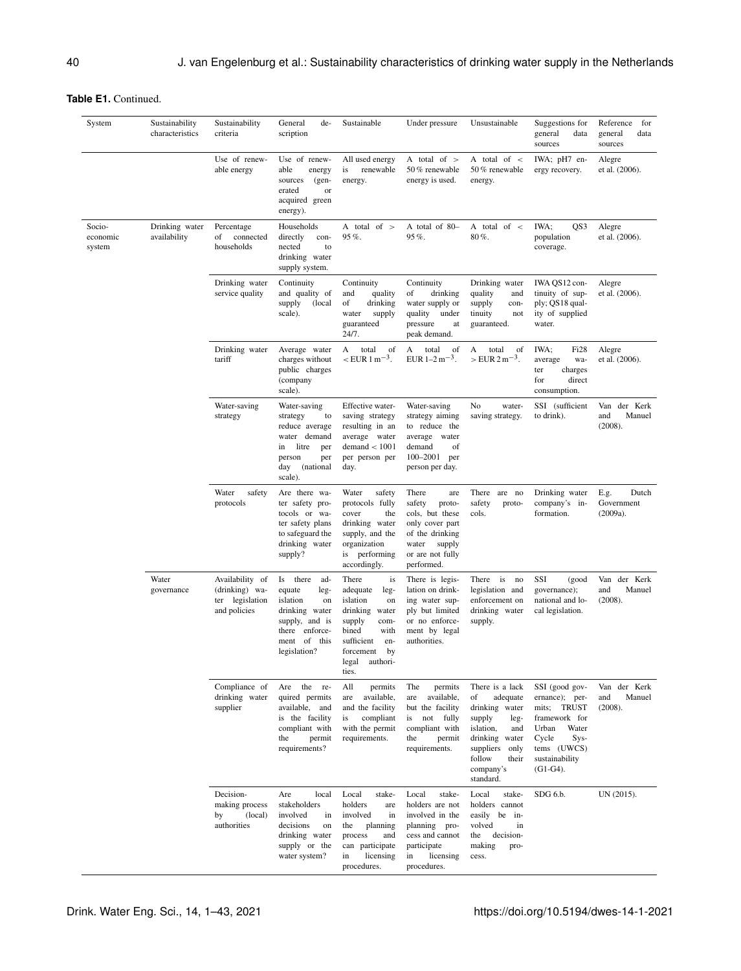| System                       | Sustainability<br>characteristics | Sustainability<br>criteria                                              | General<br>de-<br>scription                                                                                                               | Sustainable                                                                                                                                                                     | Under pressure                                                                                                                                 | Unsustainable                                                                                                                                                                 | Suggestions for<br>general<br>data<br>sources                                                                                                       | Reference<br>for<br>general<br>data<br>sources |
|------------------------------|-----------------------------------|-------------------------------------------------------------------------|-------------------------------------------------------------------------------------------------------------------------------------------|---------------------------------------------------------------------------------------------------------------------------------------------------------------------------------|------------------------------------------------------------------------------------------------------------------------------------------------|-------------------------------------------------------------------------------------------------------------------------------------------------------------------------------|-----------------------------------------------------------------------------------------------------------------------------------------------------|------------------------------------------------|
|                              |                                   | Use of renew-<br>able energy                                            | Use of renew-<br>able<br>energy<br>sources<br>$(gen-$<br>erated<br>or<br>acquired green<br>energy).                                       | All used energy<br>renewable<br>is<br>energy.                                                                                                                                   | A total of $>$<br>50 % renewable<br>energy is used.                                                                                            | A total of $\lt$<br>50 % renewable<br>energy.                                                                                                                                 | IWA; pH7 en-<br>ergy recovery.                                                                                                                      | Alegre<br>et al. (2006).                       |
| Socio-<br>economic<br>system | Drinking water<br>availability    | Percentage<br>of<br>connected<br>households                             | Households<br>directly<br>con-<br>nected<br>to<br>drinking water<br>supply system.                                                        | A total of $>$<br>95%                                                                                                                                                           | A total of 80-<br>95%.                                                                                                                         | A total of $\lt$<br>80%.                                                                                                                                                      | QS3<br>IWA;<br>population<br>coverage.                                                                                                              | Alegre<br>et al. (2006).                       |
|                              |                                   | Drinking water<br>service quality                                       | Continuity<br>and quality of<br>supply<br>(local)<br>scale).                                                                              | Continuity<br>and<br>quality<br>of<br>drinking<br>water<br>supply<br>guaranteed<br>24/7.                                                                                        | Continuity<br>drinking<br>of<br>water supply or<br>quality<br>under<br>pressure<br>at<br>peak demand.                                          | Drinking water<br>quality<br>and<br>supply<br>con-<br>tinuity<br>not<br>guaranteed.                                                                                           | IWA OS12 con-<br>tinuity of sup-<br>ply; QS18 qual-<br>ity of supplied<br>water.                                                                    | Alegre<br>et al. (2006).                       |
|                              |                                   | Drinking water<br>tariff                                                | Average water<br>charges without<br>public charges<br>(company<br>scale).                                                                 | of<br>А<br>total<br>$\rm <$ EUR 1 m <sup>-3</sup> .                                                                                                                             | of<br>А<br>total<br>EUR $1-2 m^{-3}$ .                                                                                                         | of<br>А<br>total<br>$>$ EUR 2 m <sup>-3</sup> .                                                                                                                               | Fi <sub>28</sub><br>IWA:<br>wa-<br>average<br>charges<br>ter<br>for<br>direct<br>consumption.                                                       | Alegre<br>et al. (2006).                       |
|                              |                                   | Water-saving<br>strategy                                                | Water-saving<br>strategy<br>to<br>reduce average<br>water demand<br>litre<br>in<br>per<br>person<br>per<br>(national<br>day<br>scale).    | Effective water-<br>saving strategy<br>resulting in an<br>average water<br>demand < 1001<br>per person per<br>day.                                                              | Water-saving<br>strategy aiming<br>to reduce the<br>average<br>water<br>demand<br>of<br>100-2001 per<br>person per day.                        | No<br>water-<br>saving strategy.                                                                                                                                              | SSI (sufficient<br>to drink).                                                                                                                       | Van der Kerk<br>Manuel<br>and<br>(2008).       |
|                              |                                   | Water<br>safety<br>protocols                                            | Are there wa-<br>ter safety pro-<br>tocols or wa-<br>ter safety plans<br>to safeguard the<br>drinking water<br>supply?                    | Water<br>safety<br>protocols fully<br>cover<br>the<br>drinking water<br>supply, and the<br>organization<br>is performing<br>accordingly.                                        | There<br>are<br>safety<br>proto-<br>cols, but these<br>only cover part<br>of the drinking<br>supply<br>water<br>or are not fully<br>performed. | There<br>are no<br>safety<br>proto-<br>cols.                                                                                                                                  | Drinking water<br>company's in-<br>formation.                                                                                                       | E.g.<br>Dutch<br>Government<br>(2009a).        |
|                              | Water<br>governance               | Availability of<br>(drinking) wa-<br>legislation<br>ter<br>and policies | Is there<br>ad-<br>equate<br>leg-<br>islation<br>on<br>drinking water<br>supply, and is<br>there enforce-<br>ment of this<br>legislation? | There<br>is<br>adequate<br>leg-<br>islation<br>on<br>drinking<br>water<br>supply<br>com-<br>bined<br>with<br>sufficient<br>en-<br>forcement<br>by<br>authori-<br>legal<br>ties. | There is legis-<br>lation on drink-<br>ing water sup-<br>ply but limited<br>or no enforce-<br>ment by legal<br>authorities.                    | There is<br>no<br>legislation and<br>enforcement on<br>drinking water<br>supply.                                                                                              | SSI<br>(good<br>governance);<br>national and lo-<br>cal legislation.                                                                                | der Kerk<br>Van<br>Manuel<br>and<br>(2008).    |
|                              |                                   | Compliance of<br>drinking water<br>supplier                             | Are the re-<br>quired permits<br>available, and<br>is the facility<br>compliant with<br>the<br>permit<br>requirements?                    | All<br>permits<br>available,<br>are<br>and the facility<br>compliant<br>is<br>with the permit<br>requirements.                                                                  | The<br>permits<br>available,<br>are<br>but the facility<br>not fully<br>is<br>compliant with<br>the<br>permit<br>requirements.                 | There is a lack<br>adequate<br>of<br>drinking water<br>supply<br>leg-<br>islation,<br>and<br>drinking water<br>suppliers<br>only<br>follow<br>their<br>company's<br>standard. | SSI (good gov-<br>ernance); per-<br>mits; TRUST<br>framework for<br>Urban<br>Water<br>Cycle<br>Sys-<br>tems (UWCS)<br>sustainability<br>$(G1-G4)$ . | Van der Kerk<br>Manuel<br>and<br>(2008).       |
|                              |                                   | Decision-<br>making process<br>(local)<br>by<br>authorities             | local<br>Are<br>stakeholders<br>involved<br>in<br>decisions<br>on<br>drinking water<br>supply or the<br>water system?                     | Local<br>stake-<br>holders<br>are<br>involved<br>in<br>planning<br>the<br>process<br>and<br>can participate<br>licensing<br>in<br>procedures.                                   | Local<br>stake-<br>holders are not<br>involved in the<br>planning pro-<br>cess and cannot<br>participate<br>licensing<br>in<br>procedures.     | Local<br>stake-<br>holders cannot<br>easily<br>be in-<br>volved<br>in<br>decision-<br>the<br>making<br>pro-<br>cess.                                                          | SDG 6.b.                                                                                                                                            | UN (2015).                                     |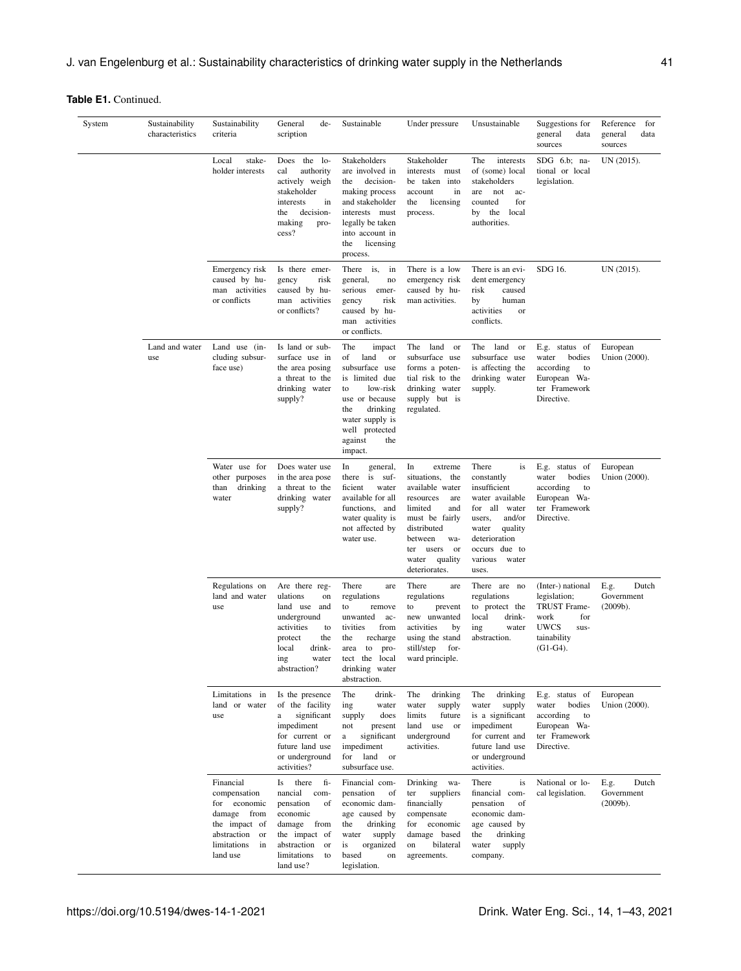| System | Sustainability<br>characteristics | Sustainability<br>criteria                                                                                                   | General<br>de-<br>scription                                                                                                                                           | Sustainable                                                                                                                                                                                    | Under pressure                                                                                                                                                                                                        | Unsustainable                                                                                                                                                                        | Suggestions for<br>general<br>data<br>sources                                                                                | Reference<br>for<br>data<br>general<br>sources |
|--------|-----------------------------------|------------------------------------------------------------------------------------------------------------------------------|-----------------------------------------------------------------------------------------------------------------------------------------------------------------------|------------------------------------------------------------------------------------------------------------------------------------------------------------------------------------------------|-----------------------------------------------------------------------------------------------------------------------------------------------------------------------------------------------------------------------|--------------------------------------------------------------------------------------------------------------------------------------------------------------------------------------|------------------------------------------------------------------------------------------------------------------------------|------------------------------------------------|
|        |                                   | stake-<br>Local<br>holder interests                                                                                          | Does the lo-<br>cal<br>authority<br>actively weigh<br>stakeholder<br>interests<br>in<br>decision-<br>the<br>making<br>pro-<br>cess?                                   | Stakeholders<br>are involved in<br>decision-<br>the<br>making process<br>and stakeholder<br>interests must<br>legally be taken<br>into account in<br>licensing<br>the<br>process.              | Stakeholder<br>interests must<br>be taken into<br>account<br>in<br>licensing<br>the<br>process.                                                                                                                       | The<br>interests<br>of (some) local<br>stakeholders<br>are<br>not<br>ac-<br>counted<br>for<br>the<br>local<br>by<br>authorities.                                                     | $SDG$ 6.b; na-<br>tional or local<br>legislation.                                                                            | UN (2015).                                     |
|        |                                   | Emergency risk<br>caused by hu-<br>man activities<br>or conflicts                                                            | Is there emer-<br>risk<br>gency<br>caused by hu-<br>man activities<br>or conflicts?                                                                                   | There is,<br>in<br>general.<br>no<br>serious<br>emer-<br>risk<br>gency<br>caused by hu-<br>man activities<br>or conflicts.                                                                     | There is a low<br>emergency risk<br>caused by hu-<br>man activities.                                                                                                                                                  | There is an evi-<br>dent emergency<br>risk<br>caused<br>by<br>human<br>activities<br>or<br>conflicts.                                                                                | SDG 16.                                                                                                                      | UN (2015).                                     |
|        | Land and water<br>use             | Land use (in-<br>cluding subsur-<br>face use)                                                                                | Is land or sub-<br>surface use in<br>the area posing<br>a threat to the<br>drinking water<br>supply?                                                                  | The<br>impact<br>of<br>land<br>or<br>subsurface use<br>is limited due<br>low-risk<br>to<br>use or because<br>drinking<br>the<br>water supply is<br>well protected<br>against<br>the<br>impact. | The<br>land or<br>subsurface use<br>forms a poten-<br>tial risk to the<br>drinking water<br>supply but is<br>regulated.                                                                                               | The land<br>or<br>subsurface use<br>is affecting the<br>drinking water<br>supply.                                                                                                    | E.g. status of<br>bodies<br>water<br>according<br>to<br>European Wa-<br>ter Framework<br>Directive.                          | European<br>Union (2000).                      |
|        |                                   | Water use for<br>other purposes<br>drinking<br>than<br>water                                                                 | Does water use<br>in the area pose<br>a threat to the<br>drinking water<br>supply?                                                                                    | In<br>general,<br>there is suf-<br>ficient<br>water<br>available for all<br>functions, and<br>water quality is<br>not affected by<br>water use.                                                | In<br>extreme<br>situations,<br>the<br>available water<br>resources<br>are<br>limited<br>and<br>must be fairly<br>distributed<br>between<br>wa-<br>users<br>ter<br><sub>or</sub><br>water<br>quality<br>deteriorates. | There<br>is<br>constantly<br>insufficient<br>water available<br>for all water<br>and/or<br>users,<br>quality<br>water<br>deterioration<br>occurs due to<br>various<br>water<br>uses. | E.g. status of<br>bodies<br>water<br>according<br>to<br>European Wa-<br>ter Framework<br>Directive.                          | European<br>Union (2000).                      |
|        |                                   | Regulations on<br>land and water<br>use                                                                                      | Are there reg-<br>ulations<br>on<br>land use and<br>underground<br>activities<br>to<br>protect<br>the<br>drink-<br>local<br>ing<br>water<br>abstraction?              | There<br>are<br>regulations<br>to<br>remove<br>unwanted<br>ac-<br>tivities<br>from<br>the<br>recharge<br>area<br>to<br>pro-<br>tect the local<br>drinking water<br>abstraction.                | There<br>are<br>regulations<br>to<br>prevent<br>new unwanted<br>activities<br>by<br>using the stand<br>still/step<br>for-<br>ward principle.                                                                          | There are no<br>regulations<br>to protect the<br>local<br>drink-<br>ing<br>water<br>abstraction.                                                                                     | (Inter-) national<br>legislation;<br><b>TRUST Frame-</b><br>work<br>for<br><b>UWCS</b><br>sus-<br>tainability<br>$(G1-G4)$ . | Dutch<br>E.g.<br>Government<br>(2009b).        |
|        |                                   | Limitations in<br>land or water<br>use                                                                                       | Is the presence<br>of the facility<br>significant<br>a<br>impediment<br>for current or<br>future land use<br>or underground<br>activities?                            | The<br>drink-<br>water<br>ing<br>does<br>supply<br>not<br>present<br>significant<br>$\rm{a}$<br>impediment<br>land<br>for<br><sub>or</sub><br>subsurface use.                                  | The<br>drinking<br>water<br>supply<br>limits<br>future<br>land<br>use or<br>underground<br>activities.                                                                                                                | The<br>drinking<br>water<br>supply<br>is a significant<br>impediment<br>for current and<br>future land use<br>or underground<br>activities.                                          | E.g. status of<br>bodies<br>water<br>according<br>to<br>European Wa-<br>ter Framework<br>Directive.                          | European<br>Union (2000).                      |
|        |                                   | Financial<br>compensation<br>for economic<br>damage from<br>the impact of<br>abstraction or<br>limitations<br>in<br>land use | there<br>fi-<br>Is<br>nancial<br>com-<br>pensation<br>of<br>economic<br>damage<br>from<br>the impact of<br>abstraction<br><b>or</b><br>limitations<br>to<br>land use? | Financial com-<br>pensation<br>of<br>economic dam-<br>age caused by<br>drinking<br>the<br>water<br>supply<br>is<br>organized<br>based<br>on<br>legislation.                                    | Drinking wa-<br>ter<br>suppliers<br>financially<br>compensate<br>for economic<br>damage based<br>bilateral<br>on<br>agreements.                                                                                       | There<br>is<br>financial com-<br>pensation<br>of<br>economic dam-<br>age caused by<br>drinking<br>the<br>water<br>supply<br>company.                                                 | National or lo-<br>cal legislation.                                                                                          | E.g.<br>Dutch<br>Government<br>(2009b).        |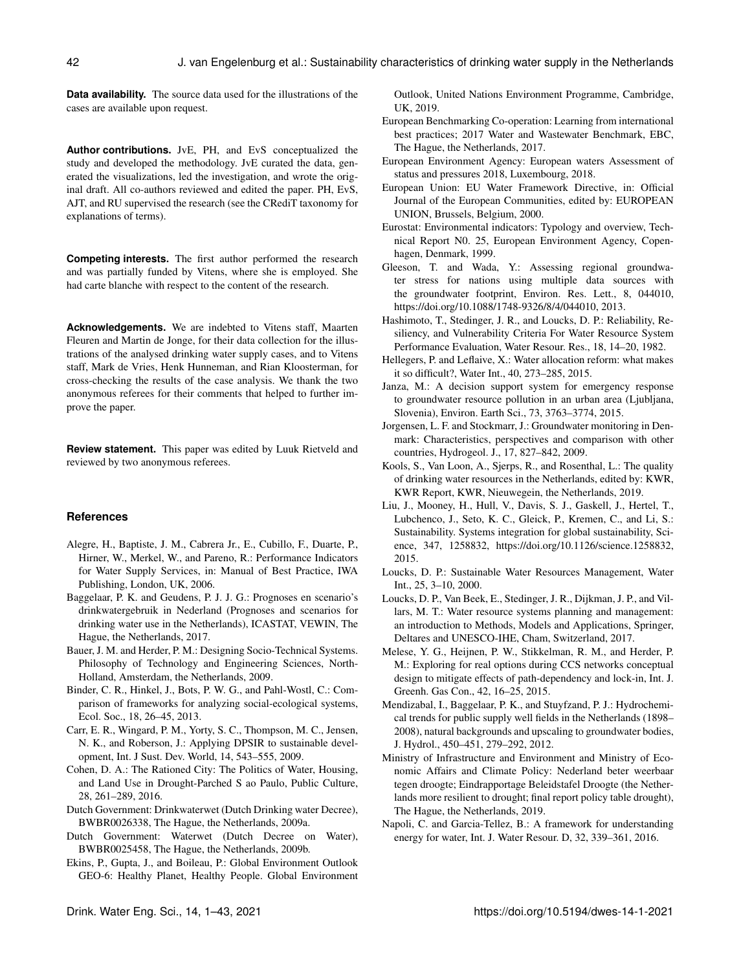**Data availability.** The source data used for the illustrations of the cases are available upon request.

**Author contributions.** JvE, PH, and EvS conceptualized the study and developed the methodology. JvE curated the data, generated the visualizations, led the investigation, and wrote the original draft. All co-authors reviewed and edited the paper. PH, EvS, AJT, and RU supervised the research (see the CRediT taxonomy for explanations of terms).

**Competing interests.** The first author performed the research and was partially funded by Vitens, where she is employed. She had carte blanche with respect to the content of the research.

**Acknowledgements.** We are indebted to Vitens staff, Maarten Fleuren and Martin de Jonge, for their data collection for the illustrations of the analysed drinking water supply cases, and to Vitens staff, Mark de Vries, Henk Hunneman, and Rian Kloosterman, for cross-checking the results of the case analysis. We thank the two anonymous referees for their comments that helped to further improve the paper.

**Review statement.** This paper was edited by Luuk Rietveld and reviewed by two anonymous referees.

#### **References**

- Alegre, H., Baptiste, J. M., Cabrera Jr., E., Cubillo, F., Duarte, P., Hirner, W., Merkel, W., and Pareno, R.: Performance Indicators for Water Supply Services, in: Manual of Best Practice, IWA Publishing, London, UK, 2006.
- Baggelaar, P. K. and Geudens, P. J. J. G.: Prognoses en scenario's drinkwatergebruik in Nederland (Prognoses and scenarios for drinking water use in the Netherlands), ICASTAT, VEWIN, The Hague, the Netherlands, 2017.
- Bauer, J. M. and Herder, P. M.: Designing Socio-Technical Systems. Philosophy of Technology and Engineering Sciences, North-Holland, Amsterdam, the Netherlands, 2009.
- Binder, C. R., Hinkel, J., Bots, P. W. G., and Pahl-Wostl, C.: Comparison of frameworks for analyzing social-ecological systems, Ecol. Soc., 18, 26–45, 2013.
- Carr, E. R., Wingard, P. M., Yorty, S. C., Thompson, M. C., Jensen, N. K., and Roberson, J.: Applying DPSIR to sustainable development, Int. J Sust. Dev. World, 14, 543–555, 2009.
- Cohen, D. A.: The Rationed City: The Politics of Water, Housing, and Land Use in Drought-Parched S ao Paulo, Public Culture, 28, 261–289, 2016.
- Dutch Government: Drinkwaterwet (Dutch Drinking water Decree), BWBR0026338, The Hague, the Netherlands, 2009a.
- Dutch Government: Waterwet (Dutch Decree on Water), BWBR0025458, The Hague, the Netherlands, 2009b.
- Ekins, P., Gupta, J., and Boileau, P.: Global Environment Outlook GEO-6: Healthy Planet, Healthy People. Global Environment

Outlook, United Nations Environment Programme, Cambridge, UK, 2019.

- European Benchmarking Co-operation: Learning from international best practices; 2017 Water and Wastewater Benchmark, EBC, The Hague, the Netherlands, 2017.
- European Environment Agency: European waters Assessment of status and pressures 2018, Luxembourg, 2018.
- European Union: EU Water Framework Directive, in: Official Journal of the European Communities, edited by: EUROPEAN UNION, Brussels, Belgium, 2000.
- Eurostat: Environmental indicators: Typology and overview, Technical Report N0. 25, European Environment Agency, Copenhagen, Denmark, 1999.
- Gleeson, T. and Wada, Y.: Assessing regional groundwater stress for nations using multiple data sources with the groundwater footprint, Environ. Res. Lett., 8, 044010, https://doi.org[/10.1088/1748-9326/8/4/044010,](https://doi.org/10.1088/1748-9326/8/4/044010) 2013.
- Hashimoto, T., Stedinger, J. R., and Loucks, D. P.: Reliability, Resiliency, and Vulnerability Criteria For Water Resource System Performance Evaluation, Water Resour. Res., 18, 14–20, 1982.
- Hellegers, P. and Leflaive, X.: Water allocation reform: what makes it so difficult?, Water Int., 40, 273–285, 2015.
- Janza, M.: A decision support system for emergency response to groundwater resource pollution in an urban area (Ljubljana, Slovenia), Environ. Earth Sci., 73, 3763–3774, 2015.
- Jorgensen, L. F. and Stockmarr, J.: Groundwater monitoring in Denmark: Characteristics, perspectives and comparison with other countries, Hydrogeol. J., 17, 827–842, 2009.
- Kools, S., Van Loon, A., Sjerps, R., and Rosenthal, L.: The quality of drinking water resources in the Netherlands, edited by: KWR, KWR Report, KWR, Nieuwegein, the Netherlands, 2019.
- Liu, J., Mooney, H., Hull, V., Davis, S. J., Gaskell, J., Hertel, T., Lubchenco, J., Seto, K. C., Gleick, P., Kremen, C., and Li, S.: Sustainability. Systems integration for global sustainability, Science, 347, 1258832, https://doi.org[/10.1126/science.1258832,](https://doi.org/10.1126/science.1258832) 2015.
- Loucks, D. P.: Sustainable Water Resources Management, Water Int., 25, 3–10, 2000.
- Loucks, D. P., Van Beek, E., Stedinger, J. R., Dijkman, J. P., and Villars, M. T.: Water resource systems planning and management: an introduction to Methods, Models and Applications, Springer, Deltares and UNESCO-IHE, Cham, Switzerland, 2017.
- Melese, Y. G., Heijnen, P. W., Stikkelman, R. M., and Herder, P. M.: Exploring for real options during CCS networks conceptual design to mitigate effects of path-dependency and lock-in, Int. J. Greenh. Gas Con., 42, 16–25, 2015.
- Mendizabal, I., Baggelaar, P. K., and Stuyfzand, P. J.: Hydrochemical trends for public supply well fields in the Netherlands (1898– 2008), natural backgrounds and upscaling to groundwater bodies, J. Hydrol., 450–451, 279–292, 2012.
- Ministry of Infrastructure and Environment and Ministry of Economic Affairs and Climate Policy: Nederland beter weerbaar tegen droogte; Eindrapportage Beleidstafel Droogte (the Netherlands more resilient to drought; final report policy table drought), The Hague, the Netherlands, 2019.
- Napoli, C. and Garcia-Tellez, B.: A framework for understanding energy for water, Int. J. Water Resour. D, 32, 339–361, 2016.